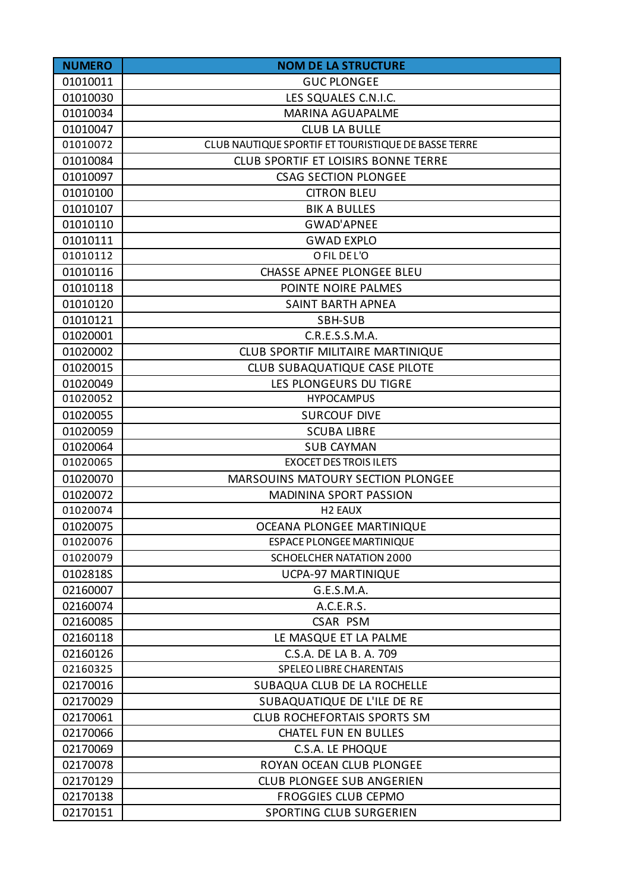| <b>NUMERO</b> | <b>NOM DE LA STRUCTURE</b>                          |
|---------------|-----------------------------------------------------|
| 01010011      | <b>GUC PLONGEE</b>                                  |
| 01010030      | LES SQUALES C.N.I.C.                                |
| 01010034      | <b>MARINA AGUAPALME</b>                             |
| 01010047      | <b>CLUB LA BULLE</b>                                |
| 01010072      | CLUB NAUTIQUE SPORTIF ET TOURISTIQUE DE BASSE TERRE |
| 01010084      | <b>CLUB SPORTIF ET LOISIRS BONNE TERRE</b>          |
| 01010097      | <b>CSAG SECTION PLONGEE</b>                         |
| 01010100      | <b>CITRON BLEU</b>                                  |
| 01010107      | <b>BIK A BULLES</b>                                 |
| 01010110      | <b>GWAD'APNEE</b>                                   |
| 01010111      | <b>GWAD EXPLO</b>                                   |
| 01010112      | O FIL DE L'O                                        |
| 01010116      | <b>CHASSE APNEE PLONGEE BLEU</b>                    |
| 01010118      | POINTE NOIRE PALMES                                 |
| 01010120      | <b>SAINT BARTH APNEA</b>                            |
| 01010121      | SBH-SUB                                             |
| 01020001      | C.R.E.S.S.M.A.                                      |
| 01020002      | <b>CLUB SPORTIF MILITAIRE MARTINIQUE</b>            |
| 01020015      | CLUB SUBAQUATIQUE CASE PILOTE                       |
| 01020049      | LES PLONGEURS DU TIGRE                              |
| 01020052      | <b>HYPOCAMPUS</b>                                   |
| 01020055      | <b>SURCOUF DIVE</b>                                 |
| 01020059      | <b>SCUBA LIBRE</b>                                  |
| 01020064      | <b>SUB CAYMAN</b>                                   |
| 01020065      | <b>EXOCET DES TROIS ILETS</b>                       |
| 01020070      | <b>MARSOUINS MATOURY SECTION PLONGEE</b>            |
| 01020072      | <b>MADININA SPORT PASSION</b>                       |
| 01020074      | H <sub>2</sub> EAUX                                 |
| 01020075      | OCEANA PLONGEE MARTINIQUE                           |
| 01020076      | <b>ESPACE PLONGEE MARTINIQUE</b>                    |
| 01020079      | <b>SCHOELCHER NATATION 2000</b>                     |
| 0102818S      | <b>UCPA-97 MARTINIQUE</b>                           |
| 02160007      | G.E.S.M.A.                                          |
| 02160074      | A.C.E.R.S.                                          |
| 02160085      | <b>CSAR PSM</b>                                     |
| 02160118      | LE MASQUE ET LA PALME                               |
| 02160126      | C.S.A. DE LA B. A. 709                              |
| 02160325      | SPELEO LIBRE CHARENTAIS                             |
| 02170016      | SUBAQUA CLUB DE LA ROCHELLE                         |
| 02170029      | SUBAQUATIQUE DE L'ILE DE RE                         |
| 02170061      | <b>CLUB ROCHEFORTAIS SPORTS SM</b>                  |
| 02170066      | <b>CHATEL FUN EN BULLES</b>                         |
| 02170069      | C.S.A. LE PHOQUE                                    |
| 02170078      | ROYAN OCEAN CLUB PLONGEE                            |
| 02170129      | <b>CLUB PLONGEE SUB ANGERIEN</b>                    |
| 02170138      | <b>FROGGIES CLUB CEPMO</b>                          |
| 02170151      | SPORTING CLUB SURGERIEN                             |
|               |                                                     |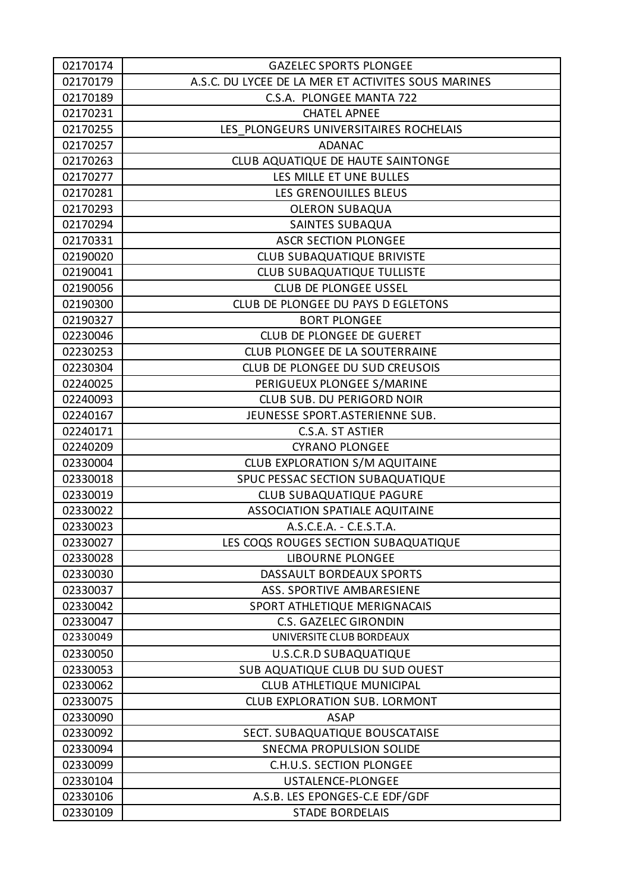| 02170174 | <b>GAZELEC SPORTS PLONGEE</b>                       |
|----------|-----------------------------------------------------|
| 02170179 | A.S.C. DU LYCEE DE LA MER ET ACTIVITES SOUS MARINES |
| 02170189 | C.S.A. PLONGEE MANTA 722                            |
| 02170231 | <b>CHATEL APNEE</b>                                 |
| 02170255 | LES PLONGEURS UNIVERSITAIRES ROCHELAIS              |
| 02170257 | <b>ADANAC</b>                                       |
| 02170263 | CLUB AQUATIQUE DE HAUTE SAINTONGE                   |
| 02170277 | LES MILLE ET UNE BULLES                             |
| 02170281 | LES GRENOUILLES BLEUS                               |
| 02170293 | <b>OLERON SUBAQUA</b>                               |
| 02170294 | <b>SAINTES SUBAQUA</b>                              |
| 02170331 | <b>ASCR SECTION PLONGEE</b>                         |
| 02190020 | <b>CLUB SUBAQUATIQUE BRIVISTE</b>                   |
| 02190041 | <b>CLUB SUBAQUATIQUE TULLISTE</b>                   |
| 02190056 | <b>CLUB DE PLONGEE USSEL</b>                        |
| 02190300 | CLUB DE PLONGEE DU PAYS D EGLETONS                  |
| 02190327 | <b>BORT PLONGEE</b>                                 |
| 02230046 | CLUB DE PLONGEE DE GUERET                           |
| 02230253 | CLUB PLONGEE DE LA SOUTERRAINE                      |
| 02230304 | CLUB DE PLONGEE DU SUD CREUSOIS                     |
| 02240025 | PERIGUEUX PLONGEE S/MARINE                          |
| 02240093 | CLUB SUB. DU PERIGORD NOIR                          |
| 02240167 | JEUNESSE SPORT.ASTERIENNE SUB.                      |
| 02240171 | C.S.A. ST ASTIER                                    |
| 02240209 | <b>CYRANO PLONGEE</b>                               |
| 02330004 | CLUB EXPLORATION S/M AQUITAINE                      |
| 02330018 | SPUC PESSAC SECTION SUBAQUATIQUE                    |
| 02330019 | <b>CLUB SUBAQUATIQUE PAGURE</b>                     |
| 02330022 | <b>ASSOCIATION SPATIALE AQUITAINE</b>               |
| 02330023 | A.S.C.E.A. - C.E.S.T.A.                             |
| 02330027 | LES COQS ROUGES SECTION SUBAQUATIQUE                |
| 02330028 | <b>LIBOURNE PLONGEE</b>                             |
| 02330030 | DASSAULT BORDEAUX SPORTS                            |
| 02330037 | ASS. SPORTIVE AMBARESIENE                           |
| 02330042 | SPORT ATHLETIQUE MERIGNACAIS                        |
| 02330047 | <b>C.S. GAZELEC GIRONDIN</b>                        |
| 02330049 | UNIVERSITE CLUB BORDEAUX                            |
| 02330050 | U.S.C.R.D SUBAQUATIQUE                              |
| 02330053 | SUB AQUATIQUE CLUB DU SUD OUEST                     |
| 02330062 | CLUB ATHLETIQUE MUNICIPAL                           |
| 02330075 | CLUB EXPLORATION SUB. LORMONT                       |
| 02330090 | <b>ASAP</b>                                         |
| 02330092 | SECT. SUBAQUATIQUE BOUSCATAISE                      |
| 02330094 | SNECMA PROPULSION SOLIDE                            |
| 02330099 | C.H.U.S. SECTION PLONGEE                            |
| 02330104 | USTALENCE-PLONGEE                                   |
| 02330106 | A.S.B. LES EPONGES-C.E EDF/GDF                      |
| 02330109 | <b>STADE BORDELAIS</b>                              |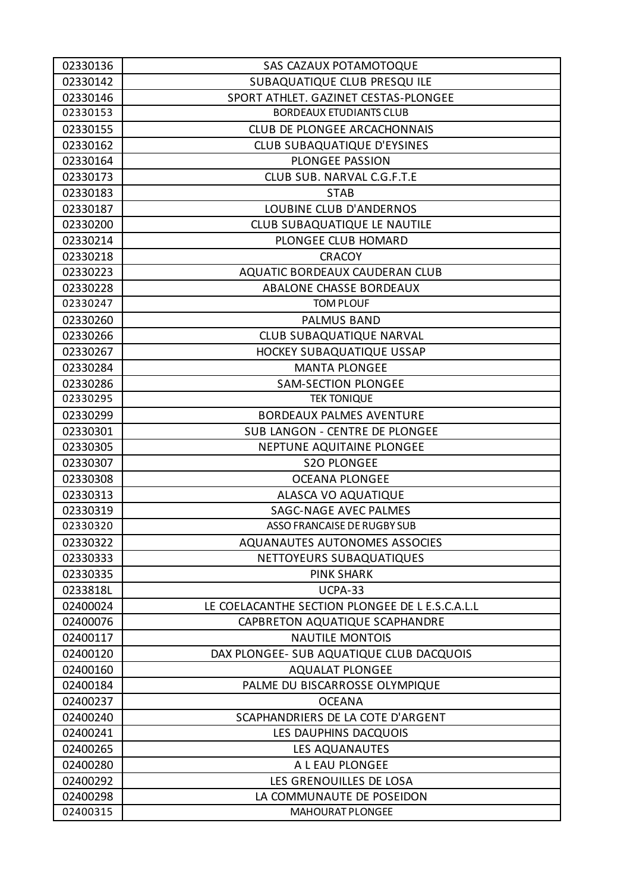| 02330136 | SAS CAZAUX POTAMOTOQUE                          |
|----------|-------------------------------------------------|
| 02330142 | SUBAQUATIQUE CLUB PRESQU ILE                    |
| 02330146 | SPORT ATHLET. GAZINET CESTAS-PLONGEE            |
| 02330153 | <b>BORDEAUX ETUDIANTS CLUB</b>                  |
| 02330155 | <b>CLUB DE PLONGEE ARCACHONNAIS</b>             |
| 02330162 | CLUB SUBAQUATIQUE D'EYSINES                     |
| 02330164 | PLONGEE PASSION                                 |
| 02330173 | CLUB SUB. NARVAL C.G.F.T.E                      |
| 02330183 | <b>STAB</b>                                     |
| 02330187 | <b>LOUBINE CLUB D'ANDERNOS</b>                  |
| 02330200 | CLUB SUBAQUATIQUE LE NAUTILE                    |
| 02330214 | PLONGEE CLUB HOMARD                             |
| 02330218 | <b>CRACOY</b>                                   |
| 02330223 | AQUATIC BORDEAUX CAUDERAN CLUB                  |
| 02330228 | <b>ABALONE CHASSE BORDEAUX</b>                  |
| 02330247 | <b>TOM PLOUF</b>                                |
| 02330260 | <b>PALMUS BAND</b>                              |
| 02330266 | <b>CLUB SUBAQUATIQUE NARVAL</b>                 |
| 02330267 | HOCKEY SUBAQUATIQUE USSAP                       |
| 02330284 | <b>MANTA PLONGEE</b>                            |
| 02330286 | <b>SAM-SECTION PLONGEE</b>                      |
| 02330295 | <b>TEK TONIQUE</b>                              |
| 02330299 | <b>BORDEAUX PALMES AVENTURE</b>                 |
| 02330301 | SUB LANGON - CENTRE DE PLONGEE                  |
| 02330305 | NEPTUNE AQUITAINE PLONGEE                       |
| 02330307 | <b>S2O PLONGEE</b>                              |
| 02330308 | <b>OCEANA PLONGEE</b>                           |
| 02330313 | ALASCA VO AQUATIQUE                             |
| 02330319 | <b>SAGC-NAGE AVEC PALMES</b>                    |
| 02330320 | <b>ASSO FRANCAISE DE RUGBY SUB</b>              |
| 02330322 | AQUANAUTES AUTONOMES ASSOCIES                   |
| 02330333 | NETTOYEURS SUBAQUATIQUES                        |
| 02330335 | <b>PINK SHARK</b>                               |
| 0233818L | UCPA-33                                         |
| 02400024 | LE COELACANTHE SECTION PLONGEE DE L E.S.C.A.L.L |
| 02400076 | CAPBRETON AQUATIQUE SCAPHANDRE                  |
| 02400117 | <b>NAUTILE MONTOIS</b>                          |
| 02400120 | DAX PLONGEE- SUB AQUATIQUE CLUB DACQUOIS        |
| 02400160 | <b>AQUALAT PLONGEE</b>                          |
| 02400184 | PALME DU BISCARROSSE OLYMPIQUE                  |
| 02400237 | <b>OCEANA</b>                                   |
| 02400240 | SCAPHANDRIERS DE LA COTE D'ARGENT               |
| 02400241 | LES DAUPHINS DACQUOIS                           |
| 02400265 | LES AQUANAUTES                                  |
| 02400280 | A L EAU PLONGEE                                 |
| 02400292 | LES GRENOUILLES DE LOSA                         |
| 02400298 | LA COMMUNAUTE DE POSEIDON                       |
| 02400315 | <b>MAHOURAT PLONGEE</b>                         |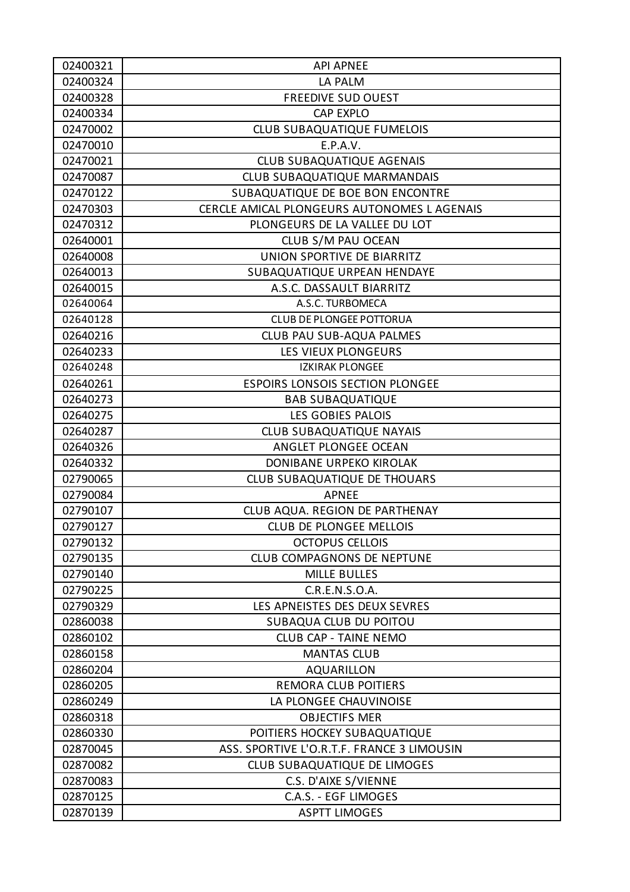| 02400321 | <b>API APNEE</b>                           |
|----------|--------------------------------------------|
| 02400324 | LA PALM                                    |
| 02400328 | <b>FREEDIVE SUD OUEST</b>                  |
| 02400334 | <b>CAP EXPLO</b>                           |
| 02470002 | <b>CLUB SUBAQUATIQUE FUMELOIS</b>          |
| 02470010 | E.P.A.V.                                   |
| 02470021 | <b>CLUB SUBAQUATIQUE AGENAIS</b>           |
| 02470087 | CLUB SUBAQUATIQUE MARMANDAIS               |
| 02470122 | SUBAQUATIQUE DE BOE BON ENCONTRE           |
| 02470303 | CERCLE AMICAL PLONGEURS AUTONOMES LAGENAIS |
| 02470312 | PLONGEURS DE LA VALLEE DU LOT              |
| 02640001 | CLUB S/M PAU OCEAN                         |
| 02640008 | UNION SPORTIVE DE BIARRITZ                 |
| 02640013 | SUBAQUATIQUE URPEAN HENDAYE                |
| 02640015 | A.S.C. DASSAULT BIARRITZ                   |
| 02640064 | A.S.C. TURBOMECA                           |
| 02640128 | <b>CLUB DE PLONGEE POTTORUA</b>            |
| 02640216 | CLUB PAU SUB-AQUA PALMES                   |
| 02640233 | LES VIEUX PLONGEURS                        |
| 02640248 | <b>IZKIRAK PLONGEE</b>                     |
| 02640261 | <b>ESPOIRS LONSOIS SECTION PLONGEE</b>     |
| 02640273 | <b>BAB SUBAQUATIQUE</b>                    |
| 02640275 | LES GOBIES PALOIS                          |
| 02640287 | <b>CLUB SUBAQUATIQUE NAYAIS</b>            |
| 02640326 | ANGLET PLONGEE OCEAN                       |
| 02640332 | DONIBANE URPEKO KIROLAK                    |
| 02790065 | CLUB SUBAQUATIQUE DE THOUARS               |
| 02790084 | <b>APNEE</b>                               |
| 02790107 | CLUB AQUA. REGION DE PARTHENAY             |
| 02790127 | <b>CLUB DE PLONGEE MELLOIS</b>             |
| 02790132 | <b>OCTOPUS CELLOIS</b>                     |
| 02790135 | <b>CLUB COMPAGNONS DE NEPTUNE</b>          |
| 02790140 | <b>MILLE BULLES</b>                        |
| 02790225 | C.R.E.N.S.O.A.                             |
| 02790329 | LES APNEISTES DES DEUX SEVRES              |
| 02860038 | SUBAQUA CLUB DU POITOU                     |
| 02860102 | <b>CLUB CAP - TAINE NEMO</b>               |
| 02860158 | <b>MANTAS CLUB</b>                         |
| 02860204 | <b>AQUARILLON</b>                          |
| 02860205 | <b>REMORA CLUB POITIERS</b>                |
| 02860249 | LA PLONGEE CHAUVINOISE                     |
| 02860318 | <b>OBJECTIFS MER</b>                       |
| 02860330 | POITIERS HOCKEY SUBAQUATIQUE               |
| 02870045 | ASS. SPORTIVE L'O.R.T.F. FRANCE 3 LIMOUSIN |
| 02870082 | CLUB SUBAQUATIQUE DE LIMOGES               |
| 02870083 | C.S. D'AIXE S/VIENNE                       |
| 02870125 | C.A.S. - EGF LIMOGES                       |
| 02870139 | <b>ASPTT LIMOGES</b>                       |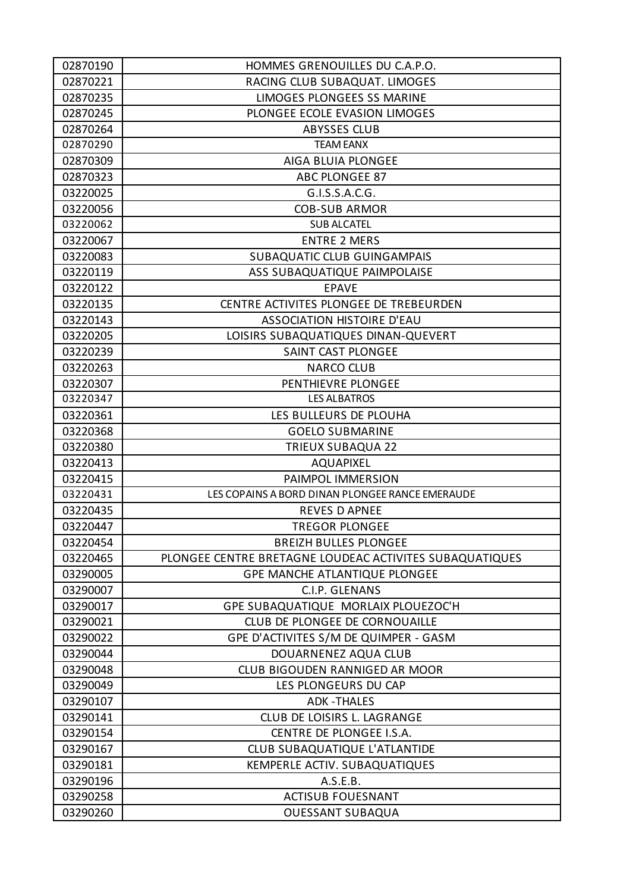| 02870190 | HOMMES GRENOUILLES DU C.A.P.O.                          |
|----------|---------------------------------------------------------|
| 02870221 | RACING CLUB SUBAQUAT. LIMOGES                           |
| 02870235 | <b>LIMOGES PLONGEES SS MARINE</b>                       |
| 02870245 | PLONGEE ECOLE EVASION LIMOGES                           |
| 02870264 | <b>ABYSSES CLUB</b>                                     |
| 02870290 | <b>TEAM EANX</b>                                        |
| 02870309 | AIGA BLUIA PLONGEE                                      |
| 02870323 | ABC PLONGEE 87                                          |
| 03220025 | G.I.S.S.A.C.G.                                          |
| 03220056 | <b>COB-SUB ARMOR</b>                                    |
| 03220062 | <b>SUB ALCATEL</b>                                      |
| 03220067 | <b>ENTRE 2 MERS</b>                                     |
| 03220083 | <b>SUBAQUATIC CLUB GUINGAMPAIS</b>                      |
| 03220119 | ASS SUBAQUATIQUE PAIMPOLAISE                            |
| 03220122 | <b>EPAVE</b>                                            |
| 03220135 | CENTRE ACTIVITES PLONGEE DE TREBEURDEN                  |
| 03220143 | <b>ASSOCIATION HISTOIRE D'EAU</b>                       |
| 03220205 | LOISIRS SUBAQUATIQUES DINAN-QUEVERT                     |
| 03220239 | SAINT CAST PLONGEE                                      |
| 03220263 | <b>NARCO CLUB</b>                                       |
| 03220307 | PENTHIEVRE PLONGEE                                      |
| 03220347 | <b>LES ALBATROS</b>                                     |
| 03220361 | LES BULLEURS DE PLOUHA                                  |
| 03220368 | <b>GOELO SUBMARINE</b>                                  |
| 03220380 | <b>TRIEUX SUBAQUA 22</b>                                |
| 03220413 | <b>AQUAPIXEL</b>                                        |
| 03220415 | PAIMPOL IMMERSION                                       |
| 03220431 | LES COPAINS A BORD DINAN PLONGEE RANCE EMERAUDE         |
| 03220435 | <b>REVES D APNEE</b>                                    |
| 03220447 | <b>TREGOR PLONGEE</b>                                   |
| 03220454 | <b>BREIZH BULLES PLONGEE</b>                            |
| 03220465 | PLONGEE CENTRE BRETAGNE LOUDEAC ACTIVITES SUBAQUATIQUES |
| 03290005 | <b>GPE MANCHE ATLANTIQUE PLONGEE</b>                    |
| 03290007 | C.I.P. GLENANS                                          |
| 03290017 | GPE SUBAQUATIQUE MORLAIX PLOUEZOC'H                     |
| 03290021 | CLUB DE PLONGEE DE CORNOUAILLE                          |
| 03290022 | GPE D'ACTIVITES S/M DE QUIMPER - GASM                   |
| 03290044 | DOUARNENEZ AQUA CLUB                                    |
| 03290048 | CLUB BIGOUDEN RANNIGED AR MOOR                          |
| 03290049 | LES PLONGEURS DU CAP                                    |
| 03290107 | <b>ADK-THALES</b>                                       |
| 03290141 | CLUB DE LOISIRS L. LAGRANGE                             |
| 03290154 | CENTRE DE PLONGEE I.S.A.                                |
| 03290167 | CLUB SUBAQUATIQUE L'ATLANTIDE                           |
| 03290181 | KEMPERLE ACTIV. SUBAQUATIQUES                           |
| 03290196 | A.S.E.B.                                                |
| 03290258 | <b>ACTISUB FOUESNANT</b>                                |
| 03290260 | <b>OUESSANT SUBAQUA</b>                                 |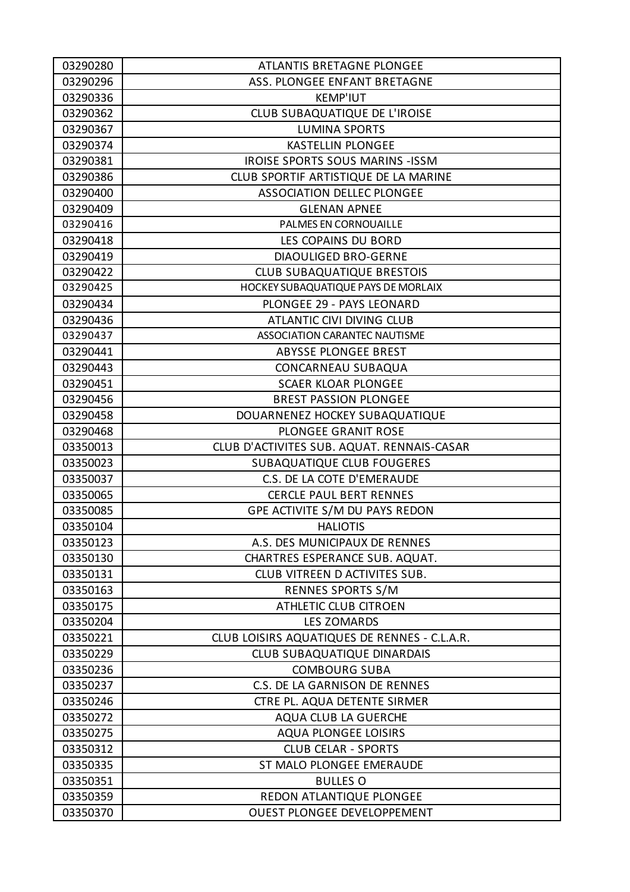| 03290280 | ATLANTIS BRETAGNE PLONGEE                    |
|----------|----------------------------------------------|
| 03290296 | ASS. PLONGEE ENFANT BRETAGNE                 |
| 03290336 | <b>KEMP'IUT</b>                              |
| 03290362 | CLUB SUBAQUATIQUE DE L'IROISE                |
| 03290367 | <b>LUMINA SPORTS</b>                         |
| 03290374 | <b>KASTELLIN PLONGEE</b>                     |
| 03290381 | <b>IROISE SPORTS SOUS MARINS - ISSM</b>      |
| 03290386 | CLUB SPORTIF ARTISTIQUE DE LA MARINE         |
| 03290400 | <b>ASSOCIATION DELLEC PLONGEE</b>            |
| 03290409 | <b>GLENAN APNEE</b>                          |
| 03290416 | PALMES EN CORNOUAILLE                        |
| 03290418 | LES COPAINS DU BORD                          |
| 03290419 | <b>DIAOULIGED BRO-GERNE</b>                  |
| 03290422 | <b>CLUB SUBAQUATIQUE BRESTOIS</b>            |
| 03290425 | HOCKEY SUBAQUATIQUE PAYS DE MORLAIX          |
| 03290434 | PLONGEE 29 - PAYS LEONARD                    |
| 03290436 | ATLANTIC CIVI DIVING CLUB                    |
| 03290437 | ASSOCIATION CARANTEC NAUTISME                |
| 03290441 | <b>ABYSSE PLONGEE BREST</b>                  |
| 03290443 | CONCARNEAU SUBAQUA                           |
| 03290451 | <b>SCAER KLOAR PLONGEE</b>                   |
| 03290456 | <b>BREST PASSION PLONGEE</b>                 |
| 03290458 | DOUARNENEZ HOCKEY SUBAQUATIQUE               |
| 03290468 | PLONGEE GRANIT ROSE                          |
| 03350013 | CLUB D'ACTIVITES SUB. AQUAT. RENNAIS-CASAR   |
| 03350023 | <b>SUBAQUATIQUE CLUB FOUGERES</b>            |
| 03350037 | C.S. DE LA COTE D'EMERAUDE                   |
| 03350065 | <b>CERCLE PAUL BERT RENNES</b>               |
| 03350085 | GPE ACTIVITE S/M DU PAYS REDON               |
| 03350104 | <b>HALIOTIS</b>                              |
| 03350123 | A.S. DES MUNICIPAUX DE RENNES                |
| 03350130 | CHARTRES ESPERANCE SUB. AQUAT.               |
| 03350131 | CLUB VITREEN D ACTIVITES SUB.                |
| 03350163 | <b>RENNES SPORTS S/M</b>                     |
| 03350175 | <b>ATHLETIC CLUB CITROEN</b>                 |
| 03350204 | <b>LES ZOMARDS</b>                           |
| 03350221 | CLUB LOISIRS AQUATIQUES DE RENNES - C.L.A.R. |
| 03350229 | <b>CLUB SUBAQUATIQUE DINARDAIS</b>           |
| 03350236 | <b>COMBOURG SUBA</b>                         |
| 03350237 | C.S. DE LA GARNISON DE RENNES                |
| 03350246 | CTRE PL. AQUA DETENTE SIRMER                 |
| 03350272 | <b>AQUA CLUB LA GUERCHE</b>                  |
| 03350275 | <b>AQUA PLONGEE LOISIRS</b>                  |
| 03350312 | <b>CLUB CELAR - SPORTS</b>                   |
| 03350335 | ST MALO PLONGEE EMERAUDE                     |
| 03350351 | <b>BULLES O</b>                              |
| 03350359 | REDON ATLANTIQUE PLONGEE                     |
| 03350370 | <b>OUEST PLONGEE DEVELOPPEMENT</b>           |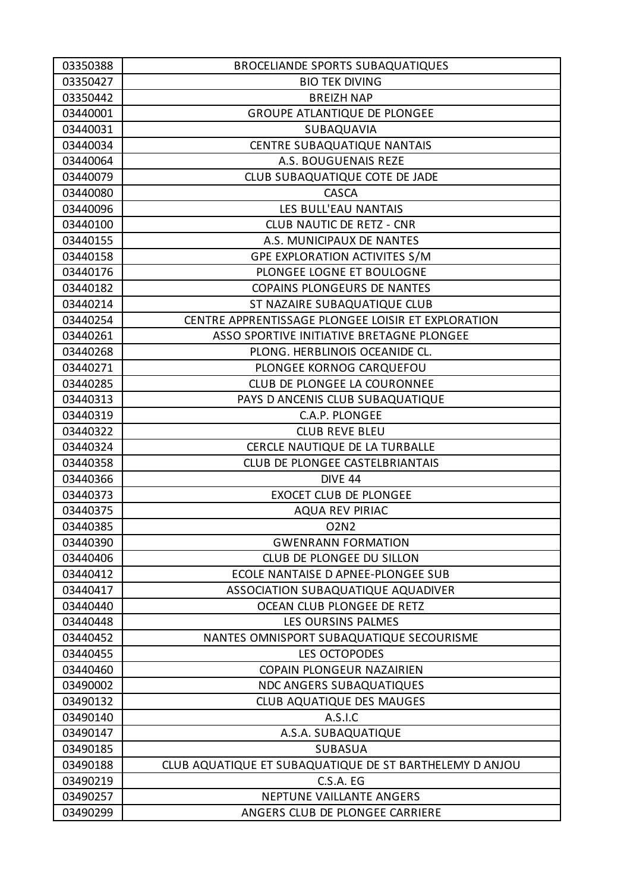| 03350388 | <b>BROCELIANDE SPORTS SUBAQUATIQUES</b>                 |
|----------|---------------------------------------------------------|
| 03350427 | <b>BIO TEK DIVING</b>                                   |
| 03350442 | <b>BREIZH NAP</b>                                       |
| 03440001 | <b>GROUPE ATLANTIQUE DE PLONGEE</b>                     |
| 03440031 | SUBAQUAVIA                                              |
| 03440034 | CENTRE SUBAQUATIQUE NANTAIS                             |
| 03440064 | A.S. BOUGUENAIS REZE                                    |
| 03440079 | CLUB SUBAQUATIQUE COTE DE JADE                          |
| 03440080 | <b>CASCA</b>                                            |
| 03440096 | LES BULL'EAU NANTAIS                                    |
| 03440100 | <b>CLUB NAUTIC DE RETZ - CNR</b>                        |
| 03440155 | A.S. MUNICIPAUX DE NANTES                               |
| 03440158 | GPE EXPLORATION ACTIVITES S/M                           |
| 03440176 | PLONGEE LOGNE ET BOULOGNE                               |
| 03440182 | <b>COPAINS PLONGEURS DE NANTES</b>                      |
| 03440214 | ST NAZAIRE SUBAQUATIQUE CLUB                            |
| 03440254 | CENTRE APPRENTISSAGE PLONGEE LOISIR ET EXPLORATION      |
| 03440261 | ASSO SPORTIVE INITIATIVE BRETAGNE PLONGEE               |
| 03440268 | PLONG. HERBLINOIS OCEANIDE CL.                          |
| 03440271 | PLONGEE KORNOG CARQUEFOU                                |
| 03440285 | CLUB DE PLONGEE LA COURONNEE                            |
| 03440313 | PAYS D ANCENIS CLUB SUBAQUATIQUE                        |
| 03440319 | C.A.P. PLONGEE                                          |
| 03440322 | <b>CLUB REVE BLEU</b>                                   |
| 03440324 | CERCLE NAUTIQUE DE LA TURBALLE                          |
| 03440358 | CLUB DE PLONGEE CASTELBRIANTAIS                         |
| 03440366 | DIVE 44                                                 |
| 03440373 | <b>EXOCET CLUB DE PLONGEE</b>                           |
| 03440375 | <b>AQUA REV PIRIAC</b>                                  |
| 03440385 | <b>O2N2</b>                                             |
| 03440390 | <b>GWENRANN FORMATION</b>                               |
| 03440406 | CLUB DE PLONGEE DU SILLON                               |
| 03440412 | ECOLE NANTAISE D APNEE-PLONGEE SUB                      |
| 03440417 | ASSOCIATION SUBAQUATIQUE AQUADIVER                      |
| 03440440 | OCEAN CLUB PLONGEE DE RETZ                              |
| 03440448 | LES OURSINS PALMES                                      |
| 03440452 | NANTES OMNISPORT SUBAQUATIQUE SECOURISME                |
| 03440455 | LES OCTOPODES                                           |
| 03440460 | COPAIN PLONGEUR NAZAIRIEN                               |
| 03490002 | <b>NDC ANGERS SUBAQUATIQUES</b>                         |
| 03490132 | <b>CLUB AQUATIQUE DES MAUGES</b>                        |
| 03490140 | A.S.I.C                                                 |
| 03490147 | A.S.A. SUBAQUATIQUE                                     |
| 03490185 | <b>SUBASUA</b>                                          |
| 03490188 | CLUB AQUATIQUE ET SUBAQUATIQUE DE ST BARTHELEMY D ANJOU |
| 03490219 | C.S.A. EG                                               |
| 03490257 | NEPTUNE VAILLANTE ANGERS                                |
| 03490299 | ANGERS CLUB DE PLONGEE CARRIERE                         |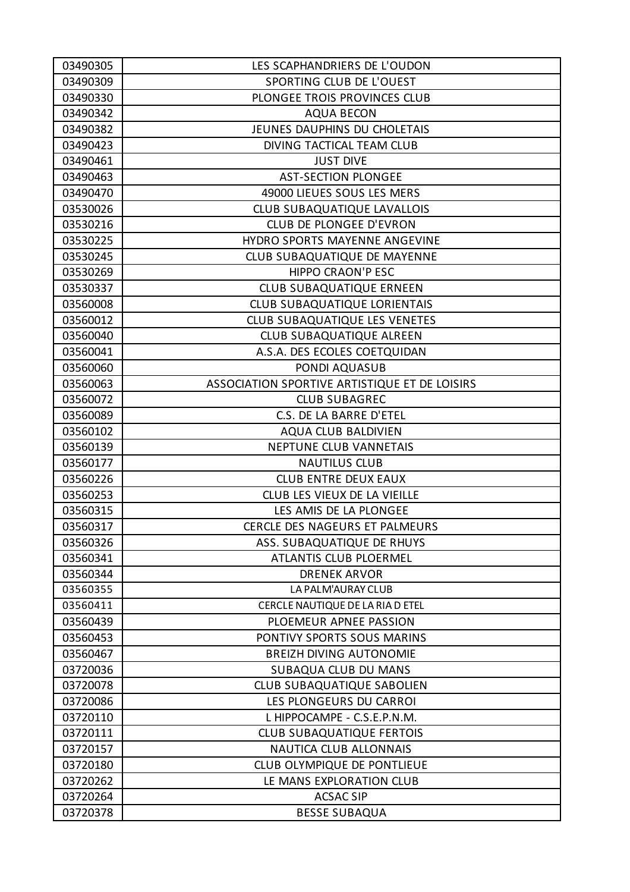| 03490305 | LES SCAPHANDRIERS DE L'OUDON                  |
|----------|-----------------------------------------------|
| 03490309 | SPORTING CLUB DE L'OUEST                      |
| 03490330 | PLONGEE TROIS PROVINCES CLUB                  |
| 03490342 | <b>AQUA BECON</b>                             |
| 03490382 | JEUNES DAUPHINS DU CHOLETAIS                  |
| 03490423 | DIVING TACTICAL TEAM CLUB                     |
| 03490461 | <b>JUST DIVE</b>                              |
| 03490463 | <b>AST-SECTION PLONGEE</b>                    |
| 03490470 | 49000 LIEUES SOUS LES MERS                    |
| 03530026 | CLUB SUBAQUATIQUE LAVALLOIS                   |
| 03530216 | <b>CLUB DE PLONGEE D'EVRON</b>                |
| 03530225 | HYDRO SPORTS MAYENNE ANGEVINE                 |
| 03530245 | CLUB SUBAQUATIQUE DE MAYENNE                  |
| 03530269 | <b>HIPPO CRAON'P ESC</b>                      |
| 03530337 | <b>CLUB SUBAQUATIQUE ERNEEN</b>               |
| 03560008 | <b>CLUB SUBAQUATIQUE LORIENTAIS</b>           |
| 03560012 | <b>CLUB SUBAQUATIQUE LES VENETES</b>          |
| 03560040 | CLUB SUBAQUATIQUE ALREEN                      |
| 03560041 | A.S.A. DES ECOLES COETQUIDAN                  |
| 03560060 | PONDI AQUASUB                                 |
| 03560063 | ASSOCIATION SPORTIVE ARTISTIQUE ET DE LOISIRS |
| 03560072 | <b>CLUB SUBAGREC</b>                          |
| 03560089 | C.S. DE LA BARRE D'ETEL                       |
| 03560102 | <b>AQUA CLUB BALDIVIEN</b>                    |
| 03560139 | NEPTUNE CLUB VANNETAIS                        |
| 03560177 | <b>NAUTILUS CLUB</b>                          |
| 03560226 | <b>CLUB ENTRE DEUX EAUX</b>                   |
| 03560253 | CLUB LES VIEUX DE LA VIEILLE                  |
| 03560315 | LES AMIS DE LA PLONGEE                        |
| 03560317 | CERCLE DES NAGEURS ET PALMEURS                |
| 03560326 | ASS. SUBAQUATIQUE DE RHUYS                    |
| 03560341 | <b>ATLANTIS CLUB PLOERMEL</b>                 |
| 03560344 | <b>DRENEK ARVOR</b>                           |
| 03560355 | LA PALM'AURAY CLUB                            |
| 03560411 | CERCLE NAUTIQUE DE LA RIA D ETEL              |
| 03560439 | PLOEMEUR APNEE PASSION                        |
| 03560453 | PONTIVY SPORTS SOUS MARINS                    |
| 03560467 | <b>BREIZH DIVING AUTONOMIE</b>                |
| 03720036 | SUBAQUA CLUB DU MANS                          |
| 03720078 | CLUB SUBAQUATIQUE SABOLIEN                    |
| 03720086 | LES PLONGEURS DU CARROI                       |
| 03720110 | L HIPPOCAMPE - C.S.E.P.N.M.                   |
| 03720111 | <b>CLUB SUBAQUATIQUE FERTOIS</b>              |
| 03720157 | <b>NAUTICA CLUB ALLONNAIS</b>                 |
| 03720180 | CLUB OLYMPIQUE DE PONTLIEUE                   |
| 03720262 | LE MANS EXPLORATION CLUB                      |
| 03720264 | <b>ACSAC SIP</b>                              |
| 03720378 | <b>BESSE SUBAQUA</b>                          |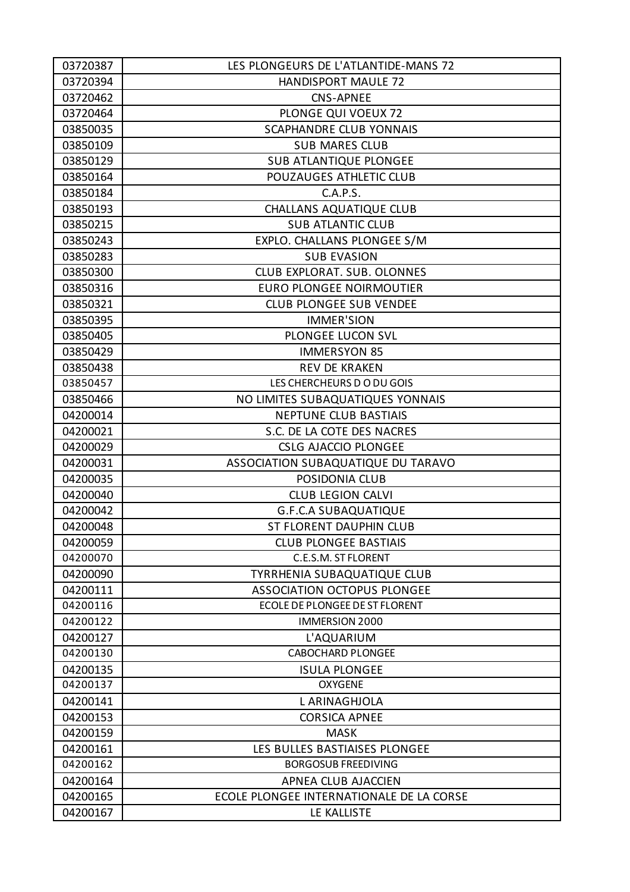| 03720387 | LES PLONGEURS DE L'ATLANTIDE-MANS 72     |
|----------|------------------------------------------|
| 03720394 | HANDISPORT MAULE 72                      |
| 03720462 | <b>CNS-APNEE</b>                         |
| 03720464 | PLONGE QUI VOEUX 72                      |
| 03850035 | <b>SCAPHANDRE CLUB YONNAIS</b>           |
| 03850109 | <b>SUB MARES CLUB</b>                    |
| 03850129 | <b>SUB ATLANTIQUE PLONGEE</b>            |
| 03850164 | POUZAUGES ATHLETIC CLUB                  |
| 03850184 | C.A.P.S.                                 |
| 03850193 | <b>CHALLANS AQUATIQUE CLUB</b>           |
| 03850215 | <b>SUB ATLANTIC CLUB</b>                 |
| 03850243 | EXPLO. CHALLANS PLONGEE S/M              |
| 03850283 | <b>SUB EVASION</b>                       |
| 03850300 | <b>CLUB EXPLORAT. SUB. OLONNES</b>       |
| 03850316 | EURO PLONGEE NOIRMOUTIER                 |
| 03850321 | <b>CLUB PLONGEE SUB VENDEE</b>           |
| 03850395 | <b>IMMER'SION</b>                        |
| 03850405 | PLONGEE LUCON SVL                        |
| 03850429 | <b>IMMERSYON 85</b>                      |
| 03850438 | <b>REV DE KRAKEN</b>                     |
| 03850457 | LES CHERCHEURS DO DU GOIS                |
| 03850466 | NO LIMITES SUBAQUATIQUES YONNAIS         |
| 04200014 | <b>NEPTUNE CLUB BASTIAIS</b>             |
| 04200021 | S.C. DE LA COTE DES NACRES               |
| 04200029 | <b>CSLG AJACCIO PLONGEE</b>              |
| 04200031 | ASSOCIATION SUBAQUATIQUE DU TARAVO       |
| 04200035 | POSIDONIA CLUB                           |
| 04200040 | <b>CLUB LEGION CALVI</b>                 |
| 04200042 | <b>G.F.C.A SUBAQUATIQUE</b>              |
| 04200048 | <b>ST FLORENT DAUPHIN CLUB</b>           |
| 04200059 | <b>CLUB PLONGEE BASTIAIS</b>             |
| 04200070 | C.E.S.M. ST FLORENT                      |
| 04200090 | <b>TYRRHENIA SUBAQUATIQUE CLUB</b>       |
| 04200111 | <b>ASSOCIATION OCTOPUS PLONGEE</b>       |
| 04200116 | <b>ECOLE DE PLONGEE DE ST FLORENT</b>    |
| 04200122 | <b>IMMERSION 2000</b>                    |
| 04200127 | L'AQUARIUM                               |
| 04200130 | <b>CABOCHARD PLONGEE</b>                 |
| 04200135 | <b>ISULA PLONGEE</b>                     |
| 04200137 | <b>OXYGENE</b>                           |
| 04200141 | L ARINAGHJOLA                            |
| 04200153 | <b>CORSICA APNEE</b>                     |
| 04200159 | <b>MASK</b>                              |
| 04200161 | LES BULLES BASTIAISES PLONGEE            |
| 04200162 | <b>BORGOSUB FREEDIVING</b>               |
| 04200164 | APNEA CLUB AJACCIEN                      |
| 04200165 | ECOLE PLONGEE INTERNATIONALE DE LA CORSE |
| 04200167 | LE KALLISTE                              |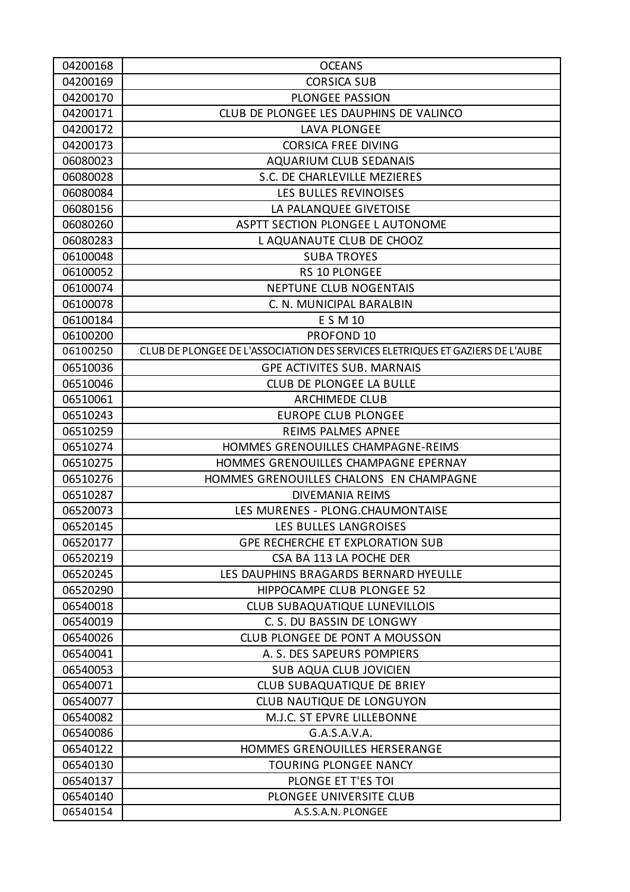| 04200168 | <b>OCEANS</b>                                                                 |
|----------|-------------------------------------------------------------------------------|
| 04200169 | <b>CORSICA SUB</b>                                                            |
| 04200170 | <b>PLONGEE PASSION</b>                                                        |
| 04200171 | CLUB DE PLONGEE LES DAUPHINS DE VALINCO                                       |
| 04200172 | LAVA PLONGEE                                                                  |
| 04200173 | <b>CORSICA FREE DIVING</b>                                                    |
| 06080023 | <b>AQUARIUM CLUB SEDANAIS</b>                                                 |
| 06080028 | S.C. DE CHARLEVILLE MEZIERES                                                  |
| 06080084 | LES BULLES REVINOISES                                                         |
| 06080156 | LA PALANQUEE GIVETOISE                                                        |
| 06080260 | ASPTT SECTION PLONGEE L AUTONOME                                              |
| 06080283 | L AQUANAUTE CLUB DE CHOOZ                                                     |
| 06100048 | <b>SUBA TROYES</b>                                                            |
| 06100052 | <b>RS 10 PLONGEE</b>                                                          |
| 06100074 | <b>NEPTUNE CLUB NOGENTAIS</b>                                                 |
| 06100078 | C. N. MUNICIPAL BARALBIN                                                      |
| 06100184 | E S M 10                                                                      |
| 06100200 | PROFOND 10                                                                    |
| 06100250 | CLUB DE PLONGEE DE L'ASSOCIATION DES SERVICES ELETRIQUES ET GAZIERS DE L'AUBE |
| 06510036 | <b>GPE ACTIVITES SUB. MARNAIS</b>                                             |
| 06510046 | <b>CLUB DE PLONGEE LA BULLE</b>                                               |
| 06510061 | <b>ARCHIMEDE CLUB</b>                                                         |
| 06510243 | <b>EUROPE CLUB PLONGEE</b>                                                    |
| 06510259 | REIMS PALMES APNEE                                                            |
| 06510274 | HOMMES GRENOUILLES CHAMPAGNE-REIMS                                            |
| 06510275 | HOMMES GRENOUILLES CHAMPAGNE EPERNAY                                          |
| 06510276 | HOMMES GRENOUILLES CHALONS EN CHAMPAGNE                                       |
| 06510287 | <b>DIVEMANIA REIMS</b>                                                        |
| 06520073 | LES MURENES - PLONG.CHAUMONTAISE                                              |
| 06520145 | <b>LES BULLES LANGROISES</b>                                                  |
| 06520177 | <b>GPE RECHERCHE ET EXPLORATION SUB</b>                                       |
| 06520219 | CSA BA 113 LA POCHE DER                                                       |
| 06520245 | LES DAUPHINS BRAGARDS BERNARD HYEULLE                                         |
| 06520290 | HIPPOCAMPE CLUB PLONGEE 52                                                    |
| 06540018 | <b>CLUB SUBAQUATIQUE LUNEVILLOIS</b>                                          |
| 06540019 | C. S. DU BASSIN DE LONGWY                                                     |
| 06540026 | CLUB PLONGEE DE PONT A MOUSSON                                                |
| 06540041 | A. S. DES SAPEURS POMPIERS                                                    |
| 06540053 | <b>SUB AQUA CLUB JOVICIEN</b>                                                 |
| 06540071 | <b>CLUB SUBAQUATIQUE DE BRIEY</b>                                             |
| 06540077 | <b>CLUB NAUTIQUE DE LONGUYON</b>                                              |
| 06540082 | M.J.C. ST EPVRE LILLEBONNE                                                    |
| 06540086 | G.A.S.A.V.A.                                                                  |
| 06540122 | HOMMES GRENOUILLES HERSERANGE                                                 |
| 06540130 | <b>TOURING PLONGEE NANCY</b>                                                  |
| 06540137 | PLONGE ET T'ES TOI                                                            |
| 06540140 | PLONGEE UNIVERSITE CLUB                                                       |
| 06540154 | A.S.S.A.N. PLONGEE                                                            |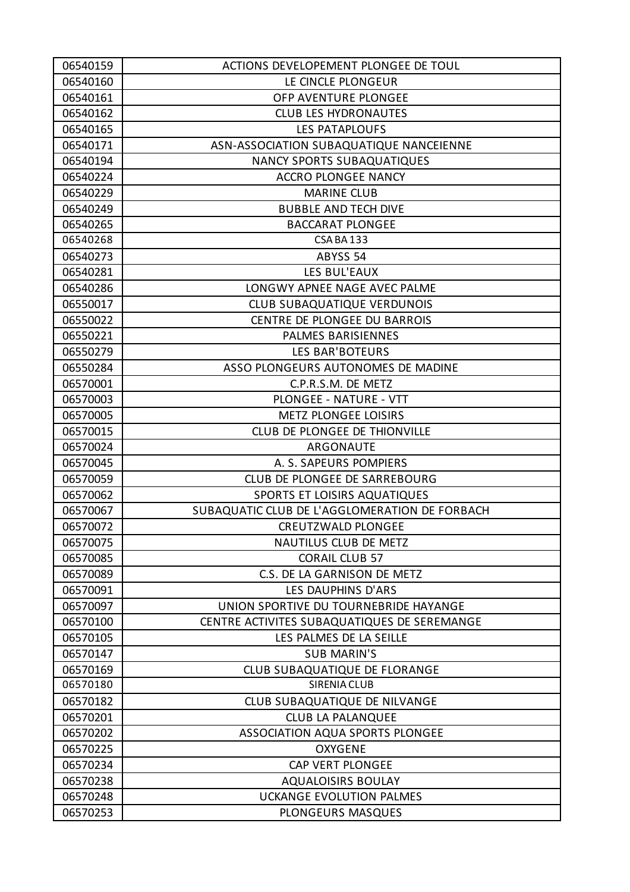| 06540159 | ACTIONS DEVELOPEMENT PLONGEE DE TOUL          |
|----------|-----------------------------------------------|
| 06540160 | LE CINCLE PLONGEUR                            |
| 06540161 | OFP AVENTURE PLONGEE                          |
| 06540162 | <b>CLUB LES HYDRONAUTES</b>                   |
| 06540165 | <b>LES PATAPLOUFS</b>                         |
| 06540171 | ASN-ASSOCIATION SUBAQUATIQUE NANCEIENNE       |
| 06540194 | <b>NANCY SPORTS SUBAQUATIQUES</b>             |
| 06540224 | <b>ACCRO PLONGEE NANCY</b>                    |
| 06540229 | <b>MARINE CLUB</b>                            |
| 06540249 | <b>BUBBLE AND TECH DIVE</b>                   |
| 06540265 | <b>BACCARAT PLONGEE</b>                       |
| 06540268 | CSA BA 133                                    |
| 06540273 | ABYSS 54                                      |
| 06540281 | LES BUL'EAUX                                  |
| 06540286 | LONGWY APNEE NAGE AVEC PALME                  |
| 06550017 | <b>CLUB SUBAQUATIQUE VERDUNOIS</b>            |
| 06550022 | CENTRE DE PLONGEE DU BARROIS                  |
| 06550221 | PALMES BARISIENNES                            |
| 06550279 | <b>LES BAR'BOTEURS</b>                        |
| 06550284 | ASSO PLONGEURS AUTONOMES DE MADINE            |
| 06570001 | C.P.R.S.M. DE METZ                            |
| 06570003 | PLONGEE - NATURE - VTT                        |
| 06570005 | <b>METZ PLONGEE LOISIRS</b>                   |
| 06570015 | CLUB DE PLONGEE DE THIONVILLE                 |
| 06570024 | ARGONAUTE                                     |
| 06570045 | A. S. SAPEURS POMPIERS                        |
| 06570059 | CLUB DE PLONGEE DE SARREBOURG                 |
| 06570062 | <b>SPORTS ET LOISIRS AQUATIQUES</b>           |
| 06570067 | SUBAQUATIC CLUB DE L'AGGLOMERATION DE FORBACH |
| 06570072 | <b>CREUTZWALD PLONGEE</b>                     |
| 06570075 | <b>NAUTILUS CLUB DE METZ</b>                  |
| 06570085 | <b>CORAIL CLUB 57</b>                         |
| 06570089 | C.S. DE LA GARNISON DE METZ                   |
| 06570091 | LES DAUPHINS D'ARS                            |
| 06570097 | UNION SPORTIVE DU TOURNEBRIDE HAYANGE         |
| 06570100 | CENTRE ACTIVITES SUBAQUATIQUES DE SEREMANGE   |
| 06570105 | LES PALMES DE LA SEILLE                       |
| 06570147 | <b>SUB MARIN'S</b>                            |
| 06570169 | CLUB SUBAQUATIQUE DE FLORANGE                 |
| 06570180 | <b>SIRENIA CLUB</b>                           |
| 06570182 | CLUB SUBAQUATIQUE DE NILVANGE                 |
| 06570201 | <b>CLUB LA PALANQUEE</b>                      |
| 06570202 | ASSOCIATION AQUA SPORTS PLONGEE               |
| 06570225 | <b>OXYGENE</b>                                |
| 06570234 | <b>CAP VERT PLONGEE</b>                       |
| 06570238 | <b>AQUALOISIRS BOULAY</b>                     |
| 06570248 | <b>UCKANGE EVOLUTION PALMES</b>               |
| 06570253 | PLONGEURS MASQUES                             |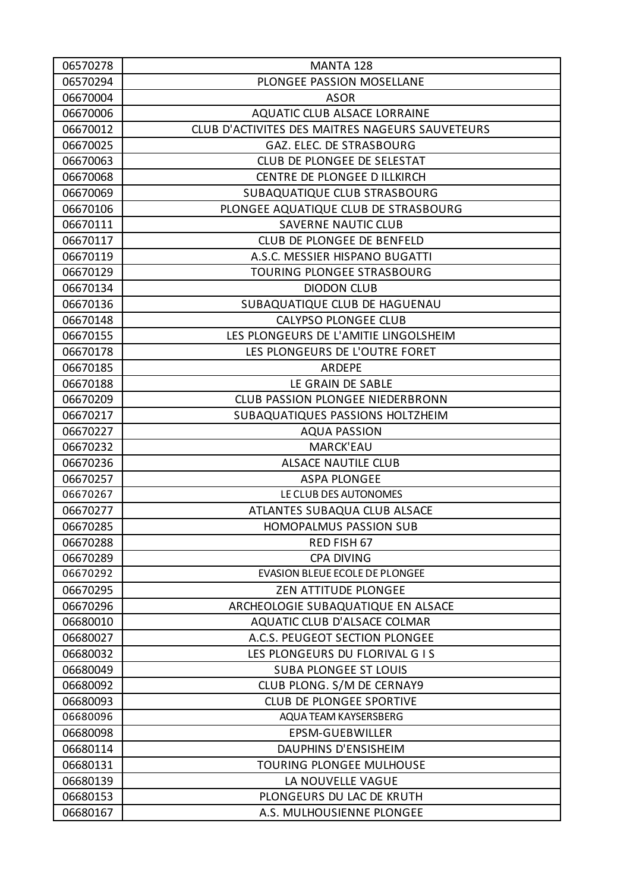| 06570278 | MANTA 128                                       |
|----------|-------------------------------------------------|
| 06570294 | PLONGEE PASSION MOSELLANE                       |
| 06670004 | <b>ASOR</b>                                     |
| 06670006 | <b>AQUATIC CLUB ALSACE LORRAINE</b>             |
| 06670012 | CLUB D'ACTIVITES DES MAITRES NAGEURS SAUVETEURS |
| 06670025 | GAZ. ELEC. DE STRASBOURG                        |
| 06670063 | CLUB DE PLONGEE DE SELESTAT                     |
| 06670068 | CENTRE DE PLONGEE D ILLKIRCH                    |
| 06670069 | SUBAQUATIQUE CLUB STRASBOURG                    |
| 06670106 | PLONGEE AQUATIQUE CLUB DE STRASBOURG            |
| 06670111 | <b>SAVERNE NAUTIC CLUB</b>                      |
| 06670117 | CLUB DE PLONGEE DE BENFELD                      |
| 06670119 | A.S.C. MESSIER HISPANO BUGATTI                  |
| 06670129 | TOURING PLONGEE STRASBOURG                      |
| 06670134 | <b>DIODON CLUB</b>                              |
| 06670136 | SUBAQUATIQUE CLUB DE HAGUENAU                   |
| 06670148 | <b>CALYPSO PLONGEE CLUB</b>                     |
| 06670155 | LES PLONGEURS DE L'AMITIE LINGOLSHEIM           |
| 06670178 | LES PLONGEURS DE L'OUTRE FORET                  |
| 06670185 | ARDEPE                                          |
| 06670188 | LE GRAIN DE SABLE                               |
| 06670209 | <b>CLUB PASSION PLONGEE NIEDERBRONN</b>         |
| 06670217 | SUBAQUATIQUES PASSIONS HOLTZHEIM                |
| 06670227 | <b>AQUA PASSION</b>                             |
| 06670232 | <b>MARCK'EAU</b>                                |
| 06670236 | <b>ALSACE NAUTILE CLUB</b>                      |
| 06670257 | <b>ASPA PLONGEE</b>                             |
| 06670267 | LE CLUB DES AUTONOMES                           |
| 06670277 | ATLANTES SUBAQUA CLUB ALSACE                    |
| 06670285 | <b>HOMOPALMUS PASSION SUB</b>                   |
| 06670288 | RED FISH 67                                     |
| 06670289 | <b>CPA DIVING</b>                               |
| 06670292 | <b>EVASION BLEUE ECOLE DE PLONGEE</b>           |
| 06670295 | <b>ZEN ATTITUDE PLONGEE</b>                     |
| 06670296 | ARCHEOLOGIE SUBAQUATIQUE EN ALSACE              |
| 06680010 | AQUATIC CLUB D'ALSACE COLMAR                    |
| 06680027 | A.C.S. PEUGEOT SECTION PLONGEE                  |
| 06680032 | LES PLONGEURS DU FLORIVAL G I S                 |
| 06680049 | <b>SUBA PLONGEE ST LOUIS</b>                    |
| 06680092 | CLUB PLONG. S/M DE CERNAY9                      |
| 06680093 | <b>CLUB DE PLONGEE SPORTIVE</b>                 |
| 06680096 | AQUA TEAM KAYSERSBERG                           |
| 06680098 | <b>EPSM-GUEBWILLER</b>                          |
| 06680114 | DAUPHINS D'ENSISHEIM                            |
| 06680131 | <b>TOURING PLONGEE MULHOUSE</b>                 |
| 06680139 | LA NOUVELLE VAGUE                               |
| 06680153 | PLONGEURS DU LAC DE KRUTH                       |
| 06680167 | A.S. MULHOUSIENNE PLONGEE                       |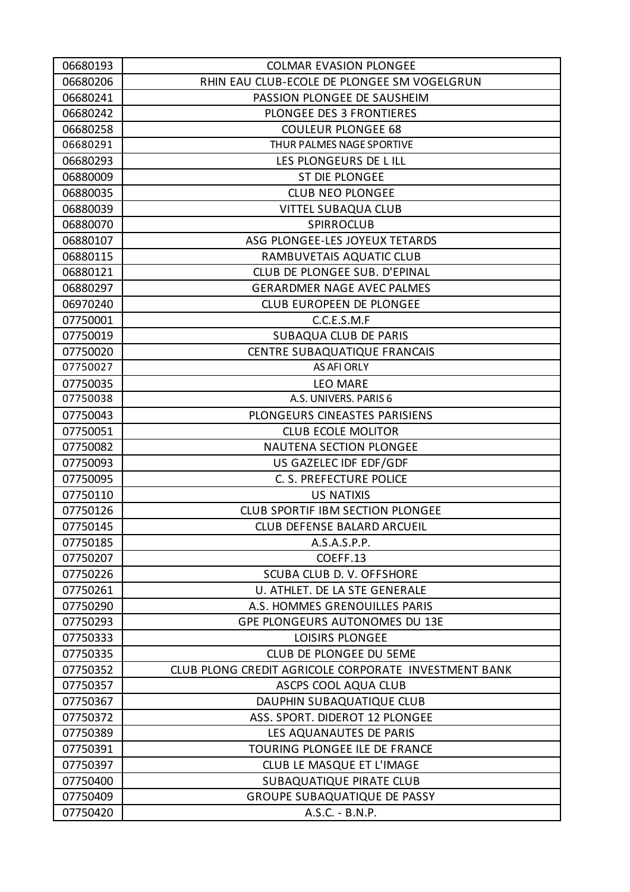| 06680193 | <b>COLMAR EVASION PLONGEE</b>                        |
|----------|------------------------------------------------------|
| 06680206 | RHIN EAU CLUB-ECOLE DE PLONGEE SM VOGELGRUN          |
| 06680241 | PASSION PLONGEE DE SAUSHEIM                          |
| 06680242 | PLONGEE DES 3 FRONTIERES                             |
| 06680258 | <b>COULEUR PLONGEE 68</b>                            |
| 06680291 | THUR PALMES NAGE SPORTIVE                            |
| 06680293 | LES PLONGEURS DE LILL                                |
| 06880009 | ST DIE PLONGEE                                       |
| 06880035 | <b>CLUB NEO PLONGEE</b>                              |
| 06880039 | <b>VITTEL SUBAQUA CLUB</b>                           |
| 06880070 | <b>SPIRROCLUB</b>                                    |
| 06880107 | ASG PLONGEE-LES JOYEUX TETARDS                       |
| 06880115 | RAMBUVETAIS AQUATIC CLUB                             |
| 06880121 | CLUB DE PLONGEE SUB. D'EPINAL                        |
| 06880297 | <b>GERARDMER NAGE AVEC PALMES</b>                    |
| 06970240 | <b>CLUB EUROPEEN DE PLONGEE</b>                      |
| 07750001 | C.C.E.S.M.F                                          |
| 07750019 | <b>SUBAQUA CLUB DE PARIS</b>                         |
| 07750020 | CENTRE SUBAQUATIQUE FRANCAIS                         |
| 07750027 | AS AFI ORLY                                          |
| 07750035 | <b>LEO MARE</b>                                      |
| 07750038 | A.S. UNIVERS. PARIS 6                                |
| 07750043 | PLONGEURS CINEASTES PARISIENS                        |
| 07750051 | <b>CLUB ECOLE MOLITOR</b>                            |
| 07750082 | <b>NAUTENA SECTION PLONGEE</b>                       |
| 07750093 | US GAZELEC IDF EDF/GDF                               |
| 07750095 | C. S. PREFECTURE POLICE                              |
| 07750110 | <b>US NATIXIS</b>                                    |
| 07750126 | <b>CLUB SPORTIF IBM SECTION PLONGEE</b>              |
| 07750145 | <b>CLUB DEFENSE BALARD ARCUEIL</b>                   |
| 07750185 | A.S.A.S.P.P.                                         |
| 07750207 | COEFF.13                                             |
| 07750226 | SCUBA CLUB D. V. OFFSHORE                            |
| 07750261 | U. ATHLET. DE LA STE GENERALE                        |
| 07750290 | A.S. HOMMES GRENOUILLES PARIS                        |
| 07750293 | <b>GPE PLONGEURS AUTONOMES DU 13E</b>                |
| 07750333 | LOISIRS PLONGEE                                      |
| 07750335 | CLUB DE PLONGEE DU 5EME                              |
| 07750352 | CLUB PLONG CREDIT AGRICOLE CORPORATE INVESTMENT BANK |
| 07750357 | ASCPS COOL AQUA CLUB                                 |
| 07750367 | DAUPHIN SUBAQUATIQUE CLUB                            |
| 07750372 | ASS. SPORT. DIDEROT 12 PLONGEE                       |
| 07750389 | LES AQUANAUTES DE PARIS                              |
| 07750391 | TOURING PLONGEE ILE DE FRANCE                        |
| 07750397 | <b>CLUB LE MASQUE ET L'IMAGE</b>                     |
| 07750400 | <b>SUBAQUATIQUE PIRATE CLUB</b>                      |
| 07750409 | <b>GROUPE SUBAQUATIQUE DE PASSY</b>                  |
| 07750420 | A.S.C. - B.N.P.                                      |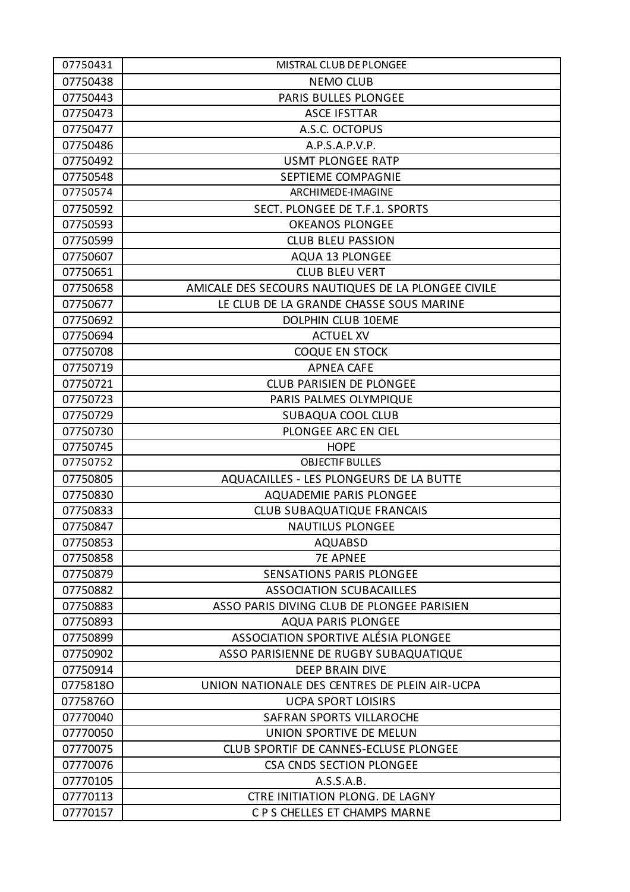| 07750431 | MISTRAL CLUB DE PLONGEE                            |
|----------|----------------------------------------------------|
| 07750438 | <b>NEMO CLUB</b>                                   |
| 07750443 | PARIS BULLES PLONGEE                               |
| 07750473 | <b>ASCE IFSTTAR</b>                                |
| 07750477 | A.S.C. OCTOPUS                                     |
| 07750486 | A.P.S.A.P.V.P.                                     |
| 07750492 | <b>USMT PLONGEE RATP</b>                           |
| 07750548 | SEPTIEME COMPAGNIE                                 |
| 07750574 | ARCHIMEDE-IMAGINE                                  |
| 07750592 | SECT. PLONGEE DE T.F.1. SPORTS                     |
| 07750593 | <b>OKEANOS PLONGEE</b>                             |
| 07750599 | <b>CLUB BLEU PASSION</b>                           |
| 07750607 | <b>AQUA 13 PLONGEE</b>                             |
| 07750651 | <b>CLUB BLEU VERT</b>                              |
| 07750658 | AMICALE DES SECOURS NAUTIQUES DE LA PLONGEE CIVILE |
| 07750677 | LE CLUB DE LA GRANDE CHASSE SOUS MARINE            |
| 07750692 | <b>DOLPHIN CLUB 10EME</b>                          |
| 07750694 | <b>ACTUEL XV</b>                                   |
| 07750708 | <b>COQUE EN STOCK</b>                              |
| 07750719 | <b>APNEA CAFE</b>                                  |
| 07750721 | CLUB PARISIEN DE PLONGEE                           |
| 07750723 | PARIS PALMES OLYMPIQUE                             |
| 07750729 | <b>SUBAQUA COOL CLUB</b>                           |
| 07750730 | PLONGEE ARC EN CIEL                                |
| 07750745 | <b>HOPE</b>                                        |
| 07750752 | <b>OBJECTIF BULLES</b>                             |
| 07750805 | AQUACAILLES - LES PLONGEURS DE LA BUTTE            |
| 07750830 | AQUADEMIE PARIS PLONGEE                            |
| 07750833 | <b>CLUB SUBAQUATIQUE FRANCAIS</b>                  |
| 07750847 | <b>NAUTILUS PLONGEE</b>                            |
| 07750853 | <b>AQUABSD</b>                                     |
| 07750858 | <b>7E APNEE</b>                                    |
| 07750879 | <b>SENSATIONS PARIS PLONGEE</b>                    |
| 07750882 | <b>ASSOCIATION SCUBACAILLES</b>                    |
| 07750883 | ASSO PARIS DIVING CLUB DE PLONGEE PARISIEN         |
| 07750893 | <b>AQUA PARIS PLONGEE</b>                          |
| 07750899 | ASSOCIATION SPORTIVE ALÉSIA PLONGEE                |
| 07750902 | ASSO PARISIENNE DE RUGBY SUBAQUATIQUE              |
| 07750914 | <b>DEEP BRAIN DIVE</b>                             |
| 07758180 | UNION NATIONALE DES CENTRES DE PLEIN AIR-UCPA      |
| 07758760 | <b>UCPA SPORT LOISIRS</b>                          |
| 07770040 | SAFRAN SPORTS VILLAROCHE                           |
| 07770050 | UNION SPORTIVE DE MELUN                            |
| 07770075 | CLUB SPORTIF DE CANNES-ECLUSE PLONGEE              |
| 07770076 | <b>CSA CNDS SECTION PLONGEE</b>                    |
| 07770105 | A.S.S.A.B.                                         |
| 07770113 | CTRE INITIATION PLONG. DE LAGNY                    |
| 07770157 | C P S CHELLES ET CHAMPS MARNE                      |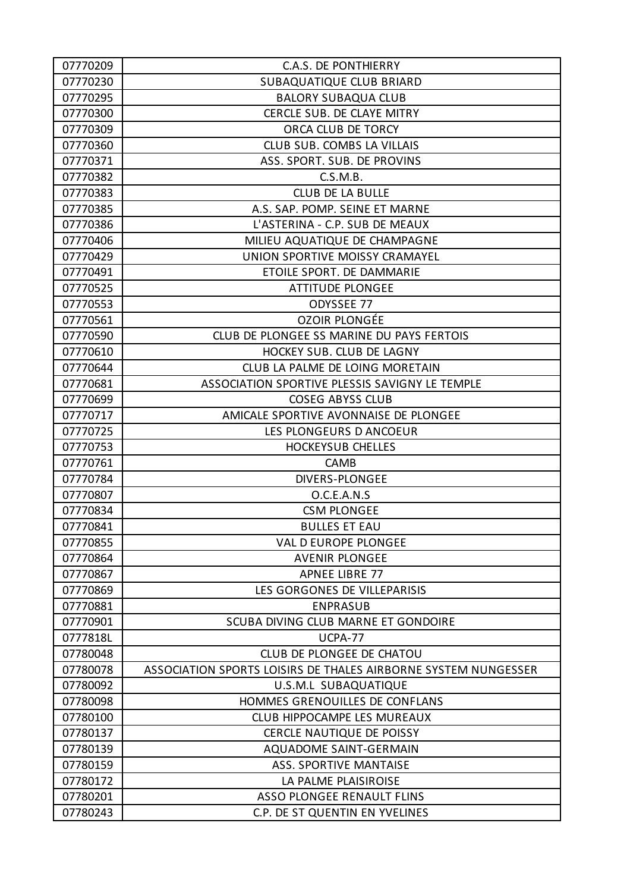| 07770209 | <b>C.A.S. DE PONTHIERRY</b>                                    |
|----------|----------------------------------------------------------------|
| 07770230 | SUBAQUATIQUE CLUB BRIARD                                       |
| 07770295 | <b>BALORY SUBAQUA CLUB</b>                                     |
| 07770300 | CERCLE SUB. DE CLAYE MITRY                                     |
| 07770309 | ORCA CLUB DE TORCY                                             |
| 07770360 | CLUB SUB. COMBS LA VILLAIS                                     |
| 07770371 | ASS. SPORT. SUB. DE PROVINS                                    |
| 07770382 | C.S.M.B.                                                       |
| 07770383 | <b>CLUB DE LA BULLE</b>                                        |
| 07770385 | A.S. SAP. POMP. SEINE ET MARNE                                 |
| 07770386 | L'ASTERINA - C.P. SUB DE MEAUX                                 |
| 07770406 | MILIEU AQUATIQUE DE CHAMPAGNE                                  |
| 07770429 | UNION SPORTIVE MOISSY CRAMAYEL                                 |
| 07770491 | ETOILE SPORT. DE DAMMARIE                                      |
| 07770525 | <b>ATTITUDE PLONGEE</b>                                        |
| 07770553 | ODYSSEE 77                                                     |
| 07770561 | <b>OZOIR PLONGÉE</b>                                           |
| 07770590 | CLUB DE PLONGEE SS MARINE DU PAYS FERTOIS                      |
| 07770610 | HOCKEY SUB. CLUB DE LAGNY                                      |
| 07770644 | CLUB LA PALME DE LOING MORETAIN                                |
| 07770681 | ASSOCIATION SPORTIVE PLESSIS SAVIGNY LE TEMPLE                 |
| 07770699 | <b>COSEG ABYSS CLUB</b>                                        |
| 07770717 | AMICALE SPORTIVE AVONNAISE DE PLONGEE                          |
| 07770725 | LES PLONGEURS D ANCOEUR                                        |
| 07770753 | <b>HOCKEYSUB CHELLES</b>                                       |
| 07770761 | <b>CAMB</b>                                                    |
| 07770784 | <b>DIVERS-PLONGEE</b>                                          |
| 07770807 | O.C.E.A.N.S                                                    |
| 07770834 | <b>CSM PLONGEE</b>                                             |
| 07770841 | <b>BULLES ET EAU</b>                                           |
| 07770855 | <b>VAL D EUROPE PLONGEE</b>                                    |
| 07770864 | <b>AVENIR PLONGEE</b>                                          |
| 07770867 | <b>APNEE LIBRE 77</b>                                          |
| 07770869 | LES GORGONES DE VILLEPARISIS                                   |
| 07770881 | <b>ENPRASUB</b>                                                |
| 07770901 | SCUBA DIVING CLUB MARNE ET GONDOIRE                            |
| 0777818L | UCPA-77                                                        |
| 07780048 | <b>CLUB DE PLONGEE DE CHATOU</b>                               |
| 07780078 | ASSOCIATION SPORTS LOISIRS DE THALES AIRBORNE SYSTEM NUNGESSER |
| 07780092 | U.S.M.L SUBAQUATIQUE                                           |
| 07780098 | HOMMES GRENOUILLES DE CONFLANS                                 |
| 07780100 | CLUB HIPPOCAMPE LES MUREAUX                                    |
| 07780137 | <b>CERCLE NAUTIQUE DE POISSY</b>                               |
| 07780139 | AQUADOME SAINT-GERMAIN                                         |
| 07780159 | <b>ASS. SPORTIVE MANTAISE</b>                                  |
| 07780172 | LA PALME PLAISIROISE                                           |
| 07780201 | ASSO PLONGEE RENAULT FLINS                                     |
| 07780243 | C.P. DE ST QUENTIN EN YVELINES                                 |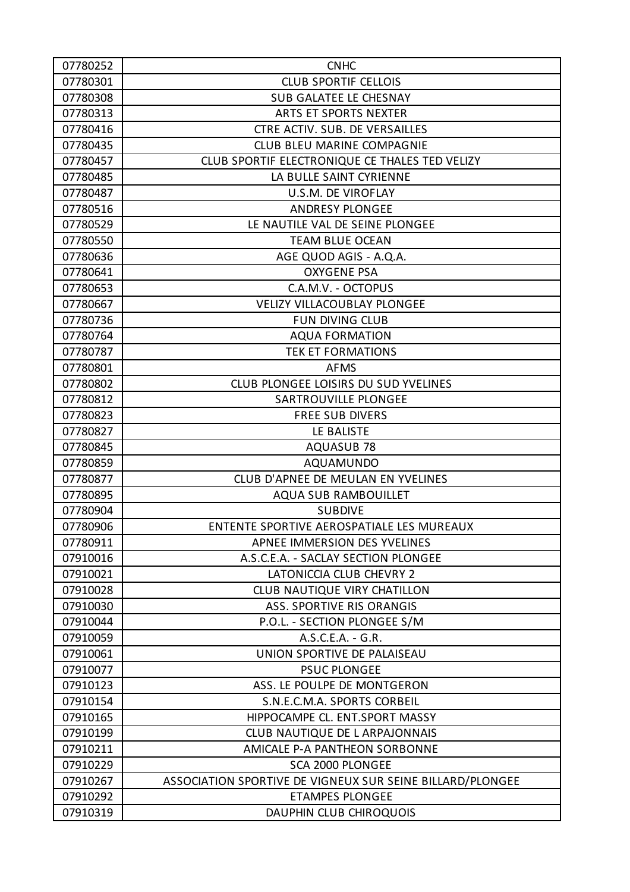| 07780252 | <b>CNHC</b>                                               |
|----------|-----------------------------------------------------------|
| 07780301 | <b>CLUB SPORTIF CELLOIS</b>                               |
| 07780308 | <b>SUB GALATEE LE CHESNAY</b>                             |
| 07780313 | <b>ARTS ET SPORTS NEXTER</b>                              |
| 07780416 | CTRE ACTIV. SUB. DE VERSAILLES                            |
| 07780435 | <b>CLUB BLEU MARINE COMPAGNIE</b>                         |
| 07780457 | CLUB SPORTIF ELECTRONIQUE CE THALES TED VELIZY            |
| 07780485 | LA BULLE SAINT CYRIENNE                                   |
| 07780487 | U.S.M. DE VIROFLAY                                        |
| 07780516 | <b>ANDRESY PLONGEE</b>                                    |
| 07780529 | LE NAUTILE VAL DE SEINE PLONGEE                           |
| 07780550 | <b>TEAM BLUE OCEAN</b>                                    |
| 07780636 | AGE QUOD AGIS - A.Q.A.                                    |
| 07780641 | <b>OXYGENE PSA</b>                                        |
| 07780653 | C.A.M.V. - OCTOPUS                                        |
| 07780667 | <b>VELIZY VILLACOUBLAY PLONGEE</b>                        |
| 07780736 | <b>FUN DIVING CLUB</b>                                    |
| 07780764 | <b>AQUA FORMATION</b>                                     |
| 07780787 | <b>TEK ET FORMATIONS</b>                                  |
| 07780801 | <b>AFMS</b>                                               |
| 07780802 | CLUB PLONGEE LOISIRS DU SUD YVELINES                      |
| 07780812 | SARTROUVILLE PLONGEE                                      |
| 07780823 | <b>FREE SUB DIVERS</b>                                    |
| 07780827 | LE BALISTE                                                |
| 07780845 | <b>AQUASUB 78</b>                                         |
| 07780859 | <b>AQUAMUNDO</b>                                          |
| 07780877 | CLUB D'APNEE DE MEULAN EN YVELINES                        |
| 07780895 | <b>AQUA SUB RAMBOUILLET</b>                               |
| 07780904 | <b>SUBDIVE</b>                                            |
| 07780906 | ENTENTE SPORTIVE AEROSPATIALE LES MUREAUX                 |
| 07780911 | APNEE IMMERSION DES YVELINES                              |
| 07910016 | A.S.C.E.A. - SACLAY SECTION PLONGEE                       |
| 07910021 | LATONICCIA CLUB CHEVRY 2                                  |
| 07910028 | <b>CLUB NAUTIQUE VIRY CHATILLON</b>                       |
| 07910030 | <b>ASS. SPORTIVE RIS ORANGIS</b>                          |
| 07910044 | P.O.L. - SECTION PLONGEE S/M                              |
| 07910059 | $A.S.C.E.A. - G.R.$                                       |
| 07910061 | UNION SPORTIVE DE PALAISEAU                               |
| 07910077 | <b>PSUC PLONGEE</b>                                       |
| 07910123 | ASS. LE POULPE DE MONTGERON                               |
| 07910154 | S.N.E.C.M.A. SPORTS CORBEIL                               |
| 07910165 | HIPPOCAMPE CL. ENT.SPORT MASSY                            |
| 07910199 | CLUB NAUTIQUE DE L ARPAJONNAIS                            |
| 07910211 | AMICALE P-A PANTHEON SORBONNE                             |
| 07910229 | SCA 2000 PLONGEE                                          |
| 07910267 | ASSOCIATION SPORTIVE DE VIGNEUX SUR SEINE BILLARD/PLONGEE |
| 07910292 | <b>ETAMPES PLONGEE</b>                                    |
| 07910319 | DAUPHIN CLUB CHIROQUOIS                                   |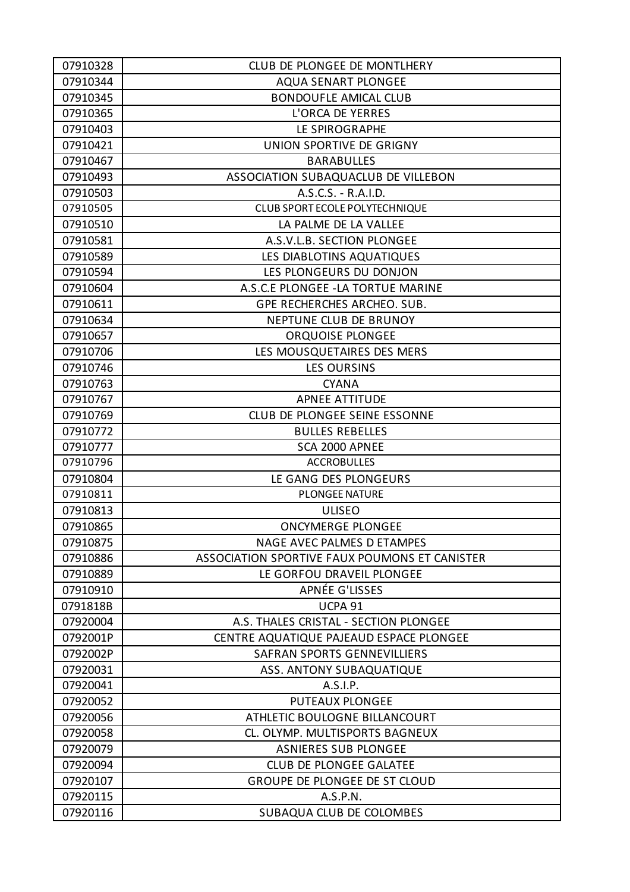| 07910328 | CLUB DE PLONGEE DE MONTLHERY                  |
|----------|-----------------------------------------------|
| 07910344 | <b>AQUA SENART PLONGEE</b>                    |
| 07910345 | <b>BONDOUFLE AMICAL CLUB</b>                  |
| 07910365 | L'ORCA DE YERRES                              |
| 07910403 | LE SPIROGRAPHE                                |
| 07910421 | UNION SPORTIVE DE GRIGNY                      |
| 07910467 | <b>BARABULLES</b>                             |
| 07910493 | ASSOCIATION SUBAQUACLUB DE VILLEBON           |
| 07910503 | A.S.C.S. - R.A.I.D.                           |
| 07910505 | CLUB SPORT ECOLE POLYTECHNIQUE                |
| 07910510 | LA PALME DE LA VALLEE                         |
| 07910581 | A.S.V.L.B. SECTION PLONGEE                    |
| 07910589 | LES DIABLOTINS AQUATIQUES                     |
| 07910594 | LES PLONGEURS DU DONJON                       |
| 07910604 | A.S.C.E PLONGEE - LA TORTUE MARINE            |
| 07910611 | GPE RECHERCHES ARCHEO. SUB.                   |
| 07910634 | NEPTUNE CLUB DE BRUNOY                        |
| 07910657 | ORQUOISE PLONGEE                              |
| 07910706 | LES MOUSQUETAIRES DES MERS                    |
| 07910746 | <b>LES OURSINS</b>                            |
| 07910763 | <b>CYANA</b>                                  |
| 07910767 | <b>APNEE ATTITUDE</b>                         |
| 07910769 | CLUB DE PLONGEE SEINE ESSONNE                 |
| 07910772 | <b>BULLES REBELLES</b>                        |
| 07910777 | SCA 2000 APNEE                                |
| 07910796 | <b>ACCROBULLES</b>                            |
| 07910804 | LE GANG DES PLONGEURS                         |
| 07910811 | <b>PLONGEE NATURE</b>                         |
| 07910813 | <b>ULISEO</b>                                 |
| 07910865 | <b>ONCYMERGE PLONGEE</b>                      |
| 07910875 | NAGE AVEC PALMES D ETAMPES                    |
| 07910886 | ASSOCIATION SPORTIVE FAUX POUMONS ET CANISTER |
| 07910889 | LE GORFOU DRAVEIL PLONGEE                     |
| 07910910 | APNÉE G'LISSES                                |
| 0791818B | UCPA <sub>91</sub>                            |
| 07920004 | A.S. THALES CRISTAL - SECTION PLONGEE         |
| 0792001P | CENTRE AQUATIQUE PAJEAUD ESPACE PLONGEE       |
| 0792002P | <b>SAFRAN SPORTS GENNEVILLIERS</b>            |
| 07920031 | ASS. ANTONY SUBAQUATIQUE                      |
| 07920041 | A.S.I.P.                                      |
| 07920052 | <b>PUTEAUX PLONGEE</b>                        |
| 07920056 | ATHLETIC BOULOGNE BILLANCOURT                 |
| 07920058 | CL. OLYMP. MULTISPORTS BAGNEUX                |
| 07920079 | <b>ASNIERES SUB PLONGEE</b>                   |
| 07920094 | <b>CLUB DE PLONGEE GALATEE</b>                |
| 07920107 | <b>GROUPE DE PLONGEE DE ST CLOUD</b>          |
| 07920115 | A.S.P.N.                                      |
| 07920116 | SUBAQUA CLUB DE COLOMBES                      |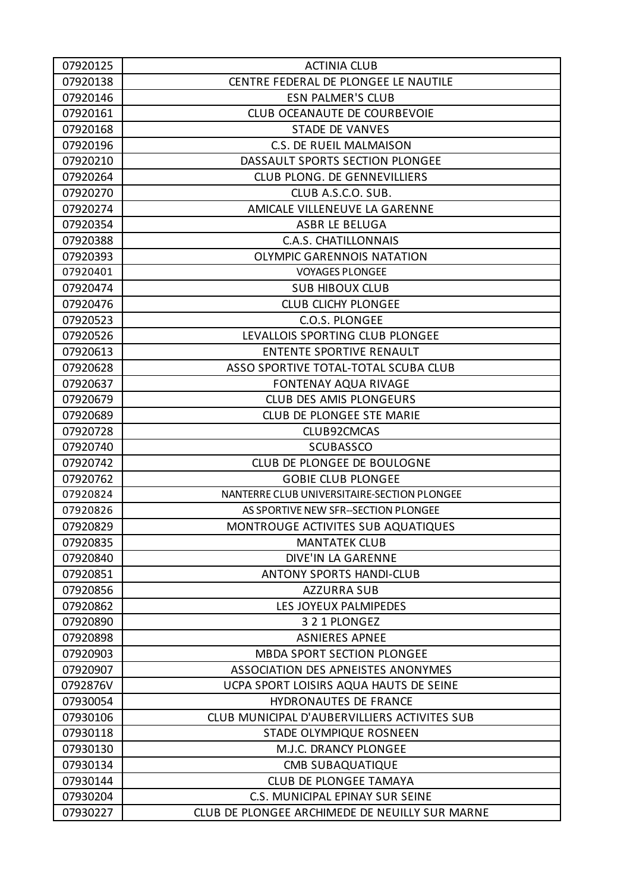| 07920125 | <b>ACTINIA CLUB</b>                            |
|----------|------------------------------------------------|
| 07920138 | CENTRE FEDERAL DE PLONGEE LE NAUTILE           |
| 07920146 | <b>ESN PALMER'S CLUB</b>                       |
| 07920161 | <b>CLUB OCEANAUTE DE COURBEVOIE</b>            |
| 07920168 | <b>STADE DE VANVES</b>                         |
| 07920196 | <b>C.S. DE RUEIL MALMAISON</b>                 |
| 07920210 | DASSAULT SPORTS SECTION PLONGEE                |
| 07920264 | CLUB PLONG. DE GENNEVILLIERS                   |
| 07920270 | CLUB A.S.C.O. SUB.                             |
| 07920274 | AMICALE VILLENEUVE LA GARENNE                  |
| 07920354 | ASBR LE BELUGA                                 |
| 07920388 | <b>C.A.S. CHATILLONNAIS</b>                    |
| 07920393 | <b>OLYMPIC GARENNOIS NATATION</b>              |
| 07920401 | <b>VOYAGES PLONGEE</b>                         |
| 07920474 | <b>SUB HIBOUX CLUB</b>                         |
| 07920476 | <b>CLUB CLICHY PLONGEE</b>                     |
| 07920523 | C.O.S. PLONGEE                                 |
| 07920526 | LEVALLOIS SPORTING CLUB PLONGEE                |
| 07920613 | <b>ENTENTE SPORTIVE RENAULT</b>                |
| 07920628 | ASSO SPORTIVE TOTAL-TOTAL SCUBA CLUB           |
| 07920637 | <b>FONTENAY AQUA RIVAGE</b>                    |
| 07920679 | <b>CLUB DES AMIS PLONGEURS</b>                 |
| 07920689 | <b>CLUB DE PLONGEE STE MARIE</b>               |
| 07920728 | CLUB92CMCAS                                    |
| 07920740 | <b>SCUBASSCO</b>                               |
| 07920742 | CLUB DE PLONGEE DE BOULOGNE                    |
| 07920762 | <b>GOBIE CLUB PLONGEE</b>                      |
| 07920824 | NANTERRE CLUB UNIVERSITAIRE-SECTION PLONGEE    |
| 07920826 | AS SPORTIVE NEW SFR--SECTION PLONGEE           |
| 07920829 | MONTROUGE ACTIVITES SUB AQUATIQUES             |
| 07920835 | <b>MANTATEK CLUB</b>                           |
| 07920840 | DIVE'IN LA GARENNE                             |
| 07920851 | <b>ANTONY SPORTS HANDI-CLUB</b>                |
| 07920856 | <b>AZZURRA SUB</b>                             |
| 07920862 | LES JOYEUX PALMIPEDES                          |
| 07920890 | 3 2 1 PLONGEZ                                  |
| 07920898 | <b>ASNIERES APNEE</b>                          |
| 07920903 | <b>MBDA SPORT SECTION PLONGEE</b>              |
| 07920907 | ASSOCIATION DES APNEISTES ANONYMES             |
| 0792876V | UCPA SPORT LOISIRS AQUA HAUTS DE SEINE         |
| 07930054 | HYDRONAUTES DE FRANCE                          |
| 07930106 | CLUB MUNICIPAL D'AUBERVILLIERS ACTIVITES SUB   |
| 07930118 | <b>STADE OLYMPIQUE ROSNEEN</b>                 |
| 07930130 | M.J.C. DRANCY PLONGEE                          |
| 07930134 | <b>CMB SUBAQUATIQUE</b>                        |
| 07930144 | <b>CLUB DE PLONGEE TAMAYA</b>                  |
| 07930204 | C.S. MUNICIPAL EPINAY SUR SEINE                |
| 07930227 | CLUB DE PLONGEE ARCHIMEDE DE NEUILLY SUR MARNE |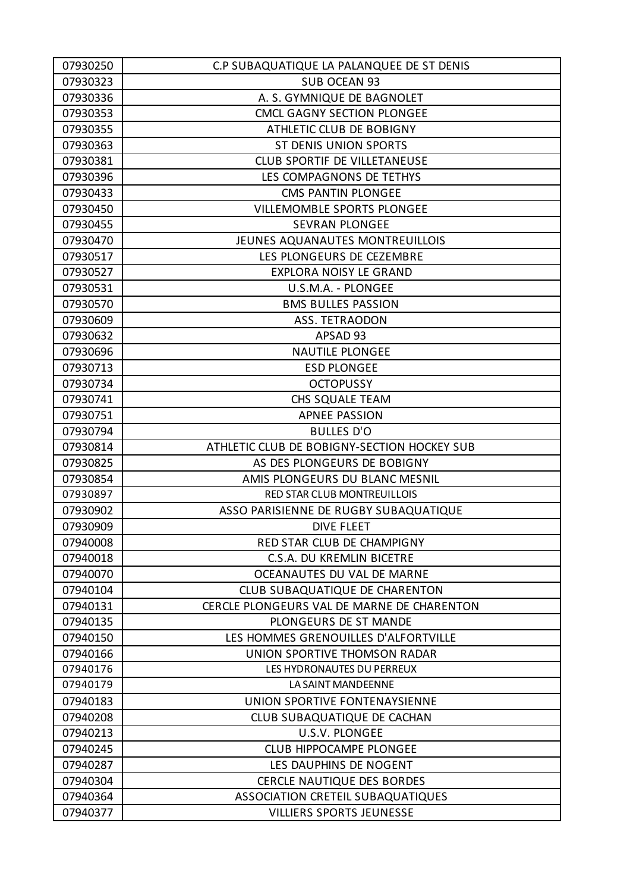| 07930250 | C.P SUBAQUATIQUE LA PALANQUEE DE ST DENIS   |
|----------|---------------------------------------------|
| 07930323 | SUB OCEAN 93                                |
| 07930336 | A. S. GYMNIQUE DE BAGNOLET                  |
| 07930353 | <b>CMCL GAGNY SECTION PLONGEE</b>           |
| 07930355 | ATHLETIC CLUB DE BOBIGNY                    |
| 07930363 | <b>ST DENIS UNION SPORTS</b>                |
| 07930381 | <b>CLUB SPORTIF DE VILLETANEUSE</b>         |
| 07930396 | LES COMPAGNONS DE TETHYS                    |
| 07930433 | CMS PANTIN PLONGEE                          |
| 07930450 | <b>VILLEMOMBLE SPORTS PLONGEE</b>           |
| 07930455 | <b>SEVRAN PLONGEE</b>                       |
| 07930470 | JEUNES AQUANAUTES MONTREUILLOIS             |
| 07930517 | LES PLONGEURS DE CEZEMBRE                   |
| 07930527 | <b>EXPLORA NOISY LE GRAND</b>               |
| 07930531 | U.S.M.A. - PLONGEE                          |
| 07930570 | <b>BMS BULLES PASSION</b>                   |
| 07930609 | <b>ASS. TETRAODON</b>                       |
| 07930632 | APSAD 93                                    |
| 07930696 | <b>NAUTILE PLONGEE</b>                      |
| 07930713 | <b>ESD PLONGEE</b>                          |
| 07930734 | <b>OCTOPUSSY</b>                            |
| 07930741 | CHS SQUALE TEAM                             |
| 07930751 | <b>APNEE PASSION</b>                        |
| 07930794 | <b>BULLES D'O</b>                           |
| 07930814 | ATHLETIC CLUB DE BOBIGNY-SECTION HOCKEY SUB |
| 07930825 | AS DES PLONGEURS DE BOBIGNY                 |
| 07930854 | AMIS PLONGEURS DU BLANC MESNIL              |
| 07930897 | RED STAR CLUB MONTREUILLOIS                 |
| 07930902 | ASSO PARISIENNE DE RUGBY SUBAQUATIQUE       |
| 07930909 | <b>DIVE FLEET</b>                           |
| 07940008 | RED STAR CLUB DE CHAMPIGNY                  |
| 07940018 | C.S.A. DU KREMLIN BICETRE                   |
| 07940070 | OCEANAUTES DU VAL DE MARNE                  |
| 07940104 | CLUB SUBAQUATIQUE DE CHARENTON              |
| 07940131 | CERCLE PLONGEURS VAL DE MARNE DE CHARENTON  |
| 07940135 | PLONGEURS DE ST MANDE                       |
| 07940150 | LES HOMMES GRENOUILLES D'ALFORTVILLE        |
| 07940166 | UNION SPORTIVE THOMSON RADAR                |
| 07940176 | LES HYDRONAUTES DU PERREUX                  |
| 07940179 | LA SAINT MANDEENNE                          |
| 07940183 | UNION SPORTIVE FONTENAYSIENNE               |
| 07940208 | CLUB SUBAQUATIQUE DE CACHAN                 |
| 07940213 | U.S.V. PLONGEE                              |
| 07940245 | <b>CLUB HIPPOCAMPE PLONGEE</b>              |
| 07940287 | LES DAUPHINS DE NOGENT                      |
| 07940304 | <b>CERCLE NAUTIQUE DES BORDES</b>           |
| 07940364 | ASSOCIATION CRETEIL SUBAQUATIQUES           |
| 07940377 | <b>VILLIERS SPORTS JEUNESSE</b>             |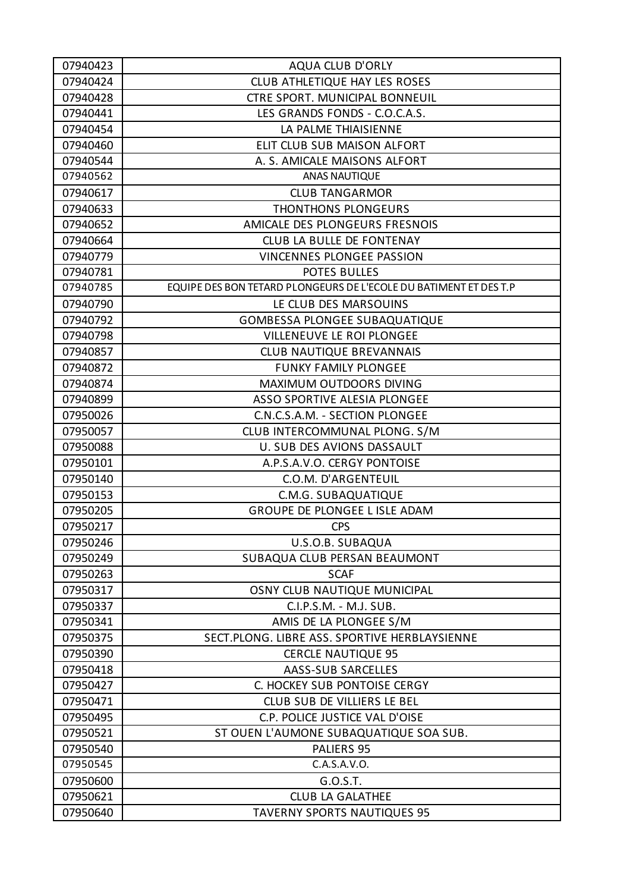| 07940423 | <b>AQUA CLUB D'ORLY</b>                                           |
|----------|-------------------------------------------------------------------|
| 07940424 | CLUB ATHLETIQUE HAY LES ROSES                                     |
| 07940428 | <b>CTRE SPORT. MUNICIPAL BONNEUIL</b>                             |
| 07940441 | LES GRANDS FONDS - C.O.C.A.S.                                     |
| 07940454 | LA PALME THIAISIENNE                                              |
| 07940460 | ELIT CLUB SUB MAISON ALFORT                                       |
| 07940544 | A. S. AMICALE MAISONS ALFORT                                      |
| 07940562 | ANAS NAUTIQUE                                                     |
| 07940617 | <b>CLUB TANGARMOR</b>                                             |
| 07940633 | THONTHONS PLONGEURS                                               |
| 07940652 | AMICALE DES PLONGEURS FRESNOIS                                    |
| 07940664 | <b>CLUB LA BULLE DE FONTENAY</b>                                  |
| 07940779 | <b>VINCENNES PLONGEE PASSION</b>                                  |
| 07940781 | <b>POTES BULLES</b>                                               |
| 07940785 | EQUIPE DES BON TETARD PLONGEURS DE L'ECOLE DU BATIMENT ET DES T.P |
| 07940790 | LE CLUB DES MARSOUINS                                             |
| 07940792 | <b>GOMBESSA PLONGEE SUBAQUATIQUE</b>                              |
| 07940798 | <b>VILLENEUVE LE ROI PLONGEE</b>                                  |
| 07940857 | <b>CLUB NAUTIQUE BREVANNAIS</b>                                   |
| 07940872 | <b>FUNKY FAMILY PLONGEE</b>                                       |
| 07940874 | MAXIMUM OUTDOORS DIVING                                           |
| 07940899 | ASSO SPORTIVE ALESIA PLONGEE                                      |
| 07950026 | C.N.C.S.A.M. - SECTION PLONGEE                                    |
| 07950057 | CLUB INTERCOMMUNAL PLONG. S/M                                     |
| 07950088 | U. SUB DES AVIONS DASSAULT                                        |
| 07950101 | A.P.S.A.V.O. CERGY PONTOISE                                       |
| 07950140 | C.O.M. D'ARGENTEUIL                                               |
| 07950153 | C.M.G. SUBAQUATIQUE                                               |
| 07950205 | GROUPE DE PLONGEE L ISLE ADAM                                     |
| 07950217 | <b>CPS</b>                                                        |
| 07950246 | U.S.O.B. SUBAQUA                                                  |
| 07950249 | SUBAQUA CLUB PERSAN BEAUMONT                                      |
| 07950263 | <b>SCAF</b>                                                       |
| 07950317 | OSNY CLUB NAUTIQUE MUNICIPAL                                      |
| 07950337 | C.I.P.S.M. - M.J. SUB.                                            |
| 07950341 | AMIS DE LA PLONGEE S/M                                            |
| 07950375 | SECT.PLONG. LIBRE ASS. SPORTIVE HERBLAYSIENNE                     |
| 07950390 | <b>CERCLE NAUTIQUE 95</b>                                         |
| 07950418 | AASS-SUB SARCELLES                                                |
| 07950427 | C. HOCKEY SUB PONTOISE CERGY                                      |
| 07950471 | CLUB SUB DE VILLIERS LE BEL                                       |
| 07950495 | C.P. POLICE JUSTICE VAL D'OISE                                    |
| 07950521 | ST OUEN L'AUMONE SUBAQUATIQUE SOA SUB.                            |
| 07950540 | PALIERS 95                                                        |
| 07950545 | C.A.S.A.V.O.                                                      |
| 07950600 | G.O.S.T.                                                          |
| 07950621 | <b>CLUB LA GALATHEE</b>                                           |
| 07950640 | <b>TAVERNY SPORTS NAUTIQUES 95</b>                                |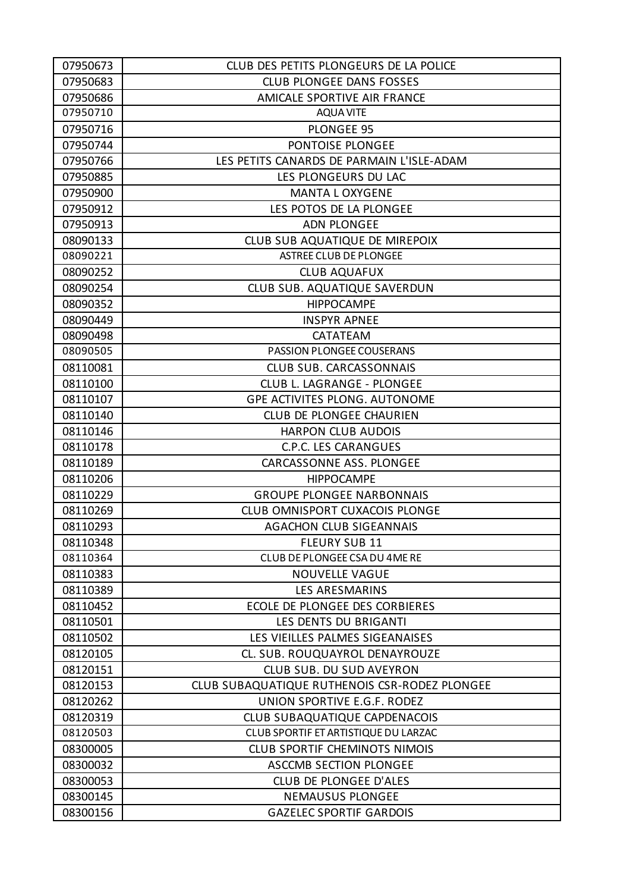| 07950673 | CLUB DES PETITS PLONGEURS DE LA POLICE        |
|----------|-----------------------------------------------|
| 07950683 | <b>CLUB PLONGEE DANS FOSSES</b>               |
| 07950686 | AMICALE SPORTIVE AIR FRANCE                   |
| 07950710 | <b>AQUA VITE</b>                              |
| 07950716 | <b>PLONGEE 95</b>                             |
| 07950744 | PONTOISE PLONGEE                              |
| 07950766 | LES PETITS CANARDS DE PARMAIN L'ISLE-ADAM     |
| 07950885 | LES PLONGEURS DU LAC                          |
| 07950900 | <b>MANTA L OXYGENE</b>                        |
| 07950912 | LES POTOS DE LA PLONGEE                       |
| 07950913 | <b>ADN PLONGEE</b>                            |
| 08090133 | CLUB SUB AQUATIQUE DE MIREPOIX                |
| 08090221 | <b>ASTREE CLUB DE PLONGEE</b>                 |
| 08090252 | <b>CLUB AQUAFUX</b>                           |
| 08090254 | <b>CLUB SUB. AQUATIQUE SAVERDUN</b>           |
| 08090352 | <b>HIPPOCAMPE</b>                             |
| 08090449 | <b>INSPYR APNEE</b>                           |
| 08090498 | CATATEAM                                      |
| 08090505 | <b>PASSION PLONGEE COUSERANS</b>              |
| 08110081 | <b>CLUB SUB. CARCASSONNAIS</b>                |
| 08110100 | CLUB L. LAGRANGE - PLONGEE                    |
| 08110107 | <b>GPE ACTIVITES PLONG. AUTONOME</b>          |
| 08110140 | <b>CLUB DE PLONGEE CHAURIEN</b>               |
| 08110146 | <b>HARPON CLUB AUDOIS</b>                     |
| 08110178 | <b>C.P.C. LES CARANGUES</b>                   |
| 08110189 | CARCASSONNE ASS. PLONGEE                      |
| 08110206 | <b>HIPPOCAMPE</b>                             |
| 08110229 | <b>GROUPE PLONGEE NARBONNAIS</b>              |
| 08110269 | <b>CLUB OMNISPORT CUXACOIS PLONGE</b>         |
| 08110293 | <b>AGACHON CLUB SIGEANNAIS</b>                |
| 08110348 | <b>FLEURY SUB 11</b>                          |
| 08110364 | CLUB DE PLONGEE CSA DU 4ME RE                 |
| 08110383 | <b>NOUVELLE VAGUE</b>                         |
| 08110389 | LES ARESMARINS                                |
| 08110452 | ECOLE DE PLONGEE DES CORBIERES                |
| 08110501 | LES DENTS DU BRIGANTI                         |
| 08110502 | LES VIEILLES PALMES SIGEANAISES               |
| 08120105 | CL. SUB. ROUQUAYROL DENAYROUZE                |
| 08120151 | <b>CLUB SUB. DU SUD AVEYRON</b>               |
| 08120153 | CLUB SUBAQUATIQUE RUTHENOIS CSR-RODEZ PLONGEE |
| 08120262 | UNION SPORTIVE E.G.F. RODEZ                   |
| 08120319 | <b>CLUB SUBAQUATIQUE CAPDENACOIS</b>          |
| 08120503 | CLUB SPORTIF ET ARTISTIQUE DU LARZAC          |
| 08300005 | <b>CLUB SPORTIF CHEMINOTS NIMOIS</b>          |
| 08300032 | <b>ASCCMB SECTION PLONGEE</b>                 |
| 08300053 | CLUB DE PLONGEE D'ALES                        |
| 08300145 | <b>NEMAUSUS PLONGEE</b>                       |
| 08300156 | <b>GAZELEC SPORTIF GARDOIS</b>                |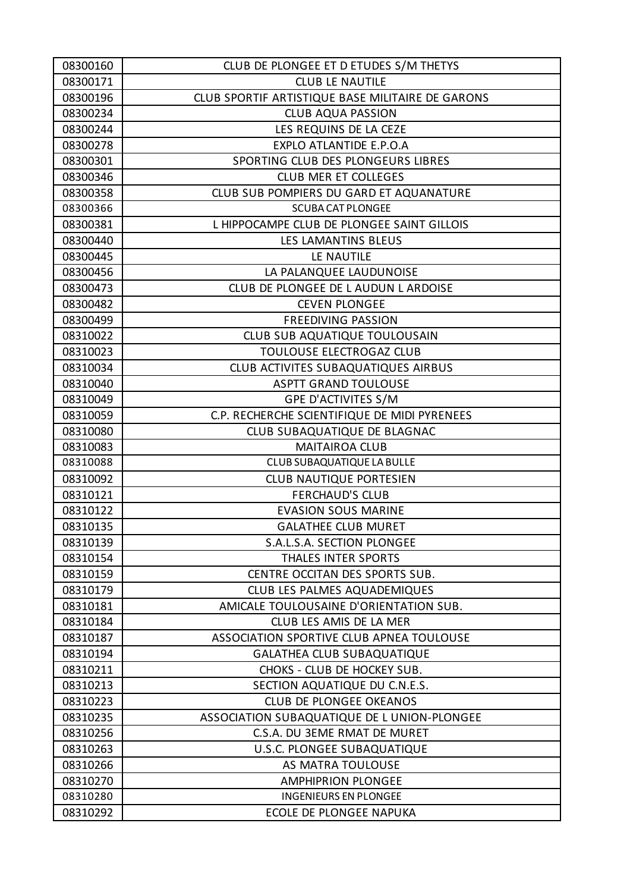| 08300160 | CLUB DE PLONGEE ET D ETUDES S/M THETYS           |
|----------|--------------------------------------------------|
| 08300171 | <b>CLUB LE NAUTILE</b>                           |
| 08300196 | CLUB SPORTIF ARTISTIQUE BASE MILITAIRE DE GARONS |
| 08300234 | <b>CLUB AQUA PASSION</b>                         |
| 08300244 | LES REQUINS DE LA CEZE                           |
| 08300278 | EXPLO ATLANTIDE E.P.O.A                          |
| 08300301 | SPORTING CLUB DES PLONGEURS LIBRES               |
| 08300346 | <b>CLUB MER ET COLLEGES</b>                      |
| 08300358 | CLUB SUB POMPIERS DU GARD ET AQUANATURE          |
| 08300366 | <b>SCUBA CAT PLONGEE</b>                         |
| 08300381 | L HIPPOCAMPE CLUB DE PLONGEE SAINT GILLOIS       |
| 08300440 | LES LAMANTINS BLEUS                              |
| 08300445 | LE NAUTILE                                       |
| 08300456 | LA PALANQUEE LAUDUNOISE                          |
| 08300473 | CLUB DE PLONGEE DE L AUDUN L ARDOISE             |
| 08300482 | <b>CEVEN PLONGEE</b>                             |
| 08300499 | <b>FREEDIVING PASSION</b>                        |
| 08310022 | CLUB SUB AQUATIQUE TOULOUSAIN                    |
| 08310023 | TOULOUSE ELECTROGAZ CLUB                         |
| 08310034 | CLUB ACTIVITES SUBAQUATIQUES AIRBUS              |
| 08310040 | <b>ASPTT GRAND TOULOUSE</b>                      |
| 08310049 | GPE D'ACTIVITES S/M                              |
| 08310059 | C.P. RECHERCHE SCIENTIFIQUE DE MIDI PYRENEES     |
| 08310080 | CLUB SUBAQUATIQUE DE BLAGNAC                     |
| 08310083 | <b>MAITAIROA CLUB</b>                            |
| 08310088 | CLUB SUBAQUATIQUE LA BULLE                       |
| 08310092 | <b>CLUB NAUTIQUE PORTESIEN</b>                   |
| 08310121 | <b>FERCHAUD'S CLUB</b>                           |
| 08310122 | <b>EVASION SOUS MARINE</b>                       |
| 08310135 | <b>GALATHEE CLUB MURET</b>                       |
| 08310139 | S.A.L.S.A. SECTION PLONGEE                       |
| 08310154 | <b>THALES INTER SPORTS</b>                       |
| 08310159 | CENTRE OCCITAN DES SPORTS SUB.                   |
| 08310179 | CLUB LES PALMES AQUADEMIQUES                     |
| 08310181 | AMICALE TOULOUSAINE D'ORIENTATION SUB.           |
| 08310184 | CLUB LES AMIS DE LA MER                          |
| 08310187 | ASSOCIATION SPORTIVE CLUB APNEA TOULOUSE         |
| 08310194 | <b>GALATHEA CLUB SUBAQUATIQUE</b>                |
| 08310211 | CHOKS - CLUB DE HOCKEY SUB.                      |
| 08310213 | SECTION AQUATIQUE DU C.N.E.S.                    |
| 08310223 | <b>CLUB DE PLONGEE OKEANOS</b>                   |
| 08310235 | ASSOCIATION SUBAQUATIQUE DE L UNION-PLONGEE      |
| 08310256 | C.S.A. DU 3EME RMAT DE MURET                     |
| 08310263 | U.S.C. PLONGEE SUBAQUATIQUE                      |
| 08310266 | AS MATRA TOULOUSE                                |
| 08310270 | <b>AMPHIPRION PLONGEE</b>                        |
| 08310280 | <b>INGENIEURS EN PLONGEE</b>                     |
| 08310292 | ECOLE DE PLONGEE NAPUKA                          |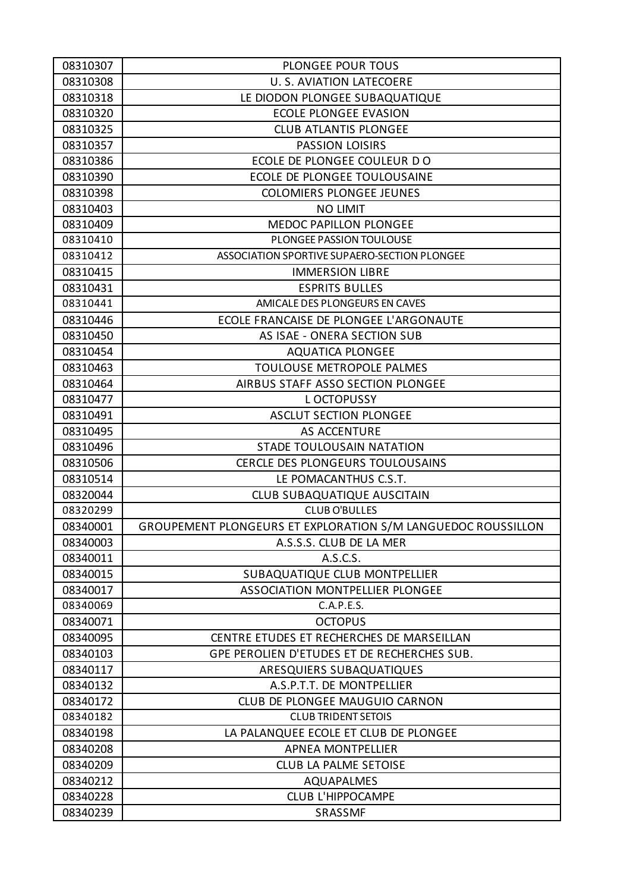| 08310307 | <b>PLONGEE POUR TOUS</b>                                     |
|----------|--------------------------------------------------------------|
| 08310308 | <b>U. S. AVIATION LATECOERE</b>                              |
| 08310318 | LE DIODON PLONGEE SUBAQUATIQUE                               |
| 08310320 | <b>ECOLE PLONGEE EVASION</b>                                 |
| 08310325 | <b>CLUB ATLANTIS PLONGEE</b>                                 |
| 08310357 | <b>PASSION LOISIRS</b>                                       |
| 08310386 | ECOLE DE PLONGEE COULEUR DO                                  |
| 08310390 | ECOLE DE PLONGEE TOULOUSAINE                                 |
| 08310398 | <b>COLOMIERS PLONGEE JEUNES</b>                              |
| 08310403 | <b>NO LIMIT</b>                                              |
| 08310409 | <b>MEDOC PAPILLON PLONGEE</b>                                |
| 08310410 | PLONGEE PASSION TOULOUSE                                     |
| 08310412 | ASSOCIATION SPORTIVE SUPAERO-SECTION PLONGEE                 |
| 08310415 | <b>IMMERSION LIBRE</b>                                       |
| 08310431 | <b>ESPRITS BULLES</b>                                        |
| 08310441 | AMICALE DES PLONGEURS EN CAVES                               |
| 08310446 | ECOLE FRANCAISE DE PLONGEE L'ARGONAUTE                       |
| 08310450 | AS ISAE - ONERA SECTION SUB                                  |
| 08310454 | <b>AQUATICA PLONGEE</b>                                      |
| 08310463 | TOULOUSE METROPOLE PALMES                                    |
| 08310464 | AIRBUS STAFF ASSO SECTION PLONGEE                            |
| 08310477 | L OCTOPUSSY                                                  |
| 08310491 | <b>ASCLUT SECTION PLONGEE</b>                                |
| 08310495 | <b>AS ACCENTURE</b>                                          |
| 08310496 | STADE TOULOUSAIN NATATION                                    |
| 08310506 | CERCLE DES PLONGEURS TOULOUSAINS                             |
| 08310514 | LE POMACANTHUS C.S.T.                                        |
| 08320044 | CLUB SUBAQUATIQUE AUSCITAIN                                  |
| 08320299 | <b>CLUB O'BULLES</b>                                         |
| 08340001 | GROUPEMENT PLONGEURS ET EXPLORATION S/M LANGUEDOC ROUSSILLON |
| 08340003 | A.S.S.S. CLUB DE LA MER                                      |
| 08340011 | A.S.C.S.                                                     |
| 08340015 | SUBAQUATIQUE CLUB MONTPELLIER                                |
| 08340017 | <b>ASSOCIATION MONTPELLIER PLONGEE</b>                       |
| 08340069 | C.A.P.E.S.                                                   |
| 08340071 | <b>OCTOPUS</b>                                               |
| 08340095 | CENTRE ETUDES ET RECHERCHES DE MARSEILLAN                    |
| 08340103 | GPE PEROLIEN D'ETUDES ET DE RECHERCHES SUB.                  |
| 08340117 | ARESQUIERS SUBAQUATIQUES                                     |
| 08340132 | A.S.P.T.T. DE MONTPELLIER                                    |
| 08340172 | <b>CLUB DE PLONGEE MAUGUIO CARNON</b>                        |
| 08340182 | <b>CLUB TRIDENT SETOIS</b>                                   |
| 08340198 | LA PALANQUEE ECOLE ET CLUB DE PLONGEE                        |
| 08340208 | <b>APNEA MONTPELLIER</b>                                     |
| 08340209 | <b>CLUB LA PALME SETOISE</b>                                 |
| 08340212 | <b>AQUAPALMES</b>                                            |
| 08340228 | <b>CLUB L'HIPPOCAMPE</b>                                     |
| 08340239 | <b>SRASSMF</b>                                               |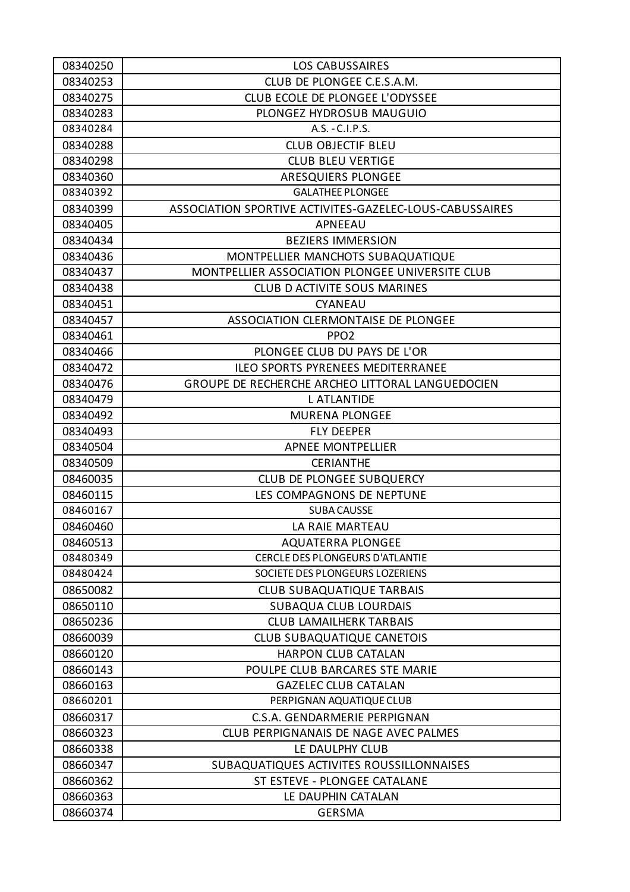| 08340250 | <b>LOS CABUSSAIRES</b>                                  |
|----------|---------------------------------------------------------|
| 08340253 | CLUB DE PLONGEE C.E.S.A.M.                              |
| 08340275 | CLUB ECOLE DE PLONGEE L'ODYSSEE                         |
| 08340283 | PLONGEZ HYDROSUB MAUGUIO                                |
| 08340284 | A.S. - C.I.P.S.                                         |
| 08340288 | <b>CLUB OBJECTIF BLEU</b>                               |
| 08340298 | <b>CLUB BLEU VERTIGE</b>                                |
| 08340360 | ARESQUIERS PLONGEE                                      |
| 08340392 | <b>GALATHEE PLONGEE</b>                                 |
| 08340399 | ASSOCIATION SPORTIVE ACTIVITES-GAZELEC-LOUS-CABUSSAIRES |
| 08340405 | APNEEAU                                                 |
| 08340434 | <b>BEZIERS IMMERSION</b>                                |
| 08340436 | MONTPELLIER MANCHOTS SUBAQUATIQUE                       |
| 08340437 | MONTPELLIER ASSOCIATION PLONGEE UNIVERSITE CLUB         |
| 08340438 | <b>CLUB D ACTIVITE SOUS MARINES</b>                     |
| 08340451 | CYANEAU                                                 |
| 08340457 | ASSOCIATION CLERMONTAISE DE PLONGEE                     |
| 08340461 | PPO <sub>2</sub>                                        |
| 08340466 | PLONGEE CLUB DU PAYS DE L'OR                            |
| 08340472 | <b>ILEO SPORTS PYRENEES MEDITERRANEE</b>                |
| 08340476 | GROUPE DE RECHERCHE ARCHEO LITTORAL LANGUEDOCIEN        |
| 08340479 | <b>L ATLANTIDE</b>                                      |
| 08340492 | <b>MURENA PLONGEE</b>                                   |
| 08340493 | <b>FLY DEEPER</b>                                       |
| 08340504 | <b>APNEE MONTPELLIER</b>                                |
| 08340509 | <b>CERIANTHE</b>                                        |
| 08460035 | <b>CLUB DE PLONGEE SUBQUERCY</b>                        |
| 08460115 | LES COMPAGNONS DE NEPTUNE                               |
| 08460167 | <b>SUBA CAUSSE</b>                                      |
| 08460460 | LA RAIE MARTEAU                                         |
| 08460513 | <b>AQUATERRA PLONGEE</b>                                |
| 08480349 | <b>CERCLE DES PLONGEURS D'ATLANTIE</b>                  |
| 08480424 | SOCIETE DES PLONGEURS LOZERIENS                         |
| 08650082 | <b>CLUB SUBAQUATIQUE TARBAIS</b>                        |
| 08650110 | <b>SUBAQUA CLUB LOURDAIS</b>                            |
| 08650236 | <b>CLUB LAMAILHERK TARBAIS</b>                          |
| 08660039 | <b>CLUB SUBAQUATIQUE CANETOIS</b>                       |
| 08660120 | HARPON CLUB CATALAN                                     |
| 08660143 | POULPE CLUB BARCARES STE MARIE                          |
| 08660163 | <b>GAZELEC CLUB CATALAN</b>                             |
| 08660201 | PERPIGNAN AQUATIQUE CLUB                                |
| 08660317 | C.S.A. GENDARMERIE PERPIGNAN                            |
| 08660323 | CLUB PERPIGNANAIS DE NAGE AVEC PALMES                   |
| 08660338 | LE DAULPHY CLUB                                         |
| 08660347 | SUBAQUATIQUES ACTIVITES ROUSSILLONNAISES                |
| 08660362 | ST ESTEVE - PLONGEE CATALANE                            |
| 08660363 | LE DAUPHIN CATALAN                                      |
| 08660374 | <b>GERSMA</b>                                           |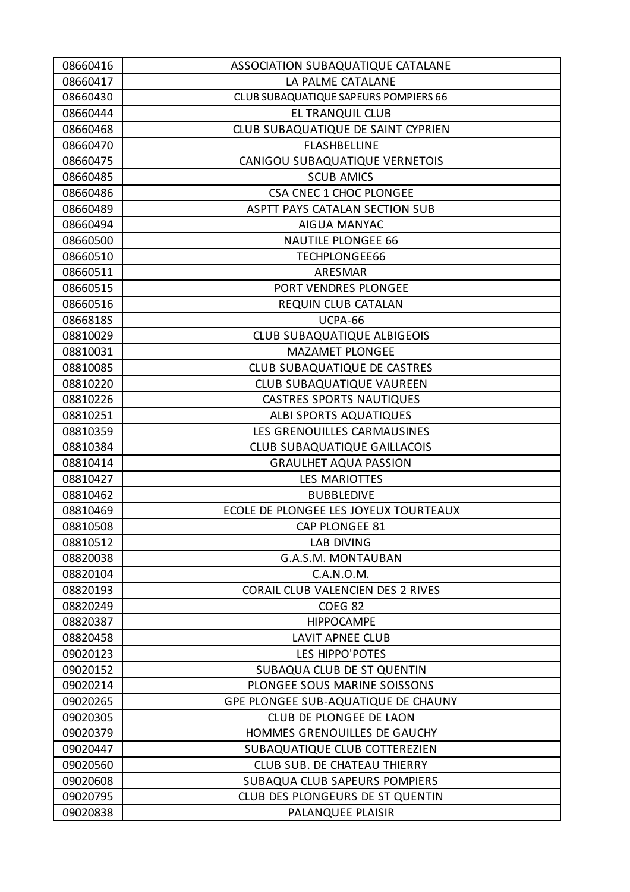| 08660416 | ASSOCIATION SUBAQUATIQUE CATALANE     |
|----------|---------------------------------------|
| 08660417 | LA PALME CATALANE                     |
| 08660430 | CLUB SUBAQUATIQUE SAPEURS POMPIERS 66 |
| 08660444 | EL TRANQUIL CLUB                      |
| 08660468 | CLUB SUBAQUATIQUE DE SAINT CYPRIEN    |
| 08660470 | <b>FLASHBELLINE</b>                   |
| 08660475 | CANIGOU SUBAQUATIQUE VERNETOIS        |
| 08660485 | <b>SCUB AMICS</b>                     |
| 08660486 | CSA CNEC 1 CHOC PLONGEE               |
| 08660489 | ASPTT PAYS CATALAN SECTION SUB        |
| 08660494 | <b>AIGUA MANYAC</b>                   |
| 08660500 | <b>NAUTILE PLONGEE 66</b>             |
| 08660510 | <b>TECHPLONGEE66</b>                  |
| 08660511 | ARESMAR                               |
| 08660515 | PORT VENDRES PLONGEE                  |
| 08660516 | REQUIN CLUB CATALAN                   |
| 0866818S | UCPA-66                               |
| 08810029 | <b>CLUB SUBAQUATIQUE ALBIGEOIS</b>    |
| 08810031 | <b>MAZAMET PLONGEE</b>                |
| 08810085 | CLUB SUBAQUATIQUE DE CASTRES          |
| 08810220 | CLUB SUBAQUATIQUE VAUREEN             |
| 08810226 | <b>CASTRES SPORTS NAUTIQUES</b>       |
| 08810251 | <b>ALBI SPORTS AQUATIQUES</b>         |
| 08810359 | LES GRENOUILLES CARMAUSINES           |
| 08810384 | <b>CLUB SUBAQUATIQUE GAILLACOIS</b>   |
| 08810414 | <b>GRAULHET AQUA PASSION</b>          |
| 08810427 | <b>LES MARIOTTES</b>                  |
| 08810462 | <b>BUBBLEDIVE</b>                     |
| 08810469 | ECOLE DE PLONGEE LES JOYEUX TOURTEAUX |
| 08810508 | <b>CAP PLONGEE 81</b>                 |
| 08810512 | <b>LAB DIVING</b>                     |
| 08820038 | <b>G.A.S.M. MONTAUBAN</b>             |
| 08820104 | C.A.N.O.M.                            |
| 08820193 | CORAIL CLUB VALENCIEN DES 2 RIVES     |
| 08820249 | COEG <sub>82</sub>                    |
| 08820387 | <b>HIPPOCAMPE</b>                     |
| 08820458 | <b>LAVIT APNEE CLUB</b>               |
| 09020123 | LES HIPPO'POTES                       |
| 09020152 | SUBAQUA CLUB DE ST QUENTIN            |
| 09020214 | PLONGEE SOUS MARINE SOISSONS          |
| 09020265 | GPE PLONGEE SUB-AQUATIQUE DE CHAUNY   |
| 09020305 | CLUB DE PLONGEE DE LAON               |
| 09020379 | HOMMES GRENOUILLES DE GAUCHY          |
| 09020447 | SUBAQUATIQUE CLUB COTTEREZIEN         |
| 09020560 | <b>CLUB SUB. DE CHATEAU THIERRY</b>   |
| 09020608 | SUBAQUA CLUB SAPEURS POMPIERS         |
| 09020795 | CLUB DES PLONGEURS DE ST QUENTIN      |
| 09020838 | PALANQUEE PLAISIR                     |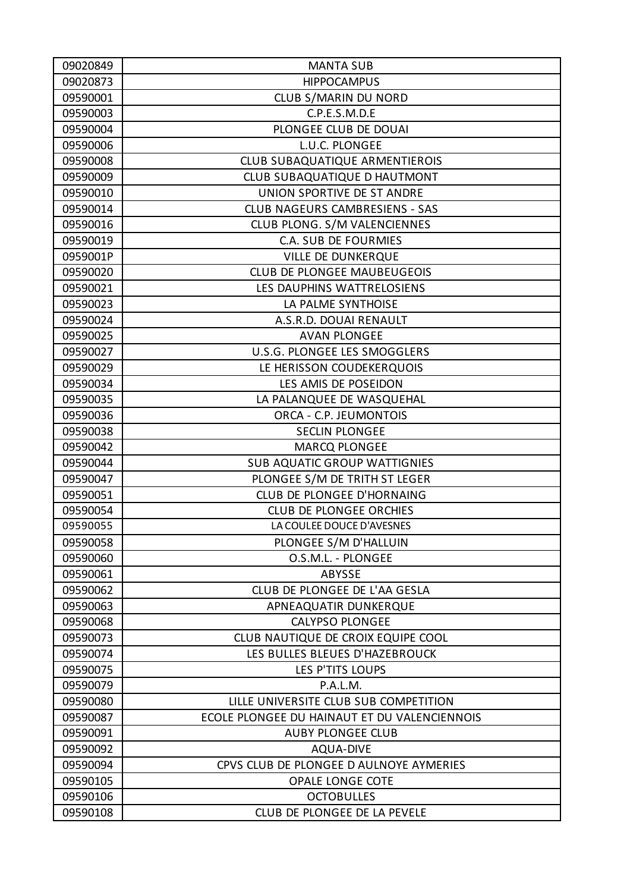| 09020849 | <b>MANTA SUB</b>                             |
|----------|----------------------------------------------|
| 09020873 | <b>HIPPOCAMPUS</b>                           |
| 09590001 | CLUB S/MARIN DU NORD                         |
| 09590003 | C.P.E.S.M.D.E                                |
| 09590004 | PLONGEE CLUB DE DOUAI                        |
| 09590006 | L.U.C. PLONGEE                               |
| 09590008 | CLUB SUBAQUATIQUE ARMENTIEROIS               |
| 09590009 | CLUB SUBAQUATIQUE D HAUTMONT                 |
| 09590010 | UNION SPORTIVE DE ST ANDRE                   |
| 09590014 | <b>CLUB NAGEURS CAMBRESIENS - SAS</b>        |
| 09590016 | CLUB PLONG. S/M VALENCIENNES                 |
| 09590019 | C.A. SUB DE FOURMIES                         |
| 0959001P | <b>VILLE DE DUNKERQUE</b>                    |
| 09590020 | <b>CLUB DE PLONGEE MAUBEUGEOIS</b>           |
| 09590021 | LES DAUPHINS WATTRELOSIENS                   |
| 09590023 | LA PALME SYNTHOISE                           |
| 09590024 | A.S.R.D. DOUAI RENAULT                       |
| 09590025 | <b>AVAN PLONGEE</b>                          |
| 09590027 | U.S.G. PLONGEE LES SMOGGLERS                 |
| 09590029 | LE HERISSON COUDEKERQUOIS                    |
| 09590034 | LES AMIS DE POSEIDON                         |
| 09590035 | LA PALANQUEE DE WASQUEHAL                    |
| 09590036 | ORCA - C.P. JEUMONTOIS                       |
| 09590038 | <b>SECLIN PLONGEE</b>                        |
| 09590042 | <b>MARCQ PLONGEE</b>                         |
| 09590044 | <b>SUB AQUATIC GROUP WATTIGNIES</b>          |
| 09590047 | PLONGEE S/M DE TRITH ST LEGER                |
| 09590051 | CLUB DE PLONGEE D'HORNAING                   |
| 09590054 | <b>CLUB DE PLONGEE ORCHIES</b>               |
| 09590055 | LA COULEE DOUCE D'AVESNES                    |
| 09590058 | PLONGEE S/M D'HALLUIN                        |
| 09590060 | O.S.M.L. - PLONGEE                           |
| 09590061 | ABYSSE                                       |
| 09590062 | CLUB DE PLONGEE DE L'AA GESLA                |
| 09590063 | APNEAQUATIR DUNKERQUE                        |
| 09590068 | <b>CALYPSO PLONGEE</b>                       |
| 09590073 | CLUB NAUTIQUE DE CROIX EQUIPE COOL           |
| 09590074 | LES BULLES BLEUES D'HAZEBROUCK               |
| 09590075 | LES P'TITS LOUPS                             |
| 09590079 | P.A.L.M.                                     |
| 09590080 | LILLE UNIVERSITE CLUB SUB COMPETITION        |
| 09590087 | ECOLE PLONGEE DU HAINAUT ET DU VALENCIENNOIS |
| 09590091 | <b>AUBY PLONGEE CLUB</b>                     |
| 09590092 | <b>AQUA-DIVE</b>                             |
| 09590094 | CPVS CLUB DE PLONGEE D AULNOYE AYMERIES      |
| 09590105 | <b>OPALE LONGE COTE</b>                      |
| 09590106 | <b>OCTOBULLES</b>                            |
| 09590108 | CLUB DE PLONGEE DE LA PEVELE                 |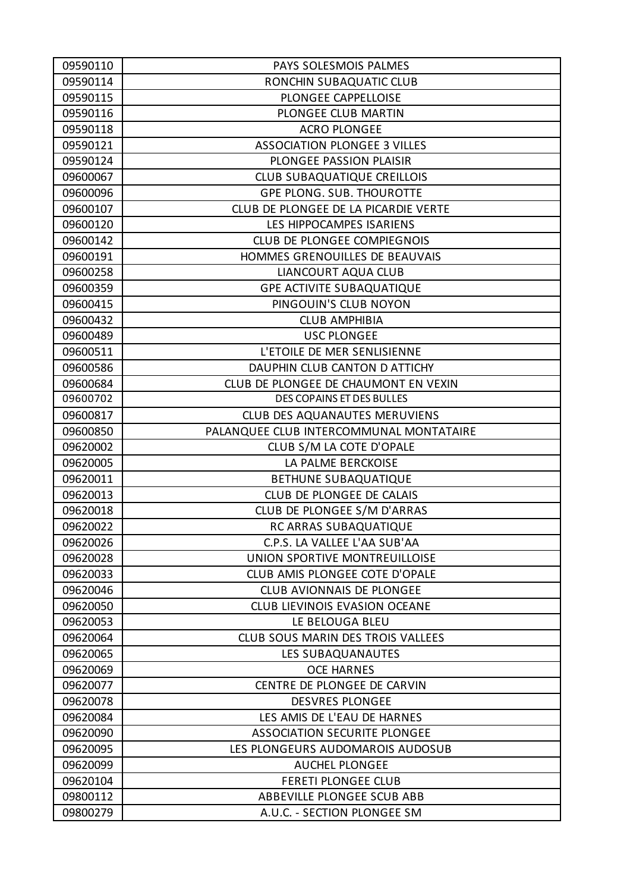| 09590110 | PAYS SOLESMOIS PALMES                   |
|----------|-----------------------------------------|
| 09590114 | RONCHIN SUBAQUATIC CLUB                 |
| 09590115 | PLONGEE CAPPELLOISE                     |
| 09590116 | PLONGEE CLUB MARTIN                     |
| 09590118 | <b>ACRO PLONGEE</b>                     |
| 09590121 | <b>ASSOCIATION PLONGEE 3 VILLES</b>     |
| 09590124 | PLONGEE PASSION PLAISIR                 |
| 09600067 | <b>CLUB SUBAQUATIQUE CREILLOIS</b>      |
| 09600096 | <b>GPE PLONG. SUB. THOUROTTE</b>        |
| 09600107 | CLUB DE PLONGEE DE LA PICARDIE VERTE    |
| 09600120 | LES HIPPOCAMPES ISARIENS                |
| 09600142 | CLUB DE PLONGEE COMPIEGNOIS             |
| 09600191 | HOMMES GRENOUILLES DE BEAUVAIS          |
| 09600258 | LIANCOURT AQUA CLUB                     |
| 09600359 | <b>GPE ACTIVITE SUBAQUATIQUE</b>        |
| 09600415 | PINGOUIN'S CLUB NOYON                   |
| 09600432 | <b>CLUB AMPHIBIA</b>                    |
| 09600489 | <b>USC PLONGEE</b>                      |
| 09600511 | L'ETOILE DE MER SENLISIENNE             |
| 09600586 | DAUPHIN CLUB CANTON D ATTICHY           |
| 09600684 | CLUB DE PLONGEE DE CHAUMONT EN VEXIN    |
| 09600702 | DES COPAINS ET DES BULLES               |
| 09600817 | CLUB DES AQUANAUTES MERUVIENS           |
| 09600850 | PALANQUEE CLUB INTERCOMMUNAL MONTATAIRE |
| 09620002 | CLUB S/M LA COTE D'OPALE                |
| 09620005 | LA PALME BERCKOISE                      |
| 09620011 | <b>BETHUNE SUBAQUATIQUE</b>             |
| 09620013 | CLUB DE PLONGEE DE CALAIS               |
| 09620018 | CLUB DE PLONGEE S/M D'ARRAS             |
| 09620022 | RC ARRAS SUBAQUATIQUE                   |
| 09620026 | C.P.S. LA VALLEE L'AA SUB'AA            |
| 09620028 | UNION SPORTIVE MONTREUILLOISE           |
| 09620033 | CLUB AMIS PLONGEE COTE D'OPALE          |
| 09620046 | <b>CLUB AVIONNAIS DE PLONGEE</b>        |
| 09620050 | <b>CLUB LIEVINOIS EVASION OCEANE</b>    |
| 09620053 | LE BELOUGA BLEU                         |
| 09620064 | CLUB SOUS MARIN DES TROIS VALLEES       |
| 09620065 | LES SUBAQUANAUTES                       |
| 09620069 | <b>OCE HARNES</b>                       |
| 09620077 | CENTRE DE PLONGEE DE CARVIN             |
| 09620078 | <b>DESVRES PLONGEE</b>                  |
| 09620084 | LES AMIS DE L'EAU DE HARNES             |
| 09620090 | ASSOCIATION SECURITE PLONGEE            |
| 09620095 | LES PLONGEURS AUDOMAROIS AUDOSUB        |
| 09620099 | <b>AUCHEL PLONGEE</b>                   |
| 09620104 | <b>FERETI PLONGEE CLUB</b>              |
| 09800112 | ABBEVILLE PLONGEE SCUB ABB              |
| 09800279 | A.U.C. - SECTION PLONGEE SM             |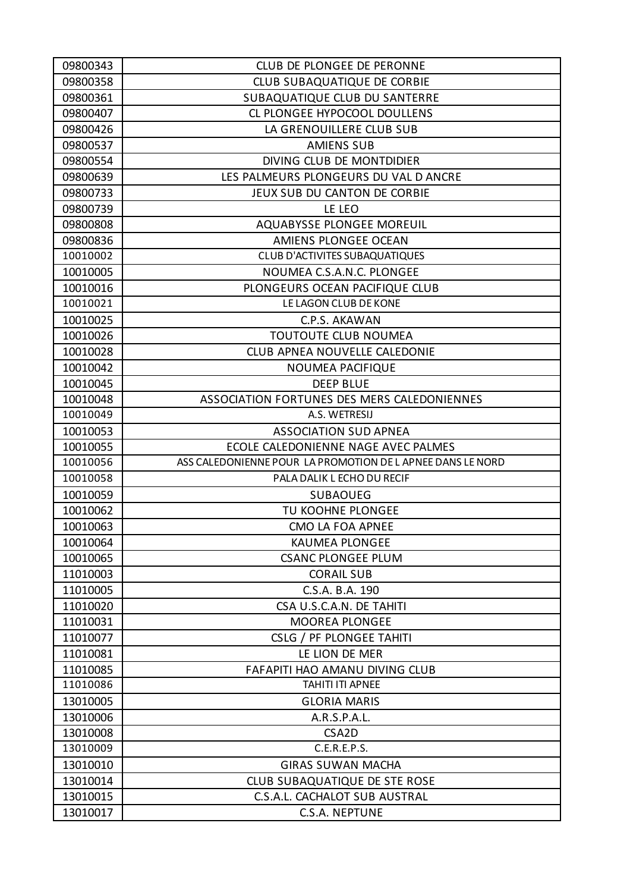| 09800343 | <b>CLUB DE PLONGEE DE PERONNE</b>                         |
|----------|-----------------------------------------------------------|
| 09800358 | <b>CLUB SUBAQUATIQUE DE CORBIE</b>                        |
| 09800361 | SUBAQUATIQUE CLUB DU SANTERRE                             |
| 09800407 | CL PLONGEE HYPOCOOL DOULLENS                              |
| 09800426 | LA GRENOUILLERE CLUB SUB                                  |
| 09800537 | <b>AMIENS SUB</b>                                         |
| 09800554 | DIVING CLUB DE MONTDIDIER                                 |
| 09800639 | LES PALMEURS PLONGEURS DU VAL D ANCRE                     |
| 09800733 | JEUX SUB DU CANTON DE CORBIE                              |
| 09800739 | LE LEO                                                    |
| 09800808 | AQUABYSSE PLONGEE MOREUIL                                 |
| 09800836 | AMIENS PLONGEE OCEAN                                      |
| 10010002 | <b>CLUB D'ACTIVITES SUBAQUATIQUES</b>                     |
| 10010005 | NOUMEA C.S.A.N.C. PLONGEE                                 |
| 10010016 | PLONGEURS OCEAN PACIFIQUE CLUB                            |
| 10010021 | LE LAGON CLUB DE KONE                                     |
| 10010025 | C.P.S. AKAWAN                                             |
| 10010026 | TOUTOUTE CLUB NOUMEA                                      |
| 10010028 | CLUB APNEA NOUVELLE CALEDONIE                             |
| 10010042 | <b>NOUMEA PACIFIQUE</b>                                   |
| 10010045 | <b>DEEP BLUE</b>                                          |
| 10010048 | ASSOCIATION FORTUNES DES MERS CALEDONIENNES               |
| 10010049 | A.S. WETRESIJ                                             |
| 10010053 | <b>ASSOCIATION SUD APNEA</b>                              |
| 10010055 | ECOLE CALEDONIENNE NAGE AVEC PALMES                       |
| 10010056 | ASS CALEDONIENNE POUR LA PROMOTION DE LAPNEE DANS LE NORD |
| 10010058 | PALA DALIK L ECHO DU RECIF                                |
| 10010059 | <b>SUBAOUEG</b>                                           |
| 10010062 | TU KOOHNE PLONGEE                                         |
| 10010063 | CMO LA FOA APNEE                                          |
| 10010064 | <b>KAUMEA PLONGEE</b>                                     |
| 10010065 | <b>CSANC PLONGEE PLUM</b>                                 |
| 11010003 | <b>CORAIL SUB</b>                                         |
| 11010005 | C.S.A. B.A. 190                                           |
| 11010020 | CSA U.S.C.A.N. DE TAHITI                                  |
| 11010031 | <b>MOOREA PLONGEE</b>                                     |
| 11010077 | CSLG / PF PLONGEE TAHITI                                  |
| 11010081 | LE LION DE MER                                            |
| 11010085 | FAFAPITI HAO AMANU DIVING CLUB                            |
| 11010086 | TAHITI ITI APNEE                                          |
| 13010005 | <b>GLORIA MARIS</b>                                       |
| 13010006 | A.R.S.P.A.L.                                              |
| 13010008 | CSA <sub>2</sub> D                                        |
| 13010009 | C.E.R.E.P.S.                                              |
| 13010010 | <b>GIRAS SUWAN MACHA</b>                                  |
| 13010014 | <b>CLUB SUBAQUATIQUE DE STE ROSE</b>                      |
| 13010015 | C.S.A.L. CACHALOT SUB AUSTRAL                             |
| 13010017 | C.S.A. NEPTUNE                                            |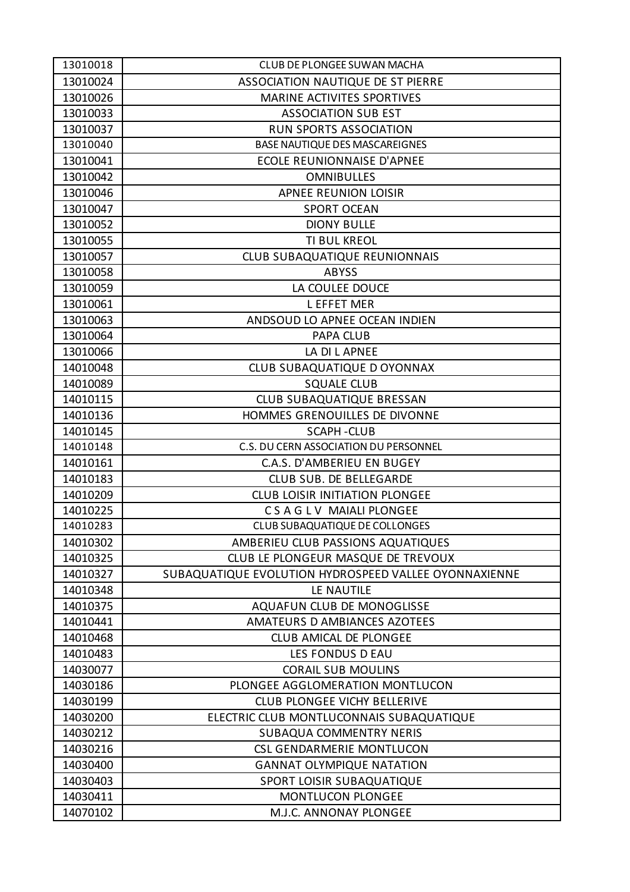| 13010018 | <b>CLUB DE PLONGEE SUWAN MACHA</b>                    |
|----------|-------------------------------------------------------|
| 13010024 | ASSOCIATION NAUTIQUE DE ST PIERRE                     |
| 13010026 | <b>MARINE ACTIVITES SPORTIVES</b>                     |
| 13010033 | <b>ASSOCIATION SUB EST</b>                            |
| 13010037 | <b>RUN SPORTS ASSOCIATION</b>                         |
| 13010040 | BASE NAUTIQUE DES MASCAREIGNES                        |
| 13010041 | <b>ECOLE REUNIONNAISE D'APNEE</b>                     |
| 13010042 | <b>OMNIBULLES</b>                                     |
| 13010046 | APNEE REUNION LOISIR                                  |
| 13010047 | <b>SPORT OCEAN</b>                                    |
| 13010052 | <b>DIONY BULLE</b>                                    |
| 13010055 | TI BUL KREOL                                          |
| 13010057 | <b>CLUB SUBAQUATIQUE REUNIONNAIS</b>                  |
| 13010058 | <b>ABYSS</b>                                          |
| 13010059 | LA COULEE DOUCE                                       |
| 13010061 | <b>LEFFET MER</b>                                     |
| 13010063 | ANDSOUD LO APNEE OCEAN INDIEN                         |
| 13010064 | PAPA CLUB                                             |
| 13010066 | LA DI L APNEE                                         |
| 14010048 | CLUB SUBAQUATIQUE D OYONNAX                           |
| 14010089 | <b>SQUALE CLUB</b>                                    |
| 14010115 | <b>CLUB SUBAQUATIQUE BRESSAN</b>                      |
| 14010136 | HOMMES GRENOUILLES DE DIVONNE                         |
| 14010145 | <b>SCAPH-CLUB</b>                                     |
| 14010148 | C.S. DU CERN ASSOCIATION DU PERSONNEL                 |
| 14010161 | C.A.S. D'AMBERIEU EN BUGEY                            |
| 14010183 | CLUB SUB. DE BELLEGARDE                               |
| 14010209 | <b>CLUB LOISIR INITIATION PLONGEE</b>                 |
| 14010225 | CSAGLV MAIALI PLONGEE                                 |
| 14010283 | CLUB SUBAQUATIQUE DE COLLONGES                        |
| 14010302 | AMBERIEU CLUB PASSIONS AQUATIQUES                     |
| 14010325 | CLUB LE PLONGEUR MASQUE DE TREVOUX                    |
| 14010327 | SUBAQUATIQUE EVOLUTION HYDROSPEED VALLEE OYONNAXIENNE |
| 14010348 | LE NAUTILE                                            |
| 14010375 | AQUAFUN CLUB DE MONOGLISSE                            |
| 14010441 | AMATEURS D AMBIANCES AZOTEES                          |
| 14010468 | <b>CLUB AMICAL DE PLONGEE</b>                         |
| 14010483 | LES FONDUS D EAU                                      |
| 14030077 | <b>CORAIL SUB MOULINS</b>                             |
| 14030186 | PLONGEE AGGLOMERATION MONTLUCON                       |
| 14030199 | <b>CLUB PLONGEE VICHY BELLERIVE</b>                   |
| 14030200 | ELECTRIC CLUB MONTLUCONNAIS SUBAQUATIQUE              |
| 14030212 | <b>SUBAQUA COMMENTRY NERIS</b>                        |
| 14030216 | CSL GENDARMERIE MONTLUCON                             |
| 14030400 | <b>GANNAT OLYMPIQUE NATATION</b>                      |
| 14030403 | SPORT LOISIR SUBAQUATIQUE                             |
| 14030411 | <b>MONTLUCON PLONGEE</b>                              |
| 14070102 | M.J.C. ANNONAY PLONGEE                                |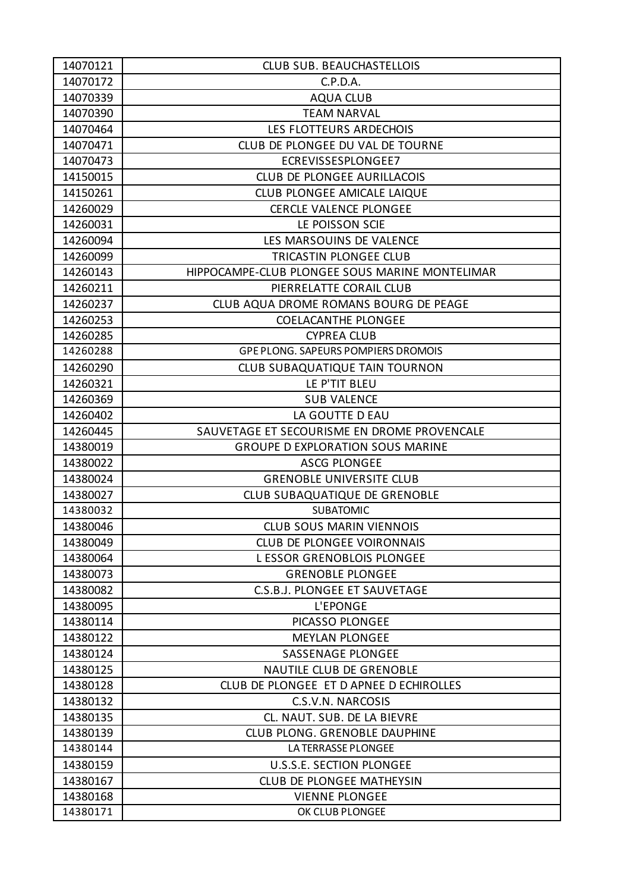| 14070121 | <b>CLUB SUB. BEAUCHASTELLOIS</b>               |
|----------|------------------------------------------------|
| 14070172 | C.P.D.A.                                       |
| 14070339 | <b>AQUA CLUB</b>                               |
| 14070390 | <b>TEAM NARVAL</b>                             |
| 14070464 | LES FLOTTEURS ARDECHOIS                        |
| 14070471 | CLUB DE PLONGEE DU VAL DE TOURNE               |
| 14070473 | ECREVISSESPLONGEE7                             |
| 14150015 | CLUB DE PLONGEE AURILLACOIS                    |
| 14150261 | <b>CLUB PLONGEE AMICALE LAIQUE</b>             |
| 14260029 | <b>CERCLE VALENCE PLONGEE</b>                  |
| 14260031 | LE POISSON SCIE                                |
| 14260094 | LES MARSOUINS DE VALENCE                       |
| 14260099 | TRICASTIN PLONGEE CLUB                         |
| 14260143 | HIPPOCAMPE-CLUB PLONGEE SOUS MARINE MONTELIMAR |
| 14260211 | PIERRELATTE CORAIL CLUB                        |
| 14260237 | CLUB AQUA DROME ROMANS BOURG DE PEAGE          |
| 14260253 | <b>COELACANTHE PLONGEE</b>                     |
| 14260285 | <b>CYPREA CLUB</b>                             |
| 14260288 | <b>GPE PLONG. SAPEURS POMPIERS DROMOIS</b>     |
| 14260290 | <b>CLUB SUBAQUATIQUE TAIN TOURNON</b>          |
| 14260321 | LE P'TIT BLEU                                  |
| 14260369 | <b>SUB VALENCE</b>                             |
| 14260402 | LA GOUTTE D EAU                                |
| 14260445 | SAUVETAGE ET SECOURISME EN DROME PROVENCALE    |
| 14380019 | <b>GROUPE D EXPLORATION SOUS MARINE</b>        |
| 14380022 | <b>ASCG PLONGEE</b>                            |
| 14380024 | <b>GRENOBLE UNIVERSITE CLUB</b>                |
| 14380027 | CLUB SUBAQUATIQUE DE GRENOBLE                  |
| 14380032 | <b>SUBATOMIC</b>                               |
| 14380046 | <b>CLUB SOUS MARIN VIENNOIS</b>                |
| 14380049 | <b>CLUB DE PLONGEE VOIRONNAIS</b>              |
| 14380064 | <b>LESSOR GRENOBLOIS PLONGEE</b>               |
| 14380073 | <b>GRENOBLE PLONGEE</b>                        |
| 14380082 | C.S.B.J. PLONGEE ET SAUVETAGE                  |
| 14380095 | L'EPONGE                                       |
| 14380114 | PICASSO PLONGEE                                |
| 14380122 | <b>MEYLAN PLONGEE</b>                          |
| 14380124 | <b>SASSENAGE PLONGEE</b>                       |
| 14380125 | <b>NAUTILE CLUB DE GRENOBLE</b>                |
| 14380128 | CLUB DE PLONGEE ET D APNEE D ECHIROLLES        |
| 14380132 | C.S.V.N. NARCOSIS                              |
| 14380135 | CL. NAUT. SUB. DE LA BIEVRE                    |
| 14380139 | <b>CLUB PLONG. GRENOBLE DAUPHINE</b>           |
| 14380144 | LA TERRASSE PLONGEE                            |
| 14380159 | U.S.S.E. SECTION PLONGEE                       |
| 14380167 | <b>CLUB DE PLONGEE MATHEYSIN</b>               |
| 14380168 | <b>VIENNE PLONGEE</b>                          |
| 14380171 | OK CLUB PLONGEE                                |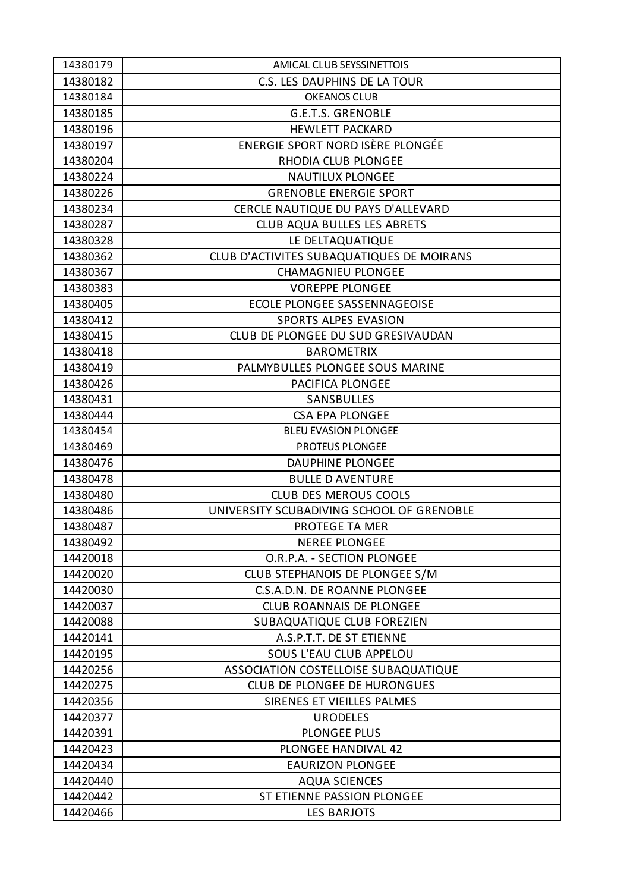| 14380179 | AMICAL CLUB SEYSSINETTOIS                 |
|----------|-------------------------------------------|
| 14380182 | C.S. LES DAUPHINS DE LA TOUR              |
| 14380184 | OKEANOS CLUB                              |
| 14380185 | <b>G.E.T.S. GRENOBLE</b>                  |
| 14380196 | <b>HEWLETT PACKARD</b>                    |
| 14380197 | ENERGIE SPORT NORD ISÈRE PLONGÉE          |
| 14380204 | RHODIA CLUB PLONGEE                       |
| 14380224 | <b>NAUTILUX PLONGEE</b>                   |
| 14380226 | <b>GRENOBLE ENERGIE SPORT</b>             |
| 14380234 | CERCLE NAUTIQUE DU PAYS D'ALLEVARD        |
| 14380287 | <b>CLUB AQUA BULLES LES ABRETS</b>        |
| 14380328 | LE DELTAQUATIQUE                          |
| 14380362 | CLUB D'ACTIVITES SUBAQUATIQUES DE MOIRANS |
| 14380367 | <b>CHAMAGNIEU PLONGEE</b>                 |
| 14380383 | <b>VOREPPE PLONGEE</b>                    |
| 14380405 | <b>ECOLE PLONGEE SASSENNAGEOISE</b>       |
| 14380412 | <b>SPORTS ALPES EVASION</b>               |
| 14380415 | CLUB DE PLONGEE DU SUD GRESIVAUDAN        |
| 14380418 | <b>BAROMETRIX</b>                         |
| 14380419 | PALMYBULLES PLONGEE SOUS MARINE           |
| 14380426 | PACIFICA PLONGEE                          |
| 14380431 | SANSBULLES                                |
| 14380444 | <b>CSA EPA PLONGEE</b>                    |
| 14380454 | <b>BLEU EVASION PLONGEE</b>               |
| 14380469 | <b>PROTEUS PLONGEE</b>                    |
| 14380476 | <b>DAUPHINE PLONGEE</b>                   |
| 14380478 | <b>BULLE D AVENTURE</b>                   |
| 14380480 | <b>CLUB DES MEROUS COOLS</b>              |
| 14380486 | UNIVERSITY SCUBADIVING SCHOOL OF GRENOBLE |
| 14380487 | PROTEGE TA MER                            |
| 14380492 | <b>NEREE PLONGEE</b>                      |
| 14420018 | O.R.P.A. - SECTION PLONGEE                |
| 14420020 | CLUB STEPHANOIS DE PLONGEE S/M            |
| 14420030 | C.S.A.D.N. DE ROANNE PLONGEE              |
| 14420037 | <b>CLUB ROANNAIS DE PLONGEE</b>           |
| 14420088 | SUBAQUATIQUE CLUB FOREZIEN                |
| 14420141 | A.S.P.T.T. DE ST ETIENNE                  |
| 14420195 | SOUS L'EAU CLUB APPELOU                   |
| 14420256 | ASSOCIATION COSTELLOISE SUBAQUATIQUE      |
| 14420275 | <b>CLUB DE PLONGEE DE HURONGUES</b>       |
| 14420356 | SIRENES ET VIEILLES PALMES                |
| 14420377 | <b>URODELES</b>                           |
| 14420391 | <b>PLONGEE PLUS</b>                       |
| 14420423 | <b>PLONGEE HANDIVAL 42</b>                |
| 14420434 | <b>EAURIZON PLONGEE</b>                   |
| 14420440 | <b>AQUA SCIENCES</b>                      |
| 14420442 | ST ETIENNE PASSION PLONGEE                |
| 14420466 | <b>LES BARJOTS</b>                        |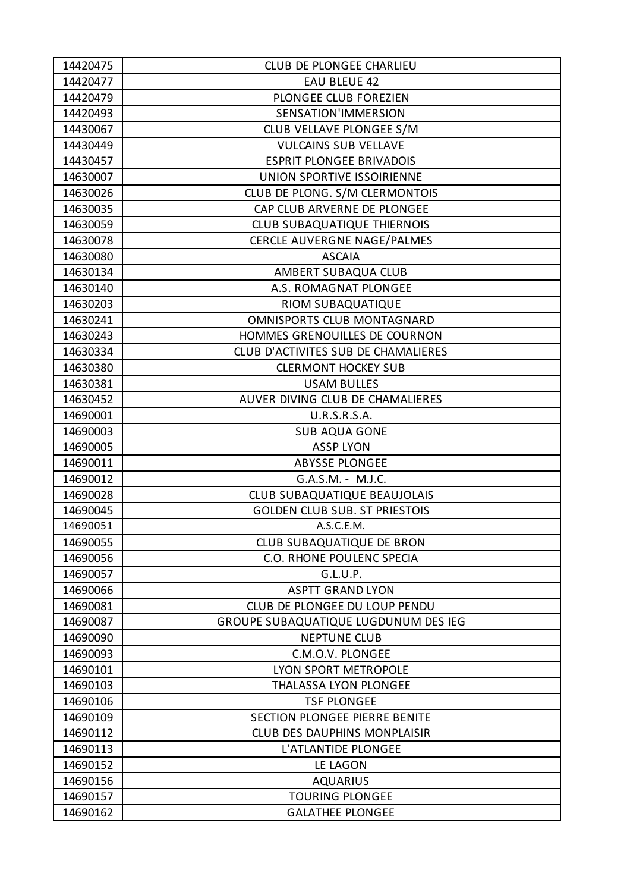| 14420475 | CLUB DE PLONGEE CHARLIEU                    |
|----------|---------------------------------------------|
| 14420477 | <b>EAU BLEUE 42</b>                         |
| 14420479 | PLONGEE CLUB FOREZIEN                       |
| 14420493 | SENSATION'IMMERSION                         |
| 14430067 | CLUB VELLAVE PLONGEE S/M                    |
| 14430449 | <b>VULCAINS SUB VELLAVE</b>                 |
| 14430457 | <b>ESPRIT PLONGEE BRIVADOIS</b>             |
| 14630007 | UNION SPORTIVE ISSOIRIENNE                  |
| 14630026 | CLUB DE PLONG. S/M CLERMONTOIS              |
| 14630035 | CAP CLUB ARVERNE DE PLONGEE                 |
| 14630059 | <b>CLUB SUBAQUATIQUE THIERNOIS</b>          |
| 14630078 | <b>CERCLE AUVERGNE NAGE/PALMES</b>          |
| 14630080 | <b>ASCAIA</b>                               |
| 14630134 | AMBERT SUBAQUA CLUB                         |
| 14630140 | A.S. ROMAGNAT PLONGEE                       |
| 14630203 | RIOM SUBAQUATIQUE                           |
| 14630241 | OMNISPORTS CLUB MONTAGNARD                  |
| 14630243 | HOMMES GRENOUILLES DE COURNON               |
| 14630334 | CLUB D'ACTIVITES SUB DE CHAMALIERES         |
| 14630380 | <b>CLERMONT HOCKEY SUB</b>                  |
| 14630381 | <b>USAM BULLES</b>                          |
| 14630452 | AUVER DIVING CLUB DE CHAMALIERES            |
| 14690001 | <b>U.R.S.R.S.A.</b>                         |
| 14690003 | <b>SUB AQUA GONE</b>                        |
| 14690005 | <b>ASSP LYON</b>                            |
| 14690011 | <b>ABYSSE PLONGEE</b>                       |
| 14690012 | G.A.S.M. - M.J.C.                           |
| 14690028 | CLUB SUBAQUATIQUE BEAUJOLAIS                |
| 14690045 | <b>GOLDEN CLUB SUB. ST PRIESTOIS</b>        |
| 14690051 | A.S.C.E.M.                                  |
| 14690055 | <b>CLUB SUBAQUATIQUE DE BRON</b>            |
| 14690056 | C.O. RHONE POULENC SPECIA                   |
| 14690057 | G.L.U.P.                                    |
| 14690066 | <b>ASPTT GRAND LYON</b>                     |
| 14690081 | CLUB DE PLONGEE DU LOUP PENDU               |
| 14690087 | <b>GROUPE SUBAQUATIQUE LUGDUNUM DES IEG</b> |
| 14690090 | <b>NEPTUNE CLUB</b>                         |
| 14690093 | C.M.O.V. PLONGEE                            |
| 14690101 | LYON SPORT METROPOLE                        |
| 14690103 | <b>THALASSA LYON PLONGEE</b>                |
| 14690106 | <b>TSF PLONGEE</b>                          |
| 14690109 | SECTION PLONGEE PIERRE BENITE               |
| 14690112 | <b>CLUB DES DAUPHINS MONPLAISIR</b>         |
| 14690113 | L'ATLANTIDE PLONGEE                         |
| 14690152 | LE LAGON                                    |
| 14690156 | <b>AQUARIUS</b>                             |
| 14690157 | <b>TOURING PLONGEE</b>                      |
| 14690162 | <b>GALATHEE PLONGEE</b>                     |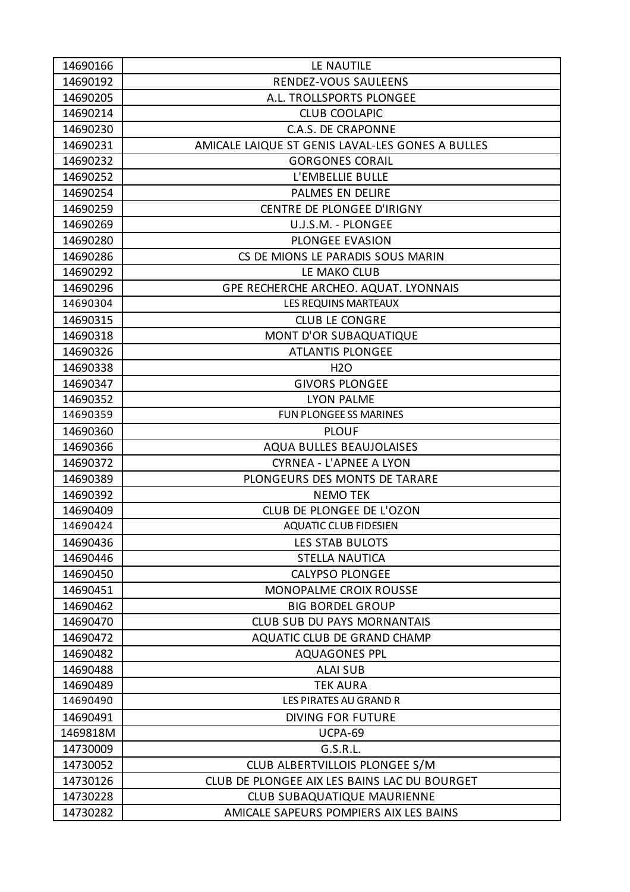| 14690166 | LE NAUTILE                                       |
|----------|--------------------------------------------------|
| 14690192 | RENDEZ-VOUS SAULEENS                             |
| 14690205 | A.L. TROLLSPORTS PLONGEE                         |
| 14690214 | <b>CLUB COOLAPIC</b>                             |
| 14690230 | <b>C.A.S. DE CRAPONNE</b>                        |
| 14690231 | AMICALE LAIQUE ST GENIS LAVAL-LES GONES A BULLES |
| 14690232 | <b>GORGONES CORAIL</b>                           |
| 14690252 | L'EMBELLIE BULLE                                 |
| 14690254 | PALMES EN DELIRE                                 |
| 14690259 | CENTRE DE PLONGEE D'IRIGNY                       |
| 14690269 | U.J.S.M. - PLONGEE                               |
| 14690280 | PLONGEE EVASION                                  |
| 14690286 | CS DE MIONS LE PARADIS SOUS MARIN                |
| 14690292 | LE MAKO CLUB                                     |
| 14690296 | GPE RECHERCHE ARCHEO. AQUAT. LYONNAIS            |
| 14690304 | <b>LES REQUINS MARTEAUX</b>                      |
| 14690315 | <b>CLUB LE CONGRE</b>                            |
| 14690318 | MONT D'OR SUBAQUATIQUE                           |
| 14690326 | <b>ATLANTIS PLONGEE</b>                          |
| 14690338 | <b>H2O</b>                                       |
| 14690347 | <b>GIVORS PLONGEE</b>                            |
| 14690352 | <b>LYON PALME</b>                                |
| 14690359 | <b>FUN PLONGEE SS MARINES</b>                    |
| 14690360 | <b>PLOUF</b>                                     |
| 14690366 | AQUA BULLES BEAUJOLAISES                         |
| 14690372 | <b>CYRNEA - L'APNEE A LYON</b>                   |
| 14690389 | PLONGEURS DES MONTS DE TARARE                    |
| 14690392 | <b>NEMO TEK</b>                                  |
| 14690409 | CLUB DE PLONGEE DE L'OZON                        |
| 14690424 | <b>AQUATIC CLUB FIDESIEN</b>                     |
| 14690436 | <b>LES STAB BULOTS</b>                           |
| 14690446 | <b>STELLA NAUTICA</b>                            |
| 14690450 | <b>CALYPSO PLONGEE</b>                           |
| 14690451 | <b>MONOPALME CROIX ROUSSE</b>                    |
| 14690462 | <b>BIG BORDEL GROUP</b>                          |
| 14690470 | <b>CLUB SUB DU PAYS MORNANTAIS</b>               |
| 14690472 | AQUATIC CLUB DE GRAND CHAMP                      |
| 14690482 | <b>AQUAGONES PPL</b>                             |
| 14690488 | <b>ALAI SUB</b>                                  |
| 14690489 | <b>TEK AURA</b>                                  |
| 14690490 | LES PIRATES AU GRAND R                           |
| 14690491 | <b>DIVING FOR FUTURE</b>                         |
| 1469818M | UCPA-69                                          |
| 14730009 | G.S.R.L.                                         |
| 14730052 | CLUB ALBERTVILLOIS PLONGEE S/M                   |
| 14730126 | CLUB DE PLONGEE AIX LES BAINS LAC DU BOURGET     |
| 14730228 | <b>CLUB SUBAQUATIQUE MAURIENNE</b>               |
| 14730282 | AMICALE SAPEURS POMPIERS AIX LES BAINS           |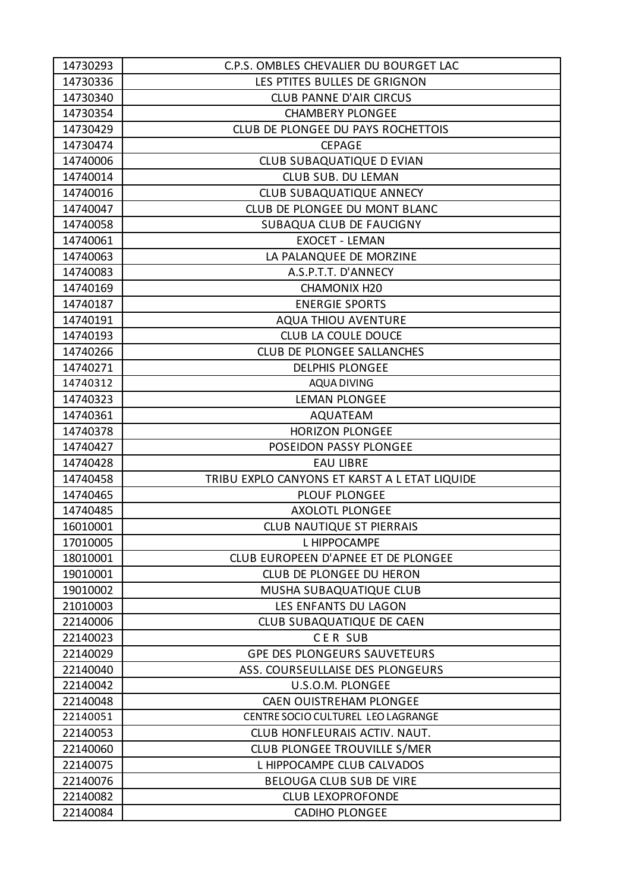| 14730293             | C.P.S. OMBLES CHEVALIER DU BOURGET LAC                         |
|----------------------|----------------------------------------------------------------|
| 14730336             | LES PTITES BULLES DE GRIGNON                                   |
| 14730340             | <b>CLUB PANNE D'AIR CIRCUS</b>                                 |
| 14730354             | <b>CHAMBERY PLONGEE</b>                                        |
| 14730429             | CLUB DE PLONGEE DU PAYS ROCHETTOIS                             |
| 14730474             | <b>CEPAGE</b>                                                  |
| 14740006             | <b>CLUB SUBAQUATIQUE D EVIAN</b>                               |
| 14740014             | <b>CLUB SUB. DU LEMAN</b>                                      |
| 14740016             | <b>CLUB SUBAQUATIQUE ANNECY</b>                                |
| 14740047             | CLUB DE PLONGEE DU MONT BLANC                                  |
| 14740058             | SUBAQUA CLUB DE FAUCIGNY                                       |
| 14740061             | <b>EXOCET - LEMAN</b>                                          |
| 14740063             | LA PALANQUEE DE MORZINE                                        |
| 14740083             | A.S.P.T.T. D'ANNECY                                            |
| 14740169             | <b>CHAMONIX H20</b>                                            |
| 14740187             | <b>ENERGIE SPORTS</b>                                          |
| 14740191             | <b>AQUA THIOU AVENTURE</b>                                     |
| 14740193             | <b>CLUB LA COULE DOUCE</b>                                     |
| 14740266             | <b>CLUB DE PLONGEE SALLANCHES</b>                              |
| 14740271             | <b>DELPHIS PLONGEE</b>                                         |
| 14740312             | AQUA DIVING                                                    |
| 14740323             | <b>LEMAN PLONGEE</b>                                           |
| 14740361             |                                                                |
| 14740378             | <b>AQUATEAM</b><br><b>HORIZON PLONGEE</b>                      |
|                      | POSEIDON PASSY PLONGEE                                         |
| 14740427             | <b>EAU LIBRE</b>                                               |
| 14740428             |                                                                |
| 14740458<br>14740465 | TRIBU EXPLO CANYONS ET KARST A L ETAT LIQUIDE<br>PLOUF PLONGEE |
|                      | <b>AXOLOTL PLONGEE</b>                                         |
| 14740485             | <b>CLUB NAUTIQUE ST PIERRAIS</b>                               |
| 16010001             |                                                                |
| 17010005             | L HIPPOCAMPE<br>CLUB EUROPEEN D'APNEE ET DE PLONGEE            |
| 18010001             |                                                                |
| 19010001             | CLUB DE PLONGEE DU HERON                                       |
| 19010002             | MUSHA SUBAQUATIQUE CLUB                                        |
| 21010003             | LES ENFANTS DU LAGON                                           |
| 22140006             | CLUB SUBAQUATIQUE DE CAEN                                      |
| 22140023             | <b>CER SUB</b>                                                 |
| 22140029             | <b>GPE DES PLONGEURS SAUVETEURS</b>                            |
| 22140040             | ASS. COURSEULLAISE DES PLONGEURS                               |
| 22140042             | U.S.O.M. PLONGEE                                               |
| 22140048             | <b>CAEN OUISTREHAM PLONGEE</b>                                 |
| 22140051             | CENTRE SOCIO CULTUREL LEO LAGRANGE                             |
| 22140053             | CLUB HONFLEURAIS ACTIV. NAUT.                                  |
| 22140060             | CLUB PLONGEE TROUVILLE S/MER                                   |
| 22140075             | L HIPPOCAMPE CLUB CALVADOS                                     |
| 22140076             | BELOUGA CLUB SUB DE VIRE                                       |
| 22140082             | <b>CLUB LEXOPROFONDE</b>                                       |
| 22140084             | <b>CADIHO PLONGEE</b>                                          |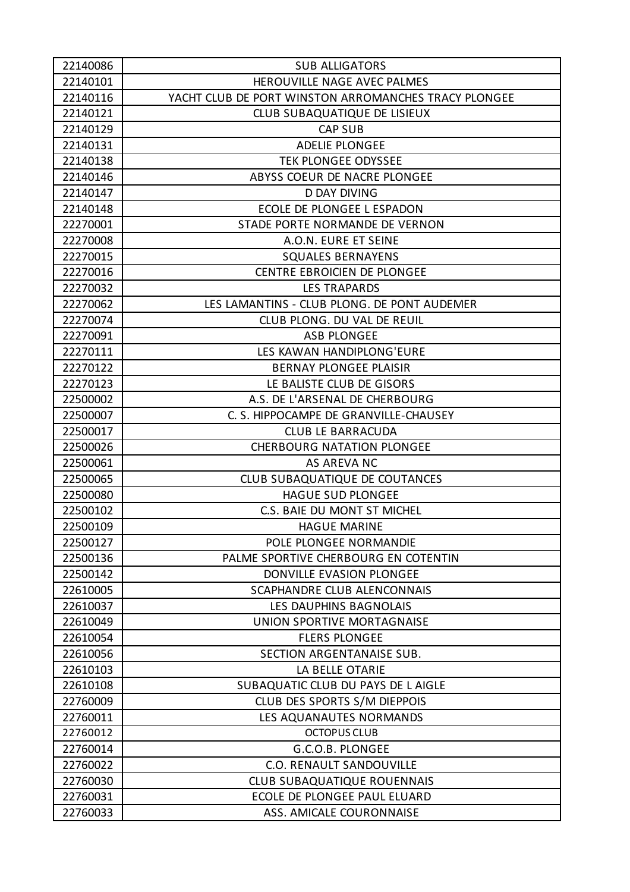| 22140086 | <b>SUB ALLIGATORS</b>                                |
|----------|------------------------------------------------------|
| 22140101 | HEROUVILLE NAGE AVEC PALMES                          |
| 22140116 | YACHT CLUB DE PORT WINSTON ARROMANCHES TRACY PLONGEE |
| 22140121 | CLUB SUBAQUATIQUE DE LISIEUX                         |
| 22140129 | <b>CAP SUB</b>                                       |
| 22140131 | <b>ADELIE PLONGEE</b>                                |
| 22140138 | <b>TEK PLONGEE ODYSSEE</b>                           |
| 22140146 | ABYSS COEUR DE NACRE PLONGEE                         |
| 22140147 | <b>D DAY DIVING</b>                                  |
| 22140148 | ECOLE DE PLONGEE L ESPADON                           |
| 22270001 | STADE PORTE NORMANDE DE VERNON                       |
| 22270008 | A.O.N. EURE ET SEINE                                 |
| 22270015 | <b>SQUALES BERNAYENS</b>                             |
| 22270016 | CENTRE EBROICIEN DE PLONGEE                          |
| 22270032 | <b>LES TRAPARDS</b>                                  |
| 22270062 | LES LAMANTINS - CLUB PLONG. DE PONT AUDEMER          |
| 22270074 | CLUB PLONG. DU VAL DE REUIL                          |
| 22270091 | <b>ASB PLONGEE</b>                                   |
| 22270111 | LES KAWAN HANDIPLONG'EURE                            |
| 22270122 | <b>BERNAY PLONGEE PLAISIR</b>                        |
| 22270123 | LE BALISTE CLUB DE GISORS                            |
| 22500002 | A.S. DE L'ARSENAL DE CHERBOURG                       |
| 22500007 | C. S. HIPPOCAMPE DE GRANVILLE-CHAUSEY                |
| 22500017 | <b>CLUB LE BARRACUDA</b>                             |
| 22500026 | <b>CHERBOURG NATATION PLONGEE</b>                    |
| 22500061 | AS AREVA NC                                          |
| 22500065 | <b>CLUB SUBAQUATIQUE DE COUTANCES</b>                |
| 22500080 | <b>HAGUE SUD PLONGEE</b>                             |
| 22500102 | C.S. BAIE DU MONT ST MICHEL                          |
| 22500109 | <b>HAGUE MARINE</b>                                  |
| 22500127 | POLE PLONGEE NORMANDIE                               |
| 22500136 | PALME SPORTIVE CHERBOURG EN COTENTIN                 |
| 22500142 | DONVILLE EVASION PLONGEE                             |
| 22610005 | <b>SCAPHANDRE CLUB ALENCONNAIS</b>                   |
| 22610037 | LES DAUPHINS BAGNOLAIS                               |
| 22610049 | UNION SPORTIVE MORTAGNAISE                           |
| 22610054 | <b>FLERS PLONGEE</b>                                 |
| 22610056 | SECTION ARGENTANAISE SUB.                            |
| 22610103 | LA BELLE OTARIE                                      |
| 22610108 | SUBAQUATIC CLUB DU PAYS DE L AIGLE                   |
| 22760009 | CLUB DES SPORTS S/M DIEPPOIS                         |
| 22760011 | LES AQUANAUTES NORMANDS                              |
| 22760012 | <b>OCTOPUS CLUB</b>                                  |
| 22760014 | G.C.O.B. PLONGEE                                     |
| 22760022 | <b>C.O. RENAULT SANDOUVILLE</b>                      |
| 22760030 | <b>CLUB SUBAQUATIQUE ROUENNAIS</b>                   |
| 22760031 | ECOLE DE PLONGEE PAUL ELUARD                         |
| 22760033 | ASS. AMICALE COURONNAISE                             |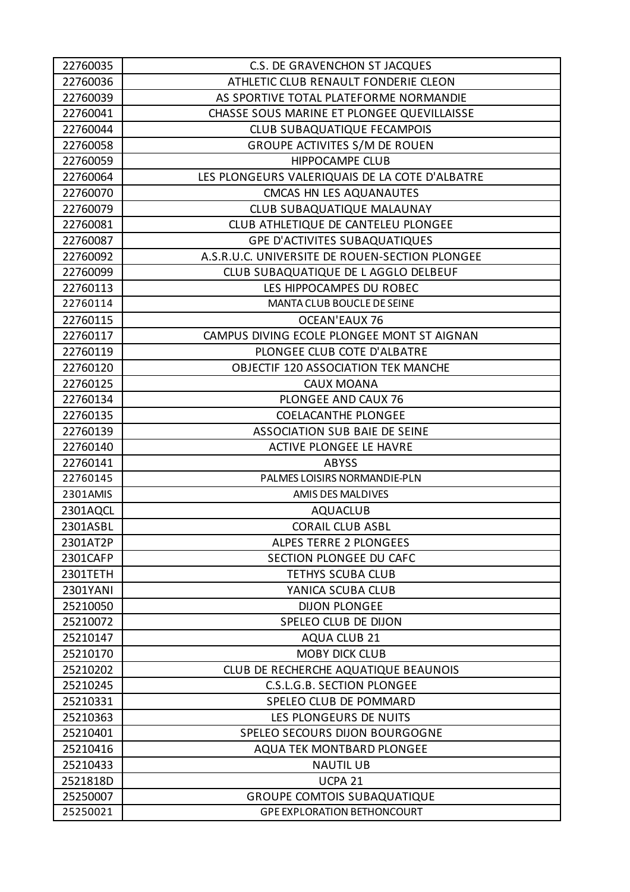| 22760035 | C.S. DE GRAVENCHON ST JACQUES                  |
|----------|------------------------------------------------|
| 22760036 | ATHLETIC CLUB RENAULT FONDERIE CLEON           |
| 22760039 | AS SPORTIVE TOTAL PLATEFORME NORMANDIE         |
| 22760041 | CHASSE SOUS MARINE ET PLONGEE QUEVILLAISSE     |
| 22760044 | <b>CLUB SUBAQUATIQUE FECAMPOIS</b>             |
| 22760058 | <b>GROUPE ACTIVITES S/M DE ROUEN</b>           |
| 22760059 | <b>HIPPOCAMPE CLUB</b>                         |
| 22760064 | LES PLONGEURS VALERIQUAIS DE LA COTE D'ALBATRE |
| 22760070 | CMCAS HN LES AQUANAUTES                        |
| 22760079 | CLUB SUBAQUATIQUE MALAUNAY                     |
| 22760081 | CLUB ATHLETIQUE DE CANTELEU PLONGEE            |
| 22760087 | <b>GPE D'ACTIVITES SUBAQUATIQUES</b>           |
| 22760092 | A.S.R.U.C. UNIVERSITE DE ROUEN-SECTION PLONGEE |
| 22760099 | CLUB SUBAQUATIQUE DE L AGGLO DELBEUF           |
| 22760113 | LES HIPPOCAMPES DU ROBEC                       |
| 22760114 | MANTA CLUB BOUCLE DE SEINE                     |
| 22760115 | <b>OCEAN'EAUX 76</b>                           |
| 22760117 | CAMPUS DIVING ECOLE PLONGEE MONT ST AIGNAN     |
| 22760119 | PLONGEE CLUB COTE D'ALBATRE                    |
| 22760120 | <b>OBJECTIF 120 ASSOCIATION TEK MANCHE</b>     |
| 22760125 | <b>CAUX MOANA</b>                              |
| 22760134 | PLONGEE AND CAUX 76                            |
| 22760135 | <b>COELACANTHE PLONGEE</b>                     |
| 22760139 | <b>ASSOCIATION SUB BAIE DE SEINE</b>           |
| 22760140 | ACTIVE PLONGEE LE HAVRE                        |
| 22760141 | <b>ABYSS</b>                                   |
| 22760145 | PALMES LOISIRS NORMANDIE-PLN                   |
| 2301AMIS | AMIS DES MALDIVES                              |
| 2301AQCL | <b>AQUACLUB</b>                                |
| 2301ASBL | <b>CORAIL CLUB ASBL</b>                        |
| 2301AT2P | <b>ALPES TERRE 2 PLONGEES</b>                  |
| 2301CAFP | SECTION PLONGEE DU CAFC                        |
| 2301TETH | <b>TETHYS SCUBA CLUB</b>                       |
| 2301YANI | YANICA SCUBA CLUB                              |
| 25210050 | <b>DIJON PLONGEE</b>                           |
| 25210072 | SPELEO CLUB DE DIJON                           |
| 25210147 | <b>AQUA CLUB 21</b>                            |
| 25210170 | <b>MOBY DICK CLUB</b>                          |
| 25210202 | CLUB DE RECHERCHE AQUATIQUE BEAUNOIS           |
| 25210245 | C.S.L.G.B. SECTION PLONGEE                     |
| 25210331 | SPELEO CLUB DE POMMARD                         |
| 25210363 | LES PLONGEURS DE NUITS                         |
| 25210401 | SPELEO SECOURS DIJON BOURGOGNE                 |
| 25210416 | <b>AQUA TEK MONTBARD PLONGEE</b>               |
| 25210433 | <b>NAUTIL UB</b>                               |
| 2521818D | UCPA <sub>21</sub>                             |
| 25250007 | <b>GROUPE COMTOIS SUBAQUATIQUE</b>             |
| 25250021 | <b>GPE EXPLORATION BETHONCOURT</b>             |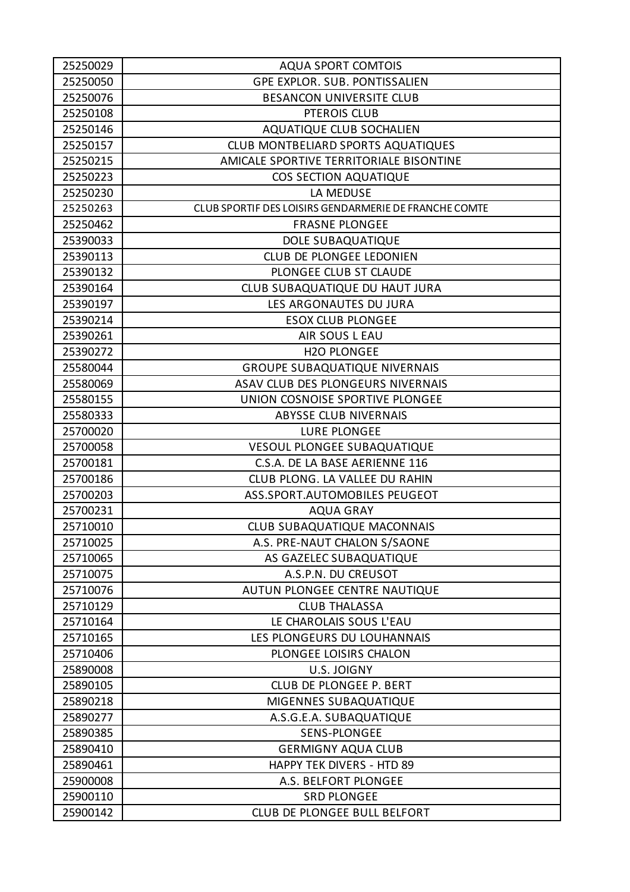| 25250029 | <b>AQUA SPORT COMTOIS</b>                             |
|----------|-------------------------------------------------------|
| 25250050 | GPE EXPLOR. SUB. PONTISSALIEN                         |
| 25250076 | <b>BESANCON UNIVERSITE CLUB</b>                       |
| 25250108 | PTEROIS CLUB                                          |
| 25250146 | <b>AQUATIQUE CLUB SOCHALIEN</b>                       |
| 25250157 | CLUB MONTBELIARD SPORTS AQUATIQUES                    |
| 25250215 | AMICALE SPORTIVE TERRITORIALE BISONTINE               |
| 25250223 | COS SECTION AQUATIQUE                                 |
| 25250230 | LA MEDUSE                                             |
| 25250263 | CLUB SPORTIF DES LOISIRS GENDARMERIE DE FRANCHE COMTE |
| 25250462 | <b>FRASNE PLONGEE</b>                                 |
| 25390033 | DOLE SUBAQUATIQUE                                     |
| 25390113 | <b>CLUB DE PLONGEE LEDONIEN</b>                       |
| 25390132 | PLONGEE CLUB ST CLAUDE                                |
| 25390164 | CLUB SUBAQUATIQUE DU HAUT JURA                        |
| 25390197 | LES ARGONAUTES DU JURA                                |
| 25390214 | <b>ESOX CLUB PLONGEE</b>                              |
| 25390261 | AIR SOUS L EAU                                        |
| 25390272 | <b>H2O PLONGEE</b>                                    |
| 25580044 | <b>GROUPE SUBAQUATIQUE NIVERNAIS</b>                  |
| 25580069 | ASAV CLUB DES PLONGEURS NIVERNAIS                     |
| 25580155 | UNION COSNOISE SPORTIVE PLONGEE                       |
| 25580333 | <b>ABYSSE CLUB NIVERNAIS</b>                          |
| 25700020 | LURE PLONGEE                                          |
| 25700058 | <b>VESOUL PLONGEE SUBAQUATIQUE</b>                    |
| 25700181 | C.S.A. DE LA BASE AERIENNE 116                        |
| 25700186 | CLUB PLONG. LA VALLEE DU RAHIN                        |
| 25700203 | ASS.SPORT.AUTOMOBILES PEUGEOT                         |
| 25700231 | <b>AQUA GRAY</b>                                      |
| 25710010 | <b>CLUB SUBAQUATIQUE MACONNAIS</b>                    |
| 25710025 | A.S. PRE-NAUT CHALON S/SAONE                          |
| 25710065 | AS GAZELEC SUBAQUATIQUE                               |
| 25710075 | A.S.P.N. DU CREUSOT                                   |
| 25710076 | AUTUN PLONGEE CENTRE NAUTIQUE                         |
| 25710129 | <b>CLUB THALASSA</b>                                  |
| 25710164 | LE CHAROLAIS SOUS L'EAU                               |
| 25710165 | LES PLONGEURS DU LOUHANNAIS                           |
| 25710406 | PLONGEE LOISIRS CHALON                                |
| 25890008 | U.S. JOIGNY                                           |
| 25890105 | CLUB DE PLONGEE P. BERT                               |
| 25890218 | MIGENNES SUBAQUATIQUE                                 |
| 25890277 | A.S.G.E.A. SUBAQUATIQUE                               |
| 25890385 | SENS-PLONGEE                                          |
| 25890410 | <b>GERMIGNY AQUA CLUB</b>                             |
| 25890461 | <b>HAPPY TEK DIVERS - HTD 89</b>                      |
| 25900008 | A.S. BELFORT PLONGEE                                  |
| 25900110 | <b>SRD PLONGEE</b>                                    |
| 25900142 | CLUB DE PLONGEE BULL BELFORT                          |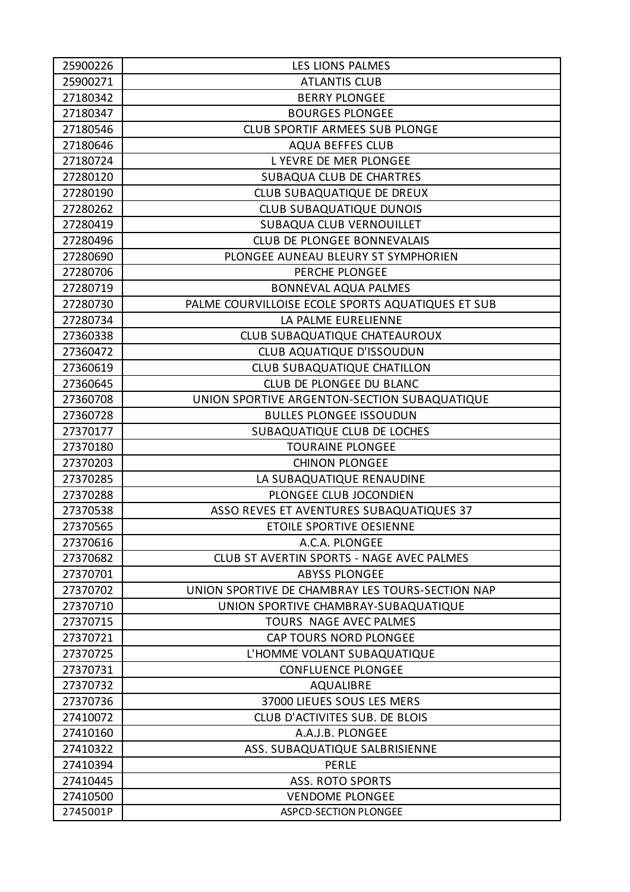| 25900226 | LES LIONS PALMES                                  |
|----------|---------------------------------------------------|
| 25900271 | <b>ATLANTIS CLUB</b>                              |
| 27180342 | <b>BERRY PLONGEE</b>                              |
| 27180347 | <b>BOURGES PLONGEE</b>                            |
| 27180546 | <b>CLUB SPORTIF ARMEES SUB PLONGE</b>             |
| 27180646 | <b>AQUA BEFFES CLUB</b>                           |
| 27180724 | LYEVRE DE MER PLONGEE                             |
| 27280120 | SUBAQUA CLUB DE CHARTRES                          |
| 27280190 | CLUB SUBAQUATIQUE DE DREUX                        |
| 27280262 | CLUB SUBAQUATIQUE DUNOIS                          |
| 27280419 | SUBAQUA CLUB VERNOUILLET                          |
| 27280496 | <b>CLUB DE PLONGEE BONNEVALAIS</b>                |
| 27280690 | PLONGEE AUNEAU BLEURY ST SYMPHORIEN               |
| 27280706 | PERCHE PLONGEE                                    |
| 27280719 | <b>BONNEVAL AQUA PALMES</b>                       |
| 27280730 | PALME COURVILLOISE ECOLE SPORTS AQUATIQUES ET SUB |
| 27280734 | LA PALME EURELIENNE                               |
| 27360338 | CLUB SUBAQUATIQUE CHATEAUROUX                     |
| 27360472 | CLUB AQUATIQUE D'ISSOUDUN                         |
| 27360619 | <b>CLUB SUBAQUATIQUE CHATILLON</b>                |
| 27360645 | <b>CLUB DE PLONGEE DU BLANC</b>                   |
| 27360708 | UNION SPORTIVE ARGENTON-SECTION SUBAQUATIQUE      |
| 27360728 | <b>BULLES PLONGEE ISSOUDUN</b>                    |
| 27370177 | SUBAQUATIQUE CLUB DE LOCHES                       |
| 27370180 | <b>TOURAINE PLONGEE</b>                           |
| 27370203 | <b>CHINON PLONGEE</b>                             |
| 27370285 | LA SUBAQUATIQUE RENAUDINE                         |
| 27370288 | PLONGEE CLUB JOCONDIEN                            |
| 27370538 | ASSO REVES ET AVENTURES SUBAQUATIQUES 37          |
| 27370565 | <b>ETOILE SPORTIVE OESIENNE</b>                   |
| 27370616 | A.C.A. PLONGEE                                    |
| 27370682 | CLUB ST AVERTIN SPORTS - NAGE AVEC PALMES         |
| 27370701 | <b>ABYSS PLONGEE</b>                              |
| 27370702 | UNION SPORTIVE DE CHAMBRAY LES TOURS-SECTION NAP  |
| 27370710 | UNION SPORTIVE CHAMBRAY-SUBAQUATIQUE              |
| 27370715 | TOURS NAGE AVEC PALMES                            |
| 27370721 | CAP TOURS NORD PLONGEE                            |
| 27370725 | L'HOMME VOLANT SUBAQUATIQUE                       |
| 27370731 | <b>CONFLUENCE PLONGEE</b>                         |
| 27370732 | <b>AQUALIBRE</b>                                  |
| 27370736 | 37000 LIEUES SOUS LES MERS                        |
| 27410072 | CLUB D'ACTIVITES SUB. DE BLOIS                    |
| 27410160 | A.A.J.B. PLONGEE                                  |
| 27410322 | ASS. SUBAQUATIQUE SALBRISIENNE                    |
| 27410394 | <b>PERLE</b>                                      |
| 27410445 | <b>ASS. ROTO SPORTS</b>                           |
| 27410500 | <b>VENDOME PLONGEE</b>                            |
| 2745001P | ASPCD-SECTION PLONGEE                             |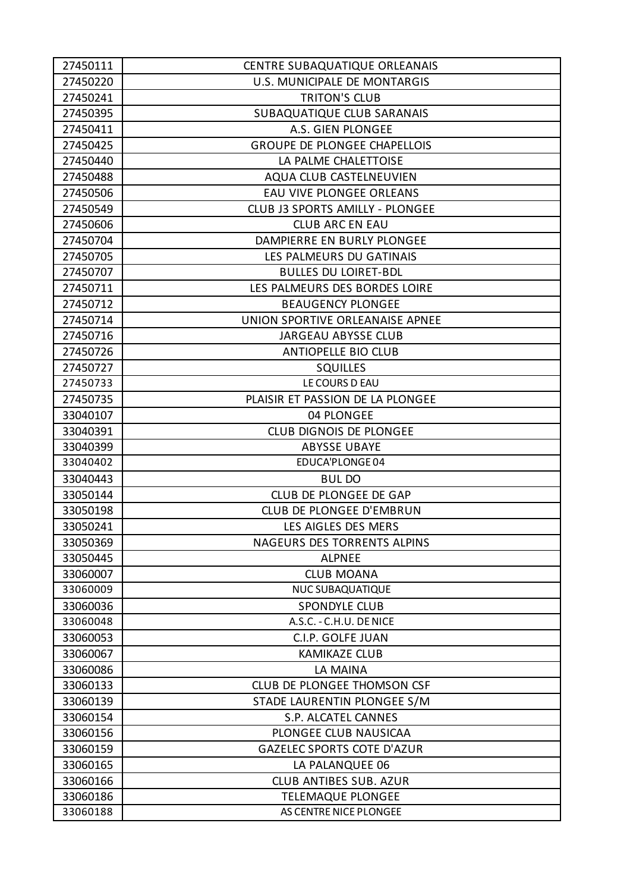| 27450111 | <b>CENTRE SUBAQUATIQUE ORLEANAIS</b> |
|----------|--------------------------------------|
| 27450220 | U.S. MUNICIPALE DE MONTARGIS         |
| 27450241 | <b>TRITON'S CLUB</b>                 |
| 27450395 | SUBAQUATIQUE CLUB SARANAIS           |
| 27450411 | A.S. GIEN PLONGEE                    |
| 27450425 | <b>GROUPE DE PLONGEE CHAPELLOIS</b>  |
| 27450440 | LA PALME CHALETTOISE                 |
| 27450488 | AQUA CLUB CASTELNEUVIEN              |
| 27450506 | <b>EAU VIVE PLONGEE ORLEANS</b>      |
| 27450549 | CLUB J3 SPORTS AMILLY - PLONGEE      |
| 27450606 | <b>CLUB ARC EN EAU</b>               |
| 27450704 | DAMPIERRE EN BURLY PLONGEE           |
| 27450705 | LES PALMEURS DU GATINAIS             |
| 27450707 | <b>BULLES DU LOIRET-BDL</b>          |
| 27450711 | LES PALMEURS DES BORDES LOIRE        |
| 27450712 | <b>BEAUGENCY PLONGEE</b>             |
| 27450714 | UNION SPORTIVE ORLEANAISE APNEE      |
| 27450716 | JARGEAU ABYSSE CLUB                  |
| 27450726 | <b>ANTIOPELLE BIO CLUB</b>           |
| 27450727 | <b>SQUILLES</b>                      |
| 27450733 | LE COURS D EAU                       |
| 27450735 | PLAISIR ET PASSION DE LA PLONGEE     |
| 33040107 | 04 PLONGEE                           |
| 33040391 | <b>CLUB DIGNOIS DE PLONGEE</b>       |
| 33040399 | <b>ABYSSE UBAYE</b>                  |
| 33040402 | EDUCA'PLONGE04                       |
| 33040443 | <b>BULDO</b>                         |
| 33050144 | CLUB DE PLONGEE DE GAP               |
| 33050198 | <b>CLUB DE PLONGEE D'EMBRUN</b>      |
| 33050241 | LES AIGLES DES MERS                  |
| 33050369 | NAGEURS DES TORRENTS ALPINS          |
| 33050445 | <b>ALPNEE</b>                        |
| 33060007 | <b>CLUB MOANA</b>                    |
| 33060009 | <b>NUC SUBAQUATIQUE</b>              |
| 33060036 | <b>SPONDYLE CLUB</b>                 |
| 33060048 | A.S.C. - C.H.U. DE NICE              |
| 33060053 | C.I.P. GOLFE JUAN                    |
| 33060067 | <b>KAMIKAZE CLUB</b>                 |
| 33060086 | LA MAINA                             |
| 33060133 | CLUB DE PLONGEE THOMSON CSF          |
| 33060139 | STADE LAURENTIN PLONGEE S/M          |
| 33060154 | S.P. ALCATEL CANNES                  |
| 33060156 | PLONGEE CLUB NAUSICAA                |
| 33060159 | <b>GAZELEC SPORTS COTE D'AZUR</b>    |
| 33060165 | LA PALANQUEE 06                      |
| 33060166 | <b>CLUB ANTIBES SUB. AZUR</b>        |
| 33060186 | <b>TELEMAQUE PLONGEE</b>             |
| 33060188 | AS CENTRE NICE PLONGEE               |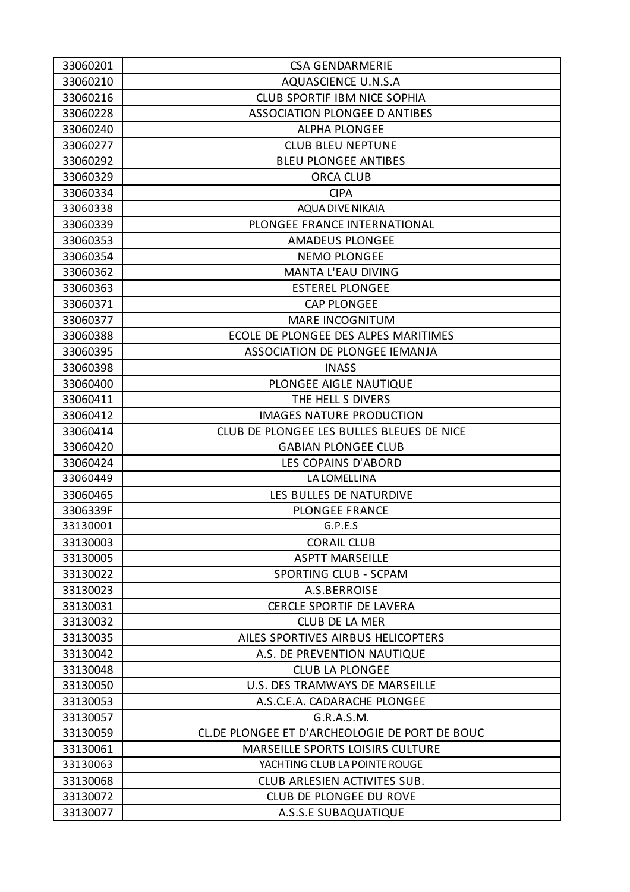| 33060201 | <b>CSA GENDARMERIE</b>                         |
|----------|------------------------------------------------|
| 33060210 | <b>AQUASCIENCE U.N.S.A</b>                     |
| 33060216 | <b>CLUB SPORTIF IBM NICE SOPHIA</b>            |
| 33060228 | <b>ASSOCIATION PLONGEE D ANTIBES</b>           |
| 33060240 | <b>ALPHA PLONGEE</b>                           |
| 33060277 | <b>CLUB BLEU NEPTUNE</b>                       |
| 33060292 | <b>BLEU PLONGEE ANTIBES</b>                    |
| 33060329 | <b>ORCA CLUB</b>                               |
| 33060334 | <b>CIPA</b>                                    |
| 33060338 | AQUA DIVE NIKAIA                               |
| 33060339 | PLONGEE FRANCE INTERNATIONAL                   |
| 33060353 | <b>AMADEUS PLONGEE</b>                         |
| 33060354 | <b>NEMO PLONGEE</b>                            |
| 33060362 | MANTA L'EAU DIVING                             |
| 33060363 | <b>ESTEREL PLONGEE</b>                         |
| 33060371 | <b>CAP PLONGEE</b>                             |
| 33060377 | <b>MARE INCOGNITUM</b>                         |
| 33060388 | ECOLE DE PLONGEE DES ALPES MARITIMES           |
| 33060395 | ASSOCIATION DE PLONGEE IEMANJA                 |
| 33060398 | <b>INASS</b>                                   |
| 33060400 | PLONGEE AIGLE NAUTIQUE                         |
| 33060411 | THE HELL S DIVERS                              |
| 33060412 | <b>IMAGES NATURE PRODUCTION</b>                |
| 33060414 | CLUB DE PLONGEE LES BULLES BLEUES DE NICE      |
| 33060420 | <b>GABIAN PLONGEE CLUB</b>                     |
| 33060424 | LES COPAINS D'ABORD                            |
| 33060449 | <b>LA LOMELLINA</b>                            |
| 33060465 | LES BULLES DE NATURDIVE                        |
| 3306339F | <b>PLONGEE FRANCE</b>                          |
| 33130001 | G.P.E.S                                        |
| 33130003 | <b>CORAIL CLUB</b>                             |
| 33130005 | <b>ASPTT MARSEILLE</b>                         |
| 33130022 | SPORTING CLUB - SCPAM                          |
| 33130023 | A.S.BERROISE                                   |
| 33130031 | <b>CERCLE SPORTIF DE LAVERA</b>                |
| 33130032 | <b>CLUB DE LA MER</b>                          |
| 33130035 | AILES SPORTIVES AIRBUS HELICOPTERS             |
| 33130042 | A.S. DE PREVENTION NAUTIQUE                    |
| 33130048 | <b>CLUB LA PLONGEE</b>                         |
| 33130050 | U.S. DES TRAMWAYS DE MARSEILLE                 |
| 33130053 | A.S.C.E.A. CADARACHE PLONGEE                   |
| 33130057 | G.R.A.S.M.                                     |
| 33130059 | CL.DE PLONGEE ET D'ARCHEOLOGIE DE PORT DE BOUC |
| 33130061 | <b>MARSEILLE SPORTS LOISIRS CULTURE</b>        |
| 33130063 | YACHTING CLUB LA POINTE ROUGE                  |
| 33130068 | CLUB ARLESIEN ACTIVITES SUB.                   |
| 33130072 | CLUB DE PLONGEE DU ROVE                        |
| 33130077 | A.S.S.E SUBAQUATIQUE                           |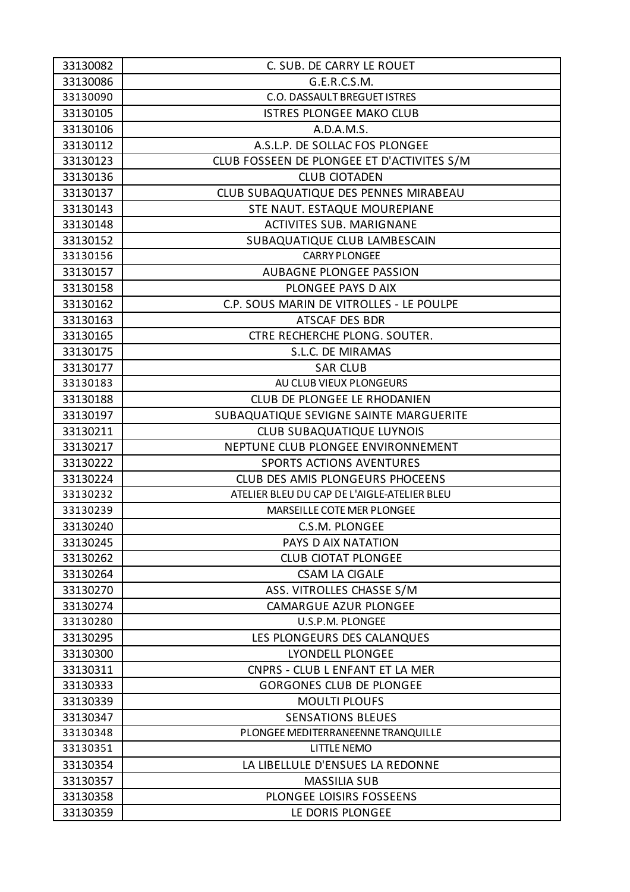| 33130082 | C. SUB. DE CARRY LE ROUET                   |
|----------|---------------------------------------------|
| 33130086 | G.E.R.C.S.M.                                |
| 33130090 | <b>C.O. DASSAULT BREGUET ISTRES</b>         |
| 33130105 | <b>ISTRES PLONGEE MAKO CLUB</b>             |
| 33130106 | A.D.A.M.S.                                  |
| 33130112 | A.S.L.P. DE SOLLAC FOS PLONGEE              |
| 33130123 | CLUB FOSSEEN DE PLONGEE ET D'ACTIVITES S/M  |
| 33130136 | <b>CLUB CIOTADEN</b>                        |
| 33130137 | CLUB SUBAQUATIQUE DES PENNES MIRABEAU       |
| 33130143 | STE NAUT. ESTAQUE MOUREPIANE                |
| 33130148 | <b>ACTIVITES SUB. MARIGNANE</b>             |
| 33130152 | SUBAQUATIQUE CLUB LAMBESCAIN                |
| 33130156 | <b>CARRY PLONGEE</b>                        |
| 33130157 | <b>AUBAGNE PLONGEE PASSION</b>              |
| 33130158 | PLONGEE PAYS D AIX                          |
| 33130162 | C.P. SOUS MARIN DE VITROLLES - LE POULPE    |
| 33130163 | ATSCAF DES BDR                              |
| 33130165 | CTRE RECHERCHE PLONG. SOUTER.               |
| 33130175 | S.L.C. DE MIRAMAS                           |
| 33130177 | <b>SAR CLUB</b>                             |
| 33130183 | AU CLUB VIEUX PLONGEURS                     |
| 33130188 | CLUB DE PLONGEE LE RHODANIEN                |
| 33130197 | SUBAQUATIQUE SEVIGNE SAINTE MARGUERITE      |
| 33130211 | <b>CLUB SUBAQUATIQUE LUYNOIS</b>            |
| 33130217 | NEPTUNE CLUB PLONGEE ENVIRONNEMENT          |
| 33130222 | <b>SPORTS ACTIONS AVENTURES</b>             |
| 33130224 | CLUB DES AMIS PLONGEURS PHOCEENS            |
| 33130232 | ATELIER BLEU DU CAP DE L'AIGLE-ATELIER BLEU |
| 33130239 | <b>MARSEILLE COTE MER PLONGEE</b>           |
| 33130240 | C.S.M. PLONGEE                              |
| 33130245 | PAYS D AIX NATATION                         |
| 33130262 | <b>CLUB CIOTAT PLONGEE</b>                  |
| 33130264 | <b>CSAM LA CIGALE</b>                       |
| 33130270 | ASS. VITROLLES CHASSE S/M                   |
| 33130274 | <b>CAMARGUE AZUR PLONGEE</b>                |
| 33130280 | U.S.P.M. PLONGEE                            |
| 33130295 | LES PLONGEURS DES CALANQUES                 |
| 33130300 | LYONDELL PLONGEE                            |
| 33130311 | CNPRS - CLUB L ENFANT ET LA MER             |
| 33130333 | <b>GORGONES CLUB DE PLONGEE</b>             |
| 33130339 | <b>MOULTI PLOUFS</b>                        |
| 33130347 | <b>SENSATIONS BLEUES</b>                    |
| 33130348 | PLONGEE MEDITERRANEENNE TRANQUILLE          |
| 33130351 | <b>LITTLE NEMO</b>                          |
| 33130354 | LA LIBELLULE D'ENSUES LA REDONNE            |
| 33130357 | <b>MASSILIA SUB</b>                         |
| 33130358 | PLONGEE LOISIRS FOSSEENS                    |
| 33130359 | LE DORIS PLONGEE                            |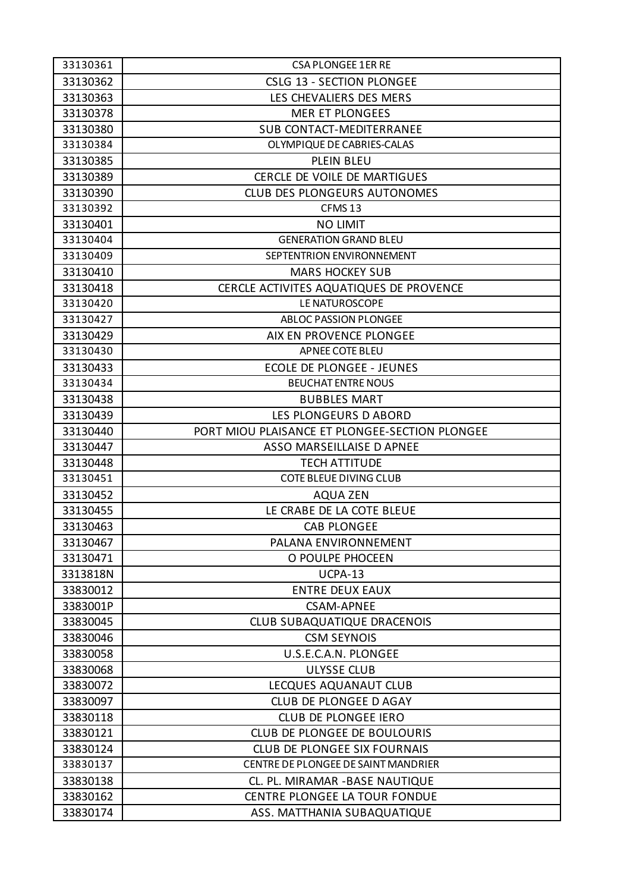| 33130361 | <b>CSA PLONGEE 1ER RE</b>                      |
|----------|------------------------------------------------|
| 33130362 | <b>CSLG 13 - SECTION PLONGEE</b>               |
| 33130363 | LES CHEVALIERS DES MERS                        |
| 33130378 | <b>MER ET PLONGEES</b>                         |
| 33130380 | <b>SUB CONTACT-MEDITERRANEE</b>                |
| 33130384 | OLYMPIQUE DE CABRIES-CALAS                     |
| 33130385 | PLEIN BLEU                                     |
| 33130389 | CERCLE DE VOILE DE MARTIGUES                   |
| 33130390 | <b>CLUB DES PLONGEURS AUTONOMES</b>            |
| 33130392 | CFMS <sub>13</sub>                             |
| 33130401 | <b>NO LIMIT</b>                                |
| 33130404 | <b>GENERATION GRAND BLEU</b>                   |
| 33130409 | SEPTENTRION ENVIRONNEMENT                      |
| 33130410 | <b>MARS HOCKEY SUB</b>                         |
| 33130418 | CERCLE ACTIVITES AQUATIQUES DE PROVENCE        |
| 33130420 | LE NATUROSCOPE                                 |
| 33130427 | ABLOC PASSION PLONGEE                          |
| 33130429 | AIX EN PROVENCE PLONGEE                        |
| 33130430 | APNEE COTE BLEU                                |
| 33130433 | <b>ECOLE DE PLONGEE - JEUNES</b>               |
| 33130434 | <b>BEUCHAT ENTRE NOUS</b>                      |
| 33130438 | <b>BUBBLES MART</b>                            |
| 33130439 | LES PLONGEURS D ABORD                          |
| 33130440 | PORT MIOU PLAISANCE ET PLONGEE-SECTION PLONGEE |
| 33130447 | ASSO MARSEILLAISE D APNEE                      |
| 33130448 | <b>TECH ATTITUDE</b>                           |
| 33130451 | <b>COTE BLEUE DIVING CLUB</b>                  |
| 33130452 | <b>AQUA ZEN</b>                                |
| 33130455 | LE CRABE DE LA COTE BLEUE                      |
| 33130463 | <b>CAB PLONGEE</b>                             |
| 33130467 | PALANA ENVIRONNEMENT                           |
| 33130471 | O POULPE PHOCEEN                               |
| 3313818N | UCPA-13                                        |
| 33830012 | <b>ENTRE DEUX EAUX</b>                         |
| 3383001P | <b>CSAM-APNEE</b>                              |
| 33830045 | <b>CLUB SUBAQUATIQUE DRACENOIS</b>             |
| 33830046 | <b>CSM SEYNOIS</b>                             |
| 33830058 | U.S.E.C.A.N. PLONGEE                           |
| 33830068 | <b>ULYSSE CLUB</b>                             |
| 33830072 | LECQUES AQUANAUT CLUB                          |
| 33830097 | <b>CLUB DE PLONGEE D AGAY</b>                  |
| 33830118 | <b>CLUB DE PLONGEE IERO</b>                    |
| 33830121 | <b>CLUB DE PLONGEE DE BOULOURIS</b>            |
| 33830124 | <b>CLUB DE PLONGEE SIX FOURNAIS</b>            |
| 33830137 | CENTRE DE PLONGEE DE SAINT MANDRIER            |
| 33830138 | CL. PL. MIRAMAR - BASE NAUTIQUE                |
| 33830162 | <b>CENTRE PLONGEE LA TOUR FONDUE</b>           |
| 33830174 | ASS. MATTHANIA SUBAQUATIQUE                    |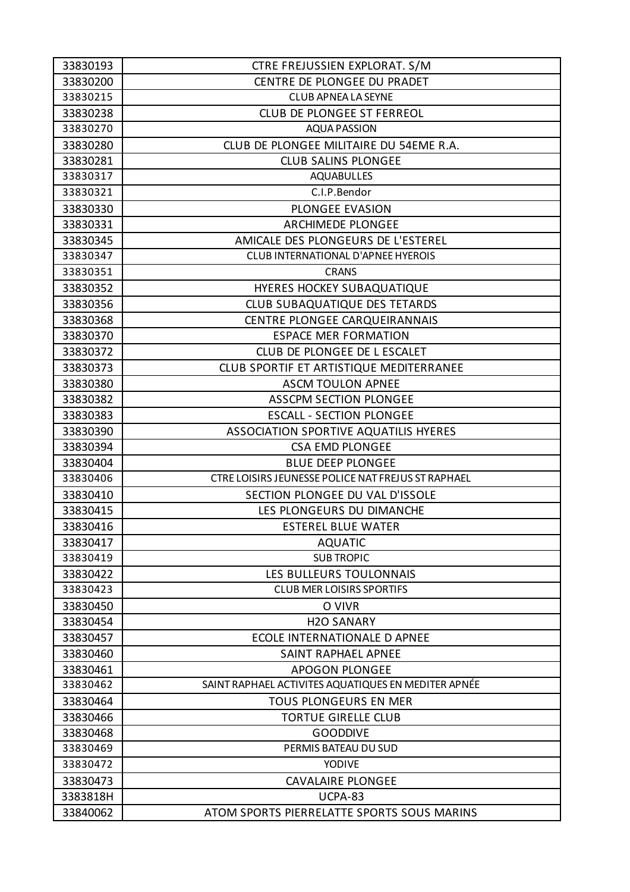| 33830193 | CTRE FREJUSSIEN EXPLORAT. S/M                       |
|----------|-----------------------------------------------------|
| 33830200 | CENTRE DE PLONGEE DU PRADET                         |
| 33830215 | <b>CLUB APNEA LA SEYNE</b>                          |
| 33830238 | CLUB DE PLONGEE ST FERREOL                          |
| 33830270 | <b>AQUA PASSION</b>                                 |
| 33830280 | CLUB DE PLONGEE MILITAIRE DU 54EME R.A.             |
| 33830281 | <b>CLUB SALINS PLONGEE</b>                          |
| 33830317 | <b>AQUABULLES</b>                                   |
| 33830321 | C.I.P.Bendor                                        |
| 33830330 | <b>PLONGEE EVASION</b>                              |
| 33830331 | <b>ARCHIMEDE PLONGEE</b>                            |
| 33830345 | AMICALE DES PLONGEURS DE L'ESTEREL                  |
| 33830347 | <b>CLUB INTERNATIONAL D'APNEE HYEROIS</b>           |
| 33830351 | <b>CRANS</b>                                        |
| 33830352 | HYERES HOCKEY SUBAQUATIQUE                          |
| 33830356 | CLUB SUBAQUATIQUE DES TETARDS                       |
| 33830368 | CENTRE PLONGEE CARQUEIRANNAIS                       |
| 33830370 | <b>ESPACE MER FORMATION</b>                         |
| 33830372 | CLUB DE PLONGEE DE L ESCALET                        |
| 33830373 | CLUB SPORTIF ET ARTISTIQUE MEDITERRANEE             |
| 33830380 | <b>ASCM TOULON APNEE</b>                            |
| 33830382 | <b>ASSCPM SECTION PLONGEE</b>                       |
| 33830383 | <b>ESCALL - SECTION PLONGEE</b>                     |
| 33830390 | ASSOCIATION SPORTIVE AQUATILIS HYERES               |
| 33830394 | <b>CSA EMD PLONGEE</b>                              |
| 33830404 | <b>BLUE DEEP PLONGEE</b>                            |
| 33830406 | CTRE LOISIRS JEUNESSE POLICE NAT FREJUS ST RAPHAEL  |
| 33830410 | SECTION PLONGEE DU VAL D'ISSOLE                     |
| 33830415 | LES PLONGEURS DU DIMANCHE                           |
| 33830416 | <b>ESTEREL BLUE WATER</b>                           |
| 33830417 | <b>AQUATIC</b>                                      |
| 33830419 | <b>SUB TROPIC</b>                                   |
| 33830422 | LES BULLEURS TOULONNAIS                             |
| 33830423 | <b>CLUB MER LOISIRS SPORTIFS</b>                    |
| 33830450 | O VIVR                                              |
| 33830454 | <b>H2O SANARY</b>                                   |
| 33830457 | <b>ECOLE INTERNATIONALE D APNEE</b>                 |
| 33830460 | SAINT RAPHAEL APNEE                                 |
| 33830461 | <b>APOGON PLONGEE</b>                               |
| 33830462 | SAINT RAPHAEL ACTIVITES AQUATIQUES EN MEDITER APNÉE |
| 33830464 | TOUS PLONGEURS EN MER                               |
| 33830466 | <b>TORTUE GIRELLE CLUB</b>                          |
| 33830468 | <b>GOODDIVE</b>                                     |
| 33830469 | PERMIS BATEAU DU SUD                                |
| 33830472 | YODIVE                                              |
| 33830473 | <b>CAVALAIRE PLONGEE</b>                            |
| 3383818H | UCPA-83                                             |
| 33840062 | ATOM SPORTS PIERRELATTE SPORTS SOUS MARINS          |